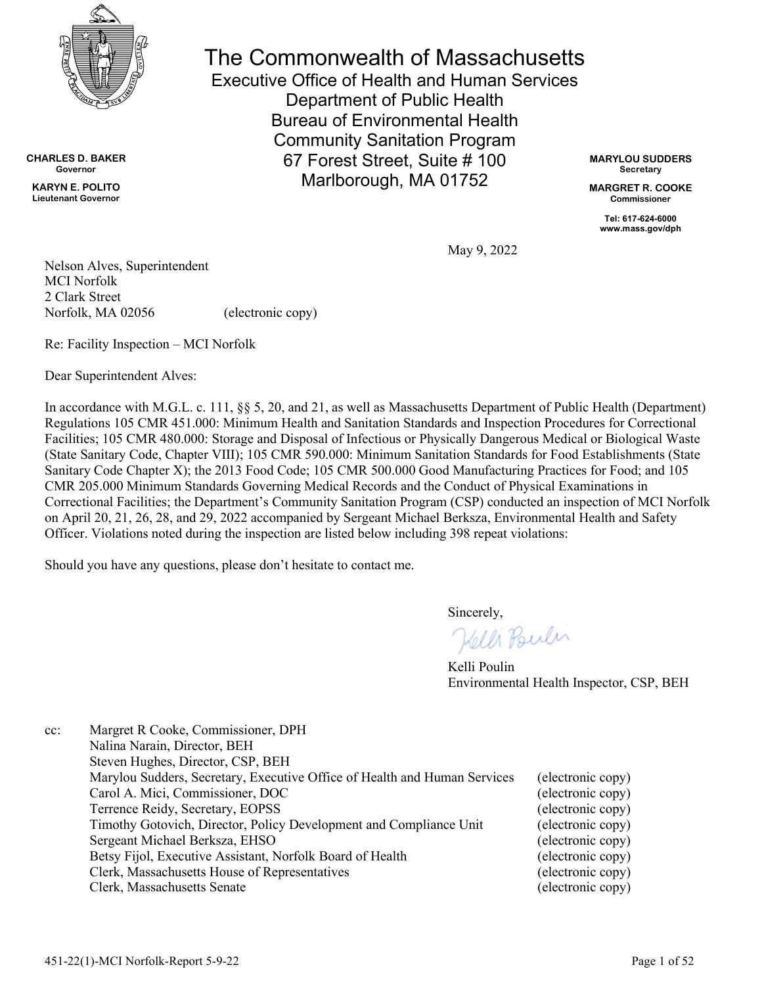

**CHARLES D. BAKER Governor**

**KARYN E. POLITO Lieutenant Governor** The Commonwealth of Massachusetts Executive Office of Health and Human Services

Department of Public Health Bureau of Environmental Health Community Sanitation Program 67 Forest Street, Suite # 100 Marlborough, MA 01752

**MARYLOU SUDDERS Secretary**

**MARGRET R. COOKE Commissioner**

**Tel: 617-624-6000 www.mass.gov/dph**

May 9, 2022

Nelson Alves, Superintendent MCI Norfolk 2 Clark Street Norfolk, MA 02056 (electronic copy)

Re: Facility Inspection – MCI Norfolk

Dear Superintendent Alves:

In accordance with M.G.L. c. 111, §§ 5, 20, and 21, as well as Massachusetts Department of Public Health (Department) Regulations 105 CMR 451.000: Minimum Health and Sanitation Standards and Inspection Procedures for Correctional Facilities; 105 CMR 480.000: Storage and Disposal of Infectious or Physically Dangerous Medical or Biological Waste (State Sanitary Code, Chapter VIII); 105 CMR 590.000: Minimum Sanitation Standards for Food Establishments (State Sanitary Code Chapter X); the 2013 Food Code; 105 CMR 500.000 Good Manufacturing Practices for Food; and 105 CMR 205.000 Minimum Standards Governing Medical Records and the Conduct of Physical Examinations in Correctional Facilities; the Department's Community Sanitation Program (CSP) conducted an inspection of MCI Norfolk on April 20, 21, 26, 28, and 29, 2022 accompanied by Sergeant Michael Berksza, Environmental Health and Safety Officer. Violations noted during the inspection are listed below including 398 repeat violations:

Should you have any questions, please don't hesitate to contact me.

Sincerely,

Helli Poulin

Kelli Poulin Environmental Health Inspector, CSP, BEH

| Margret R Cooke, Commissioner, DPH                                        |                   |
|---------------------------------------------------------------------------|-------------------|
| Nalina Narain, Director, BEH                                              |                   |
| Steven Hughes, Director, CSP, BEH                                         |                   |
| Marylou Sudders, Secretary, Executive Office of Health and Human Services | (electronic copy) |
| Carol A. Mici, Commissioner, DOC                                          | (electronic copy) |
| Terrence Reidy, Secretary, EOPSS                                          | (electronic copy) |
| Timothy Gotovich, Director, Policy Development and Compliance Unit        | (electronic copy) |
| Sergeant Michael Berksza, EHSO                                            | (electronic copy) |
| Betsy Fijol, Executive Assistant, Norfolk Board of Health                 | (electronic copy) |
| Clerk, Massachusetts House of Representatives                             | (electronic copy) |
| Clerk, Massachusetts Senate                                               | (electronic copy) |
|                                                                           |                   |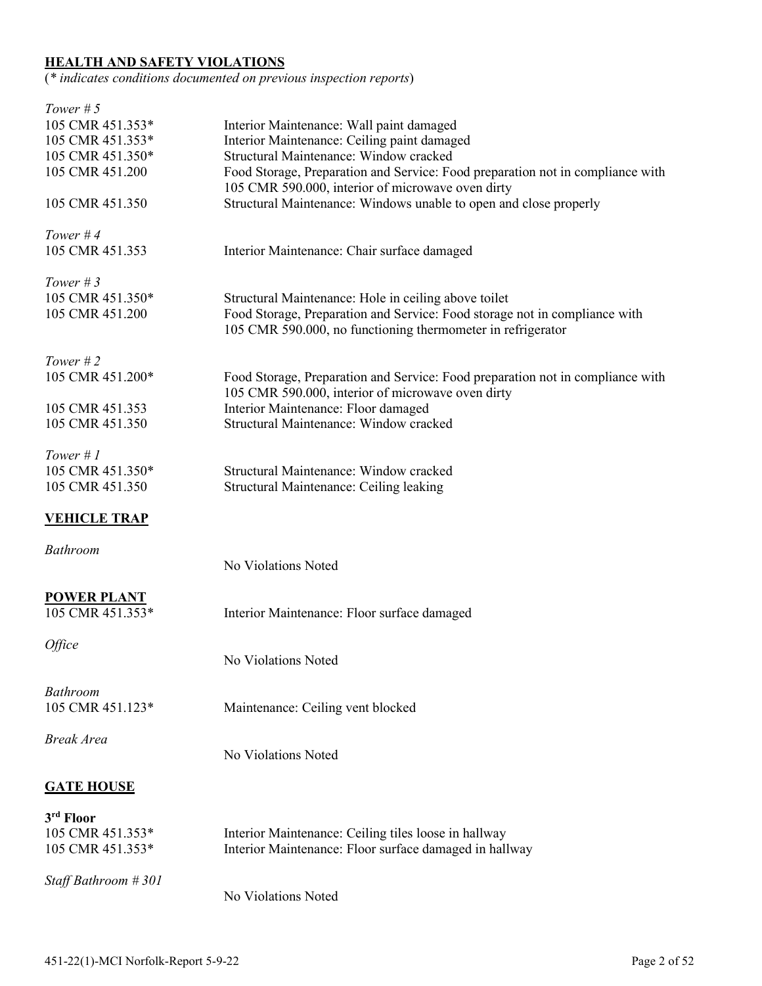### **HEALTH AND SAFETY VIOLATIONS**

(*\* indicates conditions documented on previous inspection reports*)

| Tower $# 5$                            |                                                                                                                                           |
|----------------------------------------|-------------------------------------------------------------------------------------------------------------------------------------------|
| 105 CMR 451.353*                       | Interior Maintenance: Wall paint damaged                                                                                                  |
| 105 CMR 451.353*                       | Interior Maintenance: Ceiling paint damaged                                                                                               |
| 105 CMR 451.350*                       | Structural Maintenance: Window cracked                                                                                                    |
| 105 CMR 451.200                        | Food Storage, Preparation and Service: Food preparation not in compliance with<br>105 CMR 590.000, interior of microwave oven dirty       |
| 105 CMR 451.350                        | Structural Maintenance: Windows unable to open and close properly                                                                         |
| Tower #4                               |                                                                                                                                           |
| 105 CMR 451.353                        | Interior Maintenance: Chair surface damaged                                                                                               |
| Tower $#3$                             |                                                                                                                                           |
| 105 CMR 451.350*                       | Structural Maintenance: Hole in ceiling above toilet                                                                                      |
| 105 CMR 451.200                        | Food Storage, Preparation and Service: Food storage not in compliance with<br>105 CMR 590.000, no functioning thermometer in refrigerator |
| Tower $#2$                             |                                                                                                                                           |
| 105 CMR 451.200*                       | Food Storage, Preparation and Service: Food preparation not in compliance with<br>105 CMR 590.000, interior of microwave oven dirty       |
| 105 CMR 451.353                        | Interior Maintenance: Floor damaged                                                                                                       |
| 105 CMR 451.350                        | Structural Maintenance: Window cracked                                                                                                    |
| Tower # $1$                            |                                                                                                                                           |
| 105 CMR 451.350*                       | Structural Maintenance: Window cracked                                                                                                    |
| 105 CMR 451.350                        | Structural Maintenance: Ceiling leaking                                                                                                   |
|                                        |                                                                                                                                           |
| <b>VEHICLE TRAP</b>                    |                                                                                                                                           |
| <b>Bathroom</b>                        | No Violations Noted                                                                                                                       |
|                                        |                                                                                                                                           |
| <b>POWER PLANT</b><br>105 CMR 451.353* | Interior Maintenance: Floor surface damaged                                                                                               |
|                                        |                                                                                                                                           |
| <i><b>Office</b></i>                   | No Violations Noted                                                                                                                       |
| <b>Bathroom</b>                        |                                                                                                                                           |
| 105 CMR 451.123*                       | Maintenance: Ceiling vent blocked                                                                                                         |
| <b>Break Area</b>                      |                                                                                                                                           |
|                                        | No Violations Noted                                                                                                                       |
| <b>GATE HOUSE</b>                      |                                                                                                                                           |
| 3 <sup>rd</sup> Floor                  |                                                                                                                                           |
| 105 CMR 451.353*                       | Interior Maintenance: Ceiling tiles loose in hallway                                                                                      |
| 105 CMR 451.353*                       | Interior Maintenance: Floor surface damaged in hallway                                                                                    |
|                                        |                                                                                                                                           |
| Staff Bathroom #301                    | No Violations Noted                                                                                                                       |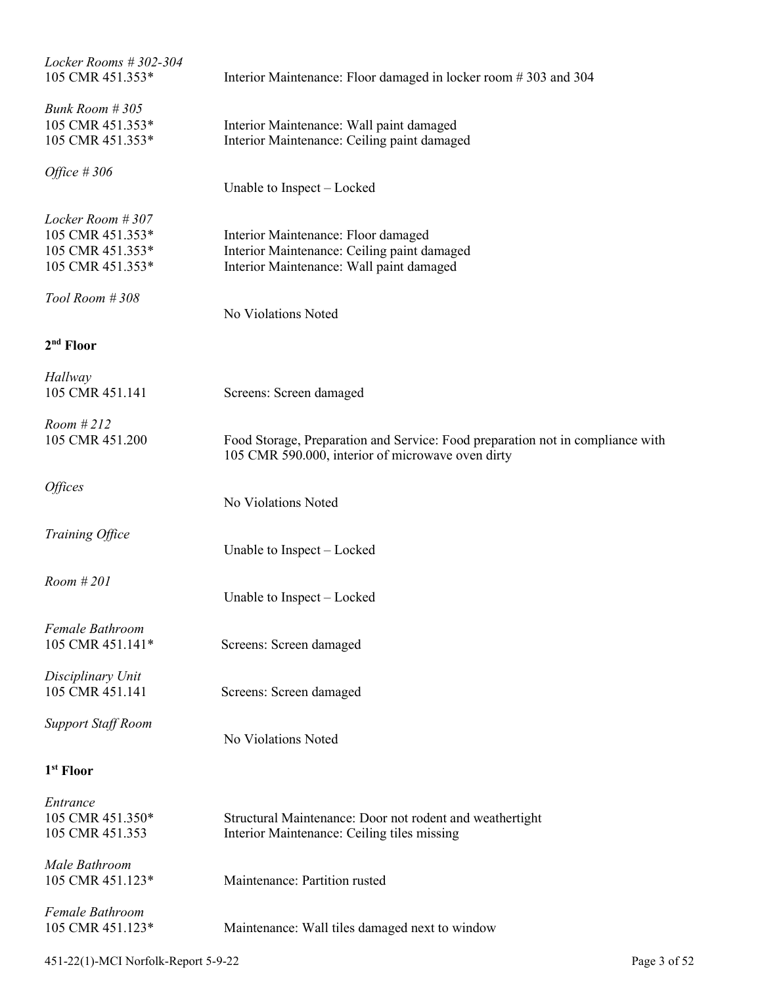| Locker Rooms $#302-304$<br>105 CMR 451.353*                                  | Interior Maintenance: Floor damaged in locker room #303 and 304                                                                     |
|------------------------------------------------------------------------------|-------------------------------------------------------------------------------------------------------------------------------------|
| Bunk Room #305<br>105 CMR 451.353*<br>105 CMR 451.353*                       | Interior Maintenance: Wall paint damaged<br>Interior Maintenance: Ceiling paint damaged                                             |
| Office $#306$                                                                | Unable to Inspect – Locked                                                                                                          |
| Locker Room #307<br>105 CMR 451.353*<br>105 CMR 451.353*<br>105 CMR 451.353* | Interior Maintenance: Floor damaged<br>Interior Maintenance: Ceiling paint damaged<br>Interior Maintenance: Wall paint damaged      |
| Tool Room #308                                                               | No Violations Noted                                                                                                                 |
| 2 <sup>nd</sup> Floor                                                        |                                                                                                                                     |
| Hallway<br>105 CMR 451.141                                                   | Screens: Screen damaged                                                                                                             |
| Room #212<br>105 CMR 451.200                                                 | Food Storage, Preparation and Service: Food preparation not in compliance with<br>105 CMR 590.000, interior of microwave oven dirty |
| <i><b>Offices</b></i>                                                        | No Violations Noted                                                                                                                 |
| Training Office                                                              | Unable to Inspect – Locked                                                                                                          |
| Room #201                                                                    | Unable to Inspect – Locked                                                                                                          |
| <b>Female Bathroom</b><br>105 CMR 451.141*                                   | Screens: Screen damaged                                                                                                             |
| Disciplinary Unit<br>105 CMR 451.141                                         | Screens: Screen damaged                                                                                                             |
| <b>Support Staff Room</b>                                                    | No Violations Noted                                                                                                                 |
| 1 <sup>st</sup> Floor                                                        |                                                                                                                                     |
| Entrance<br>105 CMR 451.350*<br>105 CMR 451.353                              | Structural Maintenance: Door not rodent and weathertight<br>Interior Maintenance: Ceiling tiles missing                             |
| Male Bathroom<br>105 CMR 451.123*                                            | Maintenance: Partition rusted                                                                                                       |
| Female Bathroom<br>105 CMR 451.123*                                          | Maintenance: Wall tiles damaged next to window                                                                                      |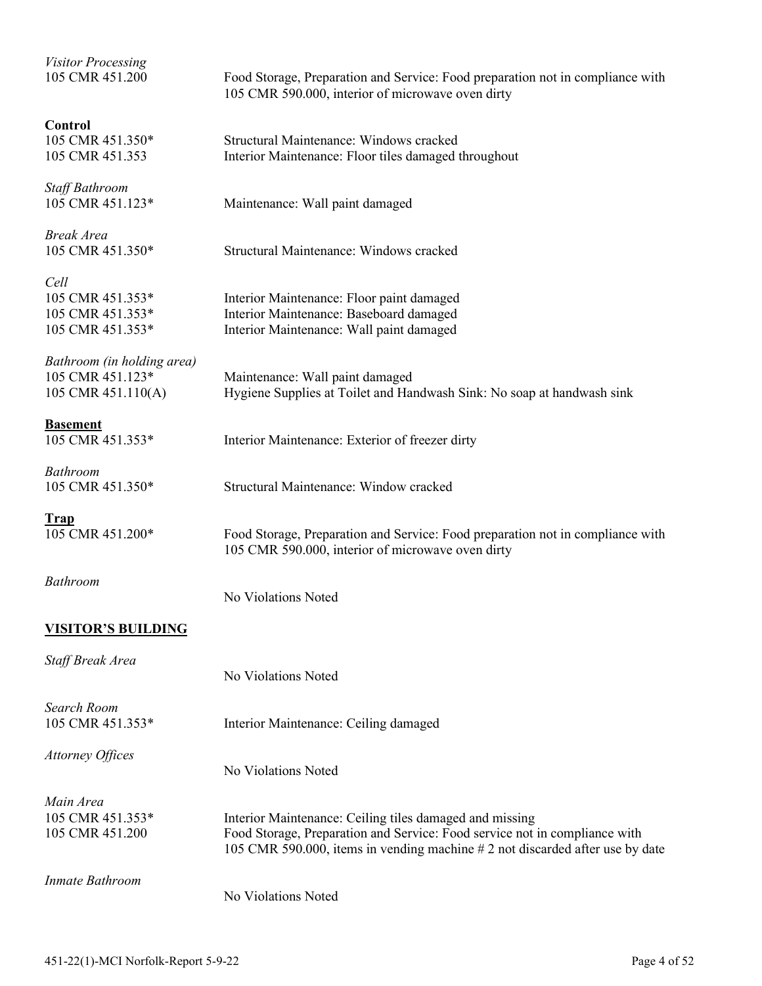| <b>Visitor Processing</b><br>105 CMR 451.200 | Food Storage, Preparation and Service: Food preparation not in compliance with<br>105 CMR 590.000, interior of microwave oven dirty |
|----------------------------------------------|-------------------------------------------------------------------------------------------------------------------------------------|
|                                              |                                                                                                                                     |
| Control                                      |                                                                                                                                     |
| 105 CMR 451.350*                             | Structural Maintenance: Windows cracked                                                                                             |
| 105 CMR 451.353                              | Interior Maintenance: Floor tiles damaged throughout                                                                                |
|                                              |                                                                                                                                     |
| Staff Bathroom                               |                                                                                                                                     |
| 105 CMR 451.123*                             | Maintenance: Wall paint damaged                                                                                                     |
|                                              |                                                                                                                                     |
| Break Area                                   |                                                                                                                                     |
| 105 CMR 451.350*                             | Structural Maintenance: Windows cracked                                                                                             |
| Cell                                         |                                                                                                                                     |
|                                              |                                                                                                                                     |
| 105 CMR 451.353*                             | Interior Maintenance: Floor paint damaged                                                                                           |
| 105 CMR 451.353*                             | Interior Maintenance: Baseboard damaged                                                                                             |
| 105 CMR 451.353*                             | Interior Maintenance: Wall paint damaged                                                                                            |
|                                              |                                                                                                                                     |
| Bathroom (in holding area)                   |                                                                                                                                     |
| 105 CMR 451.123*                             | Maintenance: Wall paint damaged                                                                                                     |
| 105 CMR 451.110(A)                           | Hygiene Supplies at Toilet and Handwash Sink: No soap at handwash sink                                                              |
|                                              |                                                                                                                                     |
| <u>Basement</u>                              |                                                                                                                                     |
| 105 CMR 451.353*                             | Interior Maintenance: Exterior of freezer dirty                                                                                     |
|                                              |                                                                                                                                     |
| Bathroom                                     |                                                                                                                                     |
| 105 CMR 451.350*                             | Structural Maintenance: Window cracked                                                                                              |
| <u>Trap</u>                                  |                                                                                                                                     |
| 105 CMR 451.200*                             | Food Storage, Preparation and Service: Food preparation not in compliance with                                                      |
|                                              |                                                                                                                                     |
|                                              | 105 CMR 590.000, interior of microwave oven dirty                                                                                   |
| Bathroom                                     |                                                                                                                                     |
|                                              | No Violations Noted                                                                                                                 |
|                                              |                                                                                                                                     |
| <u>VISITOR'S BUILDING</u>                    |                                                                                                                                     |
| Staff Break Area                             |                                                                                                                                     |
|                                              |                                                                                                                                     |
|                                              | No Violations Noted                                                                                                                 |
| Search Room                                  |                                                                                                                                     |
|                                              |                                                                                                                                     |
| 105 CMR 451.353*                             | Interior Maintenance: Ceiling damaged                                                                                               |
| Attorney Offices                             |                                                                                                                                     |
|                                              | No Violations Noted                                                                                                                 |
|                                              |                                                                                                                                     |
| Main Area                                    |                                                                                                                                     |
| 105 CMR 451.353*                             | Interior Maintenance: Ceiling tiles damaged and missing                                                                             |
|                                              |                                                                                                                                     |
| 105 CMR 451.200                              | Food Storage, Preparation and Service: Food service not in compliance with                                                          |
|                                              | 105 CMR 590.000, items in vending machine #2 not discarded after use by date                                                        |
| Inmate Bathroom                              |                                                                                                                                     |
|                                              | No Violations Noted                                                                                                                 |
|                                              |                                                                                                                                     |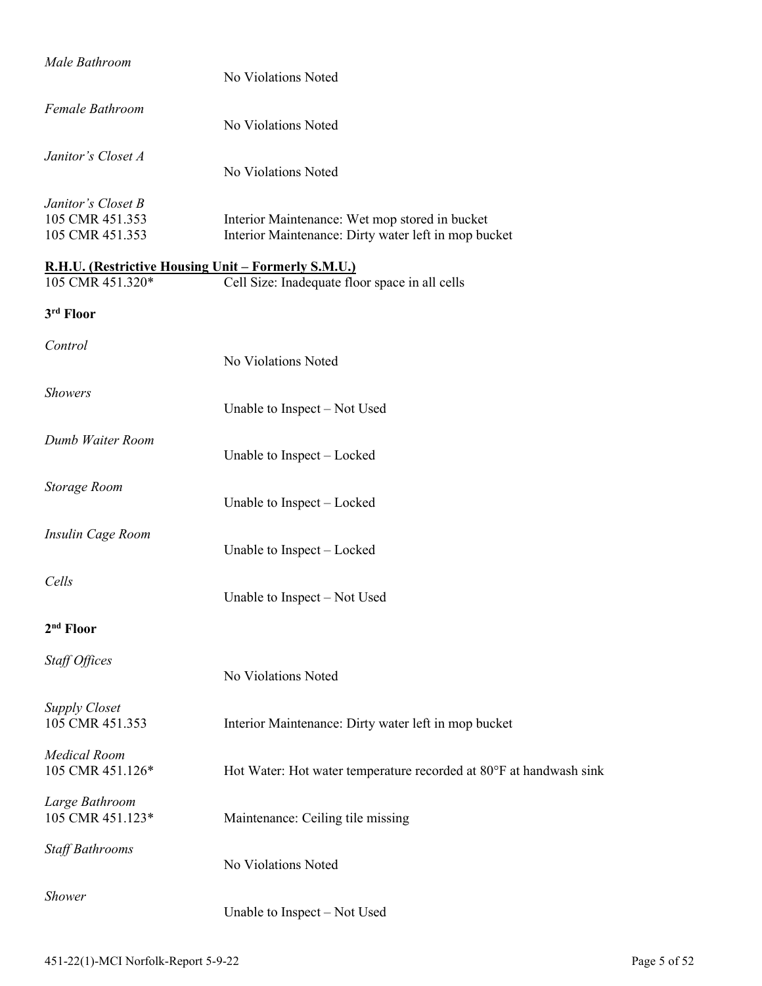| Male Bathroom                                                           | No Violations Noted                                                                                    |
|-------------------------------------------------------------------------|--------------------------------------------------------------------------------------------------------|
| Female Bathroom                                                         | No Violations Noted                                                                                    |
| Janitor's Closet A                                                      | No Violations Noted                                                                                    |
| Janitor's Closet B<br>105 CMR 451.353<br>105 CMR 451.353                | Interior Maintenance: Wet mop stored in bucket<br>Interior Maintenance: Dirty water left in mop bucket |
| R.H.U. (Restrictive Housing Unit – Formerly S.M.U.)<br>105 CMR 451.320* | Cell Size: Inadequate floor space in all cells                                                         |
| 3rd Floor                                                               |                                                                                                        |
| Control                                                                 | No Violations Noted                                                                                    |
| <b>Showers</b>                                                          | Unable to Inspect – Not Used                                                                           |
| Dumb Waiter Room                                                        | Unable to Inspect – Locked                                                                             |
| <b>Storage Room</b>                                                     | Unable to Inspect - Locked                                                                             |
| Insulin Cage Room                                                       | Unable to Inspect – Locked                                                                             |
| Cells                                                                   | Unable to Inspect – Not Used                                                                           |
| $2nd$ Floor                                                             |                                                                                                        |
| Staff Offices                                                           | No Violations Noted                                                                                    |
| <b>Supply Closet</b><br>105 CMR 451.353                                 | Interior Maintenance: Dirty water left in mop bucket                                                   |
| <b>Medical Room</b><br>105 CMR 451.126*                                 | Hot Water: Hot water temperature recorded at 80°F at handwash sink                                     |
| Large Bathroom<br>105 CMR 451.123*                                      | Maintenance: Ceiling tile missing                                                                      |
| <b>Staff Bathrooms</b>                                                  | No Violations Noted                                                                                    |
| <b>Shower</b>                                                           | Unable to Inspect - Not Used                                                                           |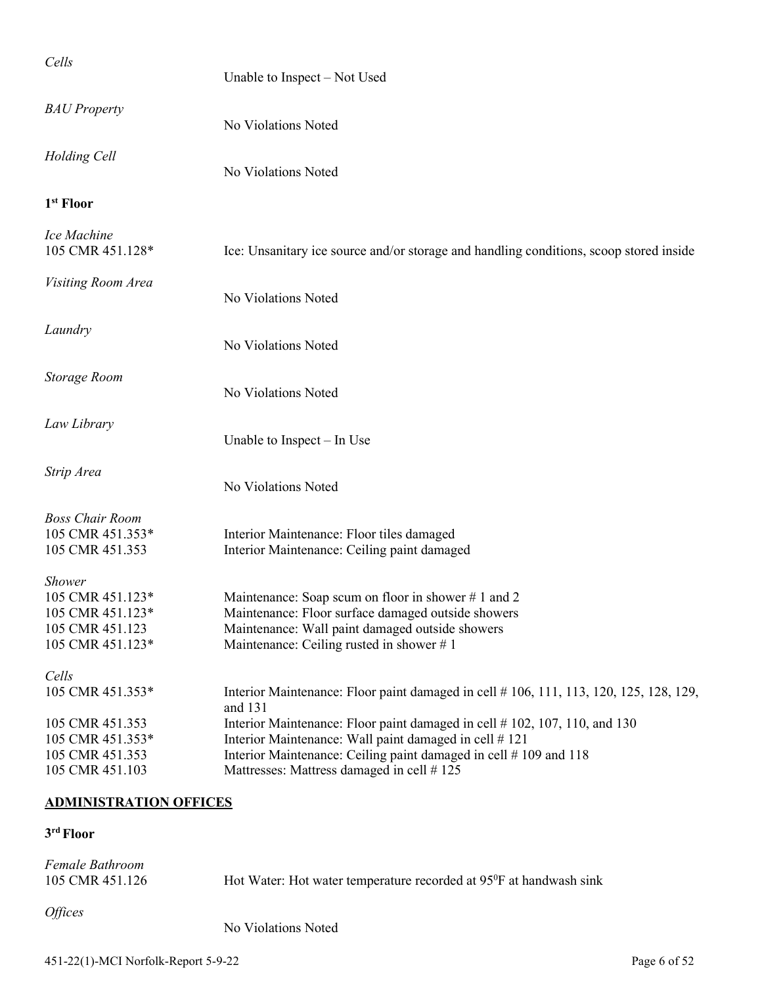| Cells                                                                                        | Unable to Inspect – Not Used                                                                                                                                                                            |
|----------------------------------------------------------------------------------------------|---------------------------------------------------------------------------------------------------------------------------------------------------------------------------------------------------------|
| <b>BAU</b> Property                                                                          | No Violations Noted                                                                                                                                                                                     |
| Holding Cell                                                                                 | No Violations Noted                                                                                                                                                                                     |
| 1 <sup>st</sup> Floor                                                                        |                                                                                                                                                                                                         |
| Ice Machine<br>105 CMR 451.128*                                                              | Ice: Unsanitary ice source and/or storage and handling conditions, scoop stored inside                                                                                                                  |
| Visiting Room Area                                                                           | No Violations Noted                                                                                                                                                                                     |
| Laundry                                                                                      | No Violations Noted                                                                                                                                                                                     |
| Storage Room                                                                                 | No Violations Noted                                                                                                                                                                                     |
| Law Library                                                                                  | Unable to Inspect – In Use                                                                                                                                                                              |
| Strip Area                                                                                   | No Violations Noted                                                                                                                                                                                     |
| <b>Boss Chair Room</b><br>105 CMR 451.353*<br>105 CMR 451.353                                | Interior Maintenance: Floor tiles damaged<br>Interior Maintenance: Ceiling paint damaged                                                                                                                |
| <b>Shower</b><br>105 CMR 451.123*<br>105 CMR 451.123*<br>105 CMR 451.123<br>105 CMR 451.123* | Maintenance: Soap scum on floor in shower #1 and 2<br>Maintenance: Floor surface damaged outside showers<br>Maintenance: Wall paint damaged outside showers<br>Maintenance: Ceiling rusted in shower #1 |
| Cells<br>105 CMR 451.353*<br>105 CMR 451.353                                                 | Interior Maintenance: Floor paint damaged in cell # 106, 111, 113, 120, 125, 128, 129,<br>and 131<br>Interior Maintenance: Floor paint damaged in cell #102, 107, 110, and 130                          |
| 105 CMR 451.353*<br>105 CMR 451.353<br>105 CMR 451.103                                       | Interior Maintenance: Wall paint damaged in cell #121<br>Interior Maintenance: Ceiling paint damaged in cell #109 and 118<br>Mattresses: Mattress damaged in cell #125                                  |
| <b>ADMINISTRATION OFFICES</b>                                                                |                                                                                                                                                                                                         |

| Female Bathroom<br>105 CMR 451.126 | Hot Water: Hot water temperature recorded at 95 <sup>0</sup> F at handwash sink |
|------------------------------------|---------------------------------------------------------------------------------|
| <i>Offices</i>                     | No Violations Noted                                                             |

### 451-22(1)-MCI Norfolk-Report 5-9-22 Page 6 of 52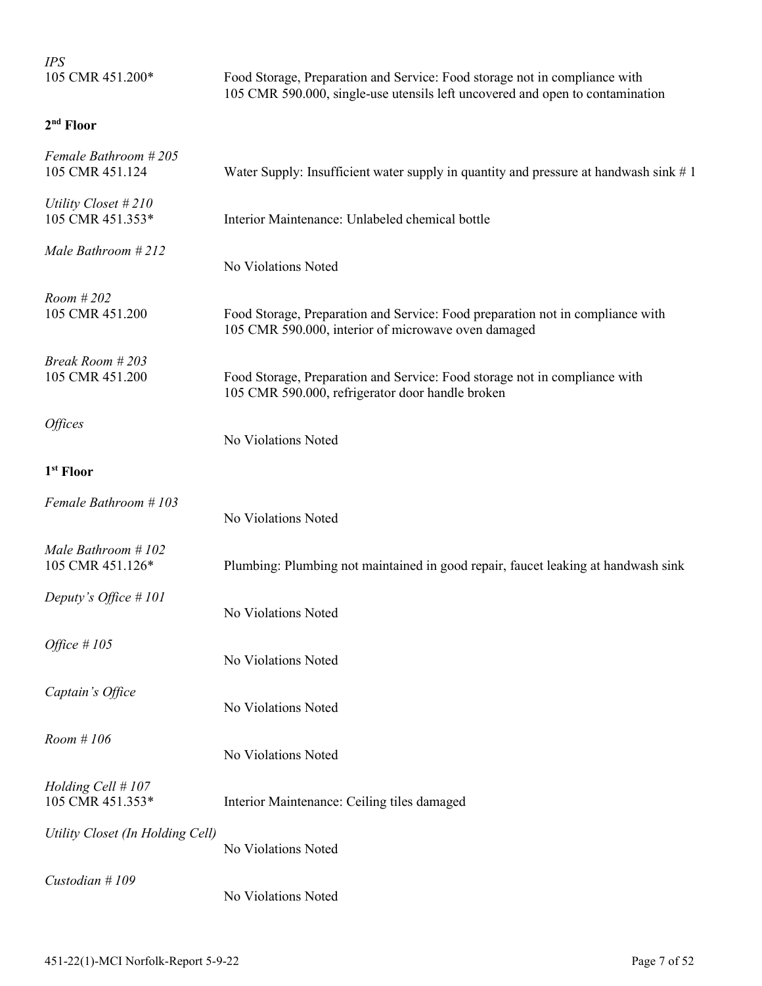| <b>IPS</b>                              |                                                                                                                                                             |
|-----------------------------------------|-------------------------------------------------------------------------------------------------------------------------------------------------------------|
| 105 CMR 451.200*                        | Food Storage, Preparation and Service: Food storage not in compliance with<br>105 CMR 590.000, single-use utensils left uncovered and open to contamination |
| 2 <sup>nd</sup> Floor                   |                                                                                                                                                             |
| Female Bathroom #205<br>105 CMR 451.124 | Water Supply: Insufficient water supply in quantity and pressure at handwash sink $# 1$                                                                     |
| Utility Closet #210<br>105 CMR 451.353* | Interior Maintenance: Unlabeled chemical bottle                                                                                                             |
| Male Bathroom # 212                     | No Violations Noted                                                                                                                                         |
| Room # 202<br>105 CMR 451.200           | Food Storage, Preparation and Service: Food preparation not in compliance with<br>105 CMR 590.000, interior of microwave oven damaged                       |
| Break Room # 203<br>105 CMR 451.200     | Food Storage, Preparation and Service: Food storage not in compliance with<br>105 CMR 590.000, refrigerator door handle broken                              |
| <i><b>Offices</b></i>                   | No Violations Noted                                                                                                                                         |
| 1 <sup>st</sup> Floor                   |                                                                                                                                                             |
| Female Bathroom #103                    | No Violations Noted                                                                                                                                         |
| Male Bathroom #102<br>105 CMR 451.126*  | Plumbing: Plumbing not maintained in good repair, faucet leaking at handwash sink                                                                           |
| Deputy's Office #101                    | No Violations Noted                                                                                                                                         |
| Office $#105$                           | No Violations Noted                                                                                                                                         |
| Captain's Office                        | No Violations Noted                                                                                                                                         |
| Room #106                               | No Violations Noted                                                                                                                                         |
| Holding Cell #107<br>105 CMR 451.353*   | Interior Maintenance: Ceiling tiles damaged                                                                                                                 |
| Utility Closet (In Holding Cell)        | No Violations Noted                                                                                                                                         |
| Custodian #109                          | No Violations Noted                                                                                                                                         |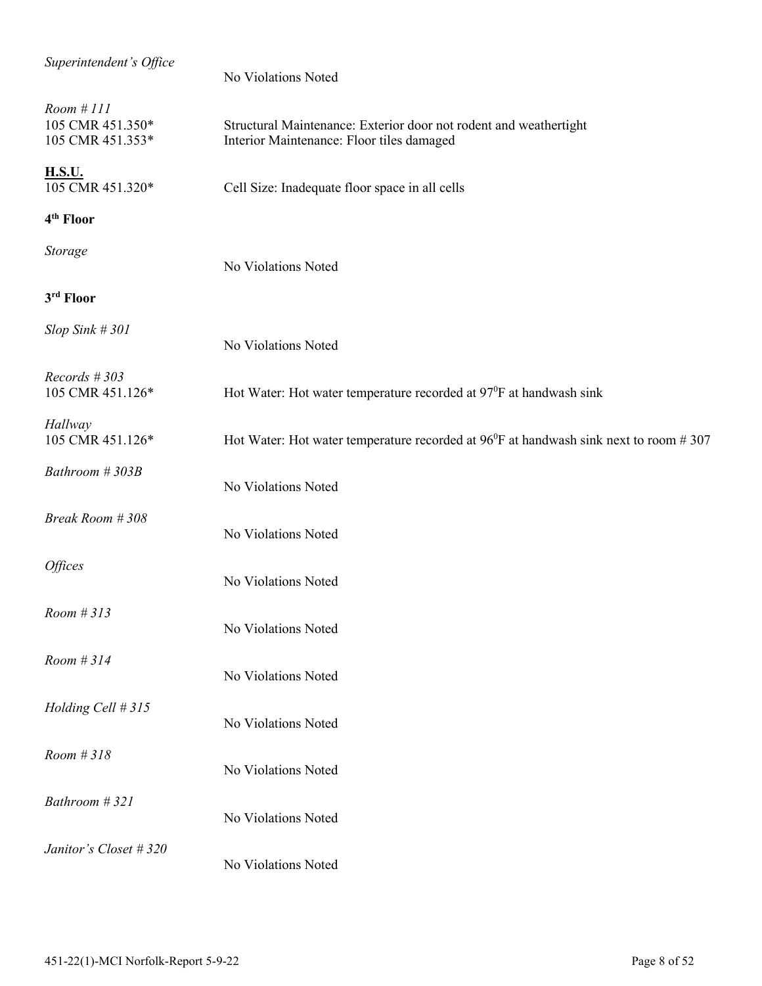| Superintendent's Office                           | No Violations Noted                                                                                            |
|---------------------------------------------------|----------------------------------------------------------------------------------------------------------------|
| Room #III<br>105 CMR 451.350*<br>105 CMR 451.353* | Structural Maintenance: Exterior door not rodent and weathertight<br>Interior Maintenance: Floor tiles damaged |
| <b>H.S.U.</b><br>105 CMR 451.320*                 | Cell Size: Inadequate floor space in all cells                                                                 |
| 4 <sup>th</sup> Floor                             |                                                                                                                |
| Storage                                           | No Violations Noted                                                                                            |
| 3rd Floor                                         |                                                                                                                |
| $Slop$ Sink # 301                                 | No Violations Noted                                                                                            |
| $Records$ #303<br>105 CMR 451.126*                | Hot Water: Hot water temperature recorded at 97 <sup>0</sup> F at handwash sink                                |
| Hallway<br>105 CMR 451.126*                       | Hot Water: Hot water temperature recorded at $96^{\circ}F$ at handwash sink next to room #307                  |
| Bathroom #303B                                    | No Violations Noted                                                                                            |
| Break Room # 308                                  | No Violations Noted                                                                                            |
| <i><b>Offices</b></i>                             | No Violations Noted                                                                                            |
| Room #313                                         | No Violations Noted                                                                                            |
| Room #314                                         | No Violations Noted                                                                                            |
| Holding Cell # 315                                | No Violations Noted                                                                                            |
| Room #318                                         | No Violations Noted                                                                                            |
| Bathroom #321                                     | No Violations Noted                                                                                            |
| Janitor's Closet # 320                            | No Violations Noted                                                                                            |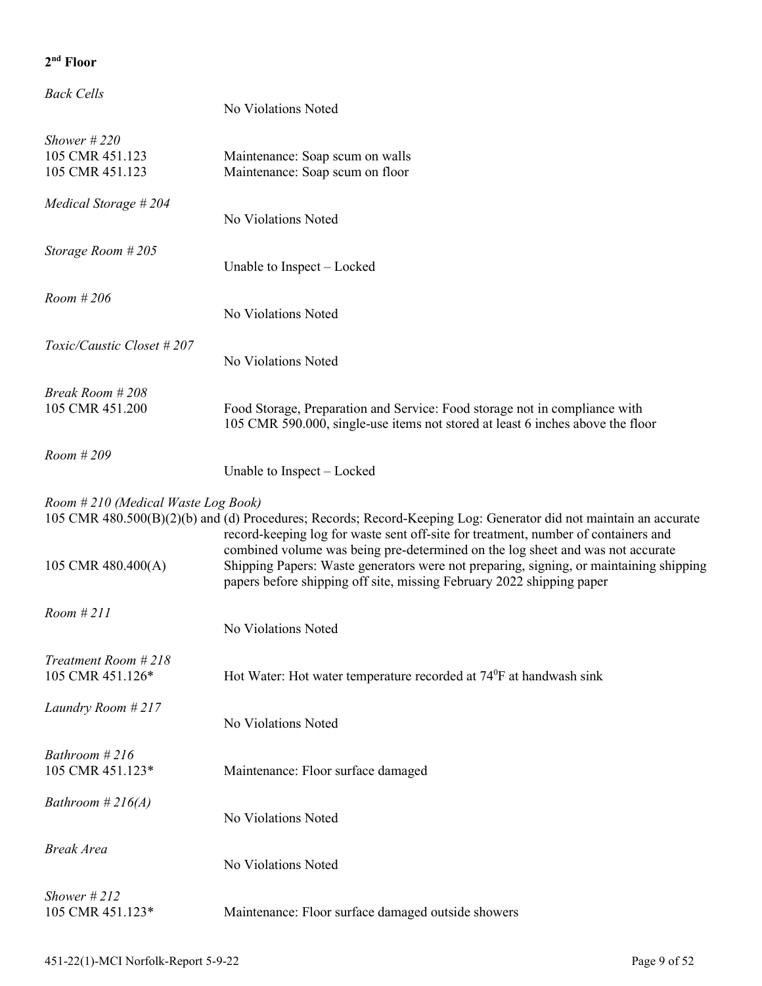| <b>Back Cells</b>                                    | No Violations Noted                                                                                                                                                                                                                               |
|------------------------------------------------------|---------------------------------------------------------------------------------------------------------------------------------------------------------------------------------------------------------------------------------------------------|
| Shower $\#220$<br>105 CMR 451.123<br>105 CMR 451.123 | Maintenance: Soap scum on walls<br>Maintenance: Soap scum on floor                                                                                                                                                                                |
| Medical Storage #204                                 | No Violations Noted                                                                                                                                                                                                                               |
| Storage Room #205                                    | Unable to Inspect – Locked                                                                                                                                                                                                                        |
| Room #206                                            | No Violations Noted                                                                                                                                                                                                                               |
| Toxic/Caustic Closet #207                            | No Violations Noted                                                                                                                                                                                                                               |
| Break Room #208<br>105 CMR 451.200                   | Food Storage, Preparation and Service: Food storage not in compliance with<br>105 CMR 590.000, single-use items not stored at least 6 inches above the floor                                                                                      |
| Room #209                                            | Unable to Inspect – Locked                                                                                                                                                                                                                        |
| Room #210 (Medical Waste Log Book)                   | 105 CMR 480.500(B)(2)(b) and (d) Procedures; Records; Record-Keeping Log: Generator did not maintain an accurate<br>record-keeping log for waste sent off-site for treatment, number of containers and                                            |
| 105 CMR 480.400(A)                                   | combined volume was being pre-determined on the log sheet and was not accurate<br>Shipping Papers: Waste generators were not preparing, signing, or maintaining shipping<br>papers before shipping off site, missing February 2022 shipping paper |
| Room #211                                            | No Violations Noted                                                                                                                                                                                                                               |
| Treatment Room #218<br>105 CMR 451.126*              | Hot Water: Hot water temperature recorded at 74 <sup>0</sup> F at handwash sink                                                                                                                                                                   |
| Laundry Room #217                                    | No Violations Noted                                                                                                                                                                                                                               |
| Bathroom $#216$<br>105 CMR 451.123*                  | Maintenance: Floor surface damaged                                                                                                                                                                                                                |
| Bathroom #216(A)                                     | No Violations Noted                                                                                                                                                                                                                               |
| <b>Break Area</b>                                    | No Violations Noted                                                                                                                                                                                                                               |
| Shower $\#212$<br>105 CMR 451.123*                   | Maintenance: Floor surface damaged outside showers                                                                                                                                                                                                |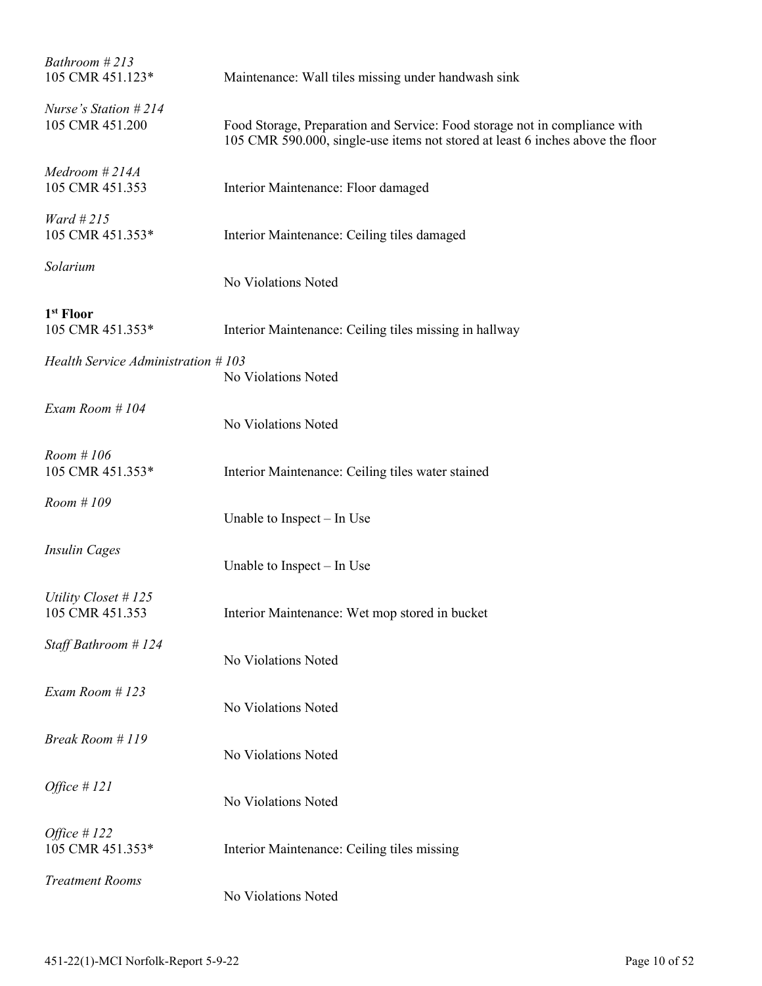| Bathroom #213<br>105 CMR 451.123*         | Maintenance: Wall tiles missing under handwash sink                                                                                                          |
|-------------------------------------------|--------------------------------------------------------------------------------------------------------------------------------------------------------------|
| Nurse's Station $#214$<br>105 CMR 451.200 | Food Storage, Preparation and Service: Food storage not in compliance with<br>105 CMR 590.000, single-use items not stored at least 6 inches above the floor |
| Medroom #214A<br>105 CMR 451.353          | Interior Maintenance: Floor damaged                                                                                                                          |
| Ward # $215$<br>105 CMR 451.353*          | Interior Maintenance: Ceiling tiles damaged                                                                                                                  |
| Solarium                                  | No Violations Noted                                                                                                                                          |
| 1 <sup>st</sup> Floor<br>105 CMR 451.353* | Interior Maintenance: Ceiling tiles missing in hallway                                                                                                       |
| Health Service Administration #103        | No Violations Noted                                                                                                                                          |
| Exam Room #104                            | No Violations Noted                                                                                                                                          |
| Room #106<br>105 CMR 451.353*             | Interior Maintenance: Ceiling tiles water stained                                                                                                            |
| Room #109                                 | Unable to Inspect $-$ In Use                                                                                                                                 |
| <b>Insulin Cages</b>                      | Unable to Inspect – In Use                                                                                                                                   |
| Utility Closet #125<br>105 CMR 451.353    | Interior Maintenance: Wet mop stored in bucket                                                                                                               |
| Staff Bathroom #124                       | No Violations Noted                                                                                                                                          |
| Exam Room #123                            | No Violations Noted                                                                                                                                          |
| Break Room #119                           | No Violations Noted                                                                                                                                          |
| Office $#121$                             | No Violations Noted                                                                                                                                          |
| Office $#122$<br>105 CMR 451.353*         | Interior Maintenance: Ceiling tiles missing                                                                                                                  |
| <b>Treatment Rooms</b>                    | No Violations Noted                                                                                                                                          |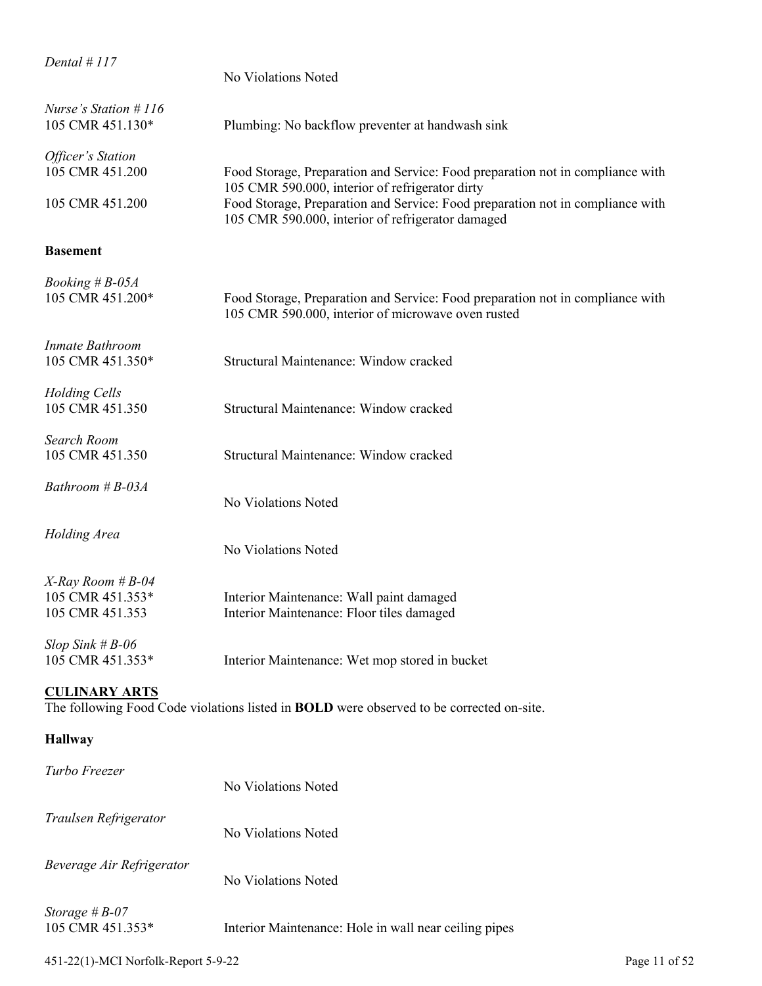| Dental #117                                              | No Violations Noted                                                                                                                  |
|----------------------------------------------------------|--------------------------------------------------------------------------------------------------------------------------------------|
| Nurse's Station #116<br>105 CMR 451.130*                 | Plumbing: No backflow preventer at handwash sink                                                                                     |
| Officer's Station<br>105 CMR 451.200                     | Food Storage, Preparation and Service: Food preparation not in compliance with<br>105 CMR 590.000, interior of refrigerator dirty    |
| 105 CMR 451.200                                          | Food Storage, Preparation and Service: Food preparation not in compliance with<br>105 CMR 590.000, interior of refrigerator damaged  |
| <b>Basement</b>                                          |                                                                                                                                      |
| <i>Booking</i> # B-05A<br>105 CMR 451.200*               | Food Storage, Preparation and Service: Food preparation not in compliance with<br>105 CMR 590.000, interior of microwave oven rusted |
| <b>Inmate Bathroom</b><br>105 CMR 451.350*               | Structural Maintenance: Window cracked                                                                                               |
| Holding Cells<br>105 CMR 451.350                         | Structural Maintenance: Window cracked                                                                                               |
| Search Room<br>105 CMR 451.350                           | Structural Maintenance: Window cracked                                                                                               |
| Bathroom #B-03A                                          | No Violations Noted                                                                                                                  |
| Holding Area                                             | No Violations Noted                                                                                                                  |
| X-Ray Room # B-04<br>105 CMR 451.353*<br>105 CMR 451.353 | Interior Maintenance: Wall paint damaged<br>Interior Maintenance: Floor tiles damaged                                                |
| $Slop$ Sink # $B-06$<br>105 CMR 451.353*                 | Interior Maintenance: Wet mop stored in bucket                                                                                       |
| <b>CULINARY ARTS</b>                                     | The following Food Code violations listed in BOLD were observed to be corrected on-site.                                             |
| <b>Hallway</b>                                           |                                                                                                                                      |
| Turbo Freezer                                            | No Violations Noted                                                                                                                  |
| Traulsen Refrigerator                                    | No Violations Noted                                                                                                                  |
| Beverage Air Refrigerator                                | No Violations Noted                                                                                                                  |
| Storage $#B-07$<br>105 CMR 451.353*                      | Interior Maintenance: Hole in wall near ceiling pipes                                                                                |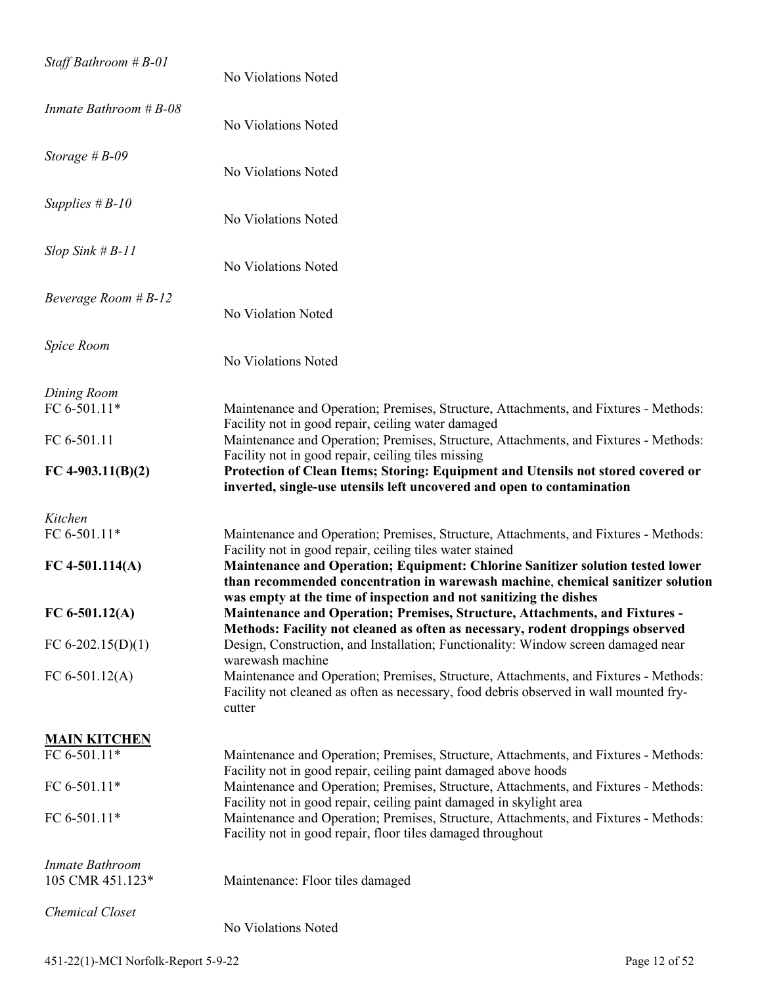| Staff Bathroom $#B-01$              | No Violations Noted                                                                                                                                                                                                                       |
|-------------------------------------|-------------------------------------------------------------------------------------------------------------------------------------------------------------------------------------------------------------------------------------------|
| Inmate Bathroom $#B-08$             | No Violations Noted                                                                                                                                                                                                                       |
| Storage $#B-09$                     | No Violations Noted                                                                                                                                                                                                                       |
| Supplies $#B-10$                    | No Violations Noted                                                                                                                                                                                                                       |
| $Slop$ Sink # $B-11$                | No Violations Noted                                                                                                                                                                                                                       |
| Beverage Room $#B-12$               | No Violation Noted                                                                                                                                                                                                                        |
| Spice Room                          | No Violations Noted                                                                                                                                                                                                                       |
| Dining Room<br>FC 6-501.11*         | Maintenance and Operation; Premises, Structure, Attachments, and Fixtures - Methods:                                                                                                                                                      |
| FC 6-501.11                         | Facility not in good repair, ceiling water damaged<br>Maintenance and Operation; Premises, Structure, Attachments, and Fixtures - Methods:                                                                                                |
| FC 4-903.11(B)(2)                   | Facility not in good repair, ceiling tiles missing<br>Protection of Clean Items; Storing: Equipment and Utensils not stored covered or<br>inverted, single-use utensils left uncovered and open to contamination                          |
|                                     |                                                                                                                                                                                                                                           |
| Kitchen                             |                                                                                                                                                                                                                                           |
| FC 6-501.11*<br>FC 4-501.114(A)     | Maintenance and Operation; Premises, Structure, Attachments, and Fixtures - Methods:<br>Facility not in good repair, ceiling tiles water stained<br><b>Maintenance and Operation; Equipment: Chlorine Sanitizer solution tested lower</b> |
|                                     | than recommended concentration in warewash machine, chemical sanitizer solution<br>was empty at the time of inspection and not sanitizing the dishes                                                                                      |
| FC 6-501.12(A)                      | Maintenance and Operation; Premises, Structure, Attachments, and Fixtures -                                                                                                                                                               |
| FC 6-202.15(D)(1)                   | Methods: Facility not cleaned as often as necessary, rodent droppings observed<br>Design, Construction, and Installation; Functionality: Window screen damaged near                                                                       |
| FC $6-501.12(A)$                    | warewash machine<br>Maintenance and Operation; Premises, Structure, Attachments, and Fixtures - Methods:<br>Facility not cleaned as often as necessary, food debris observed in wall mounted fry-<br>cutter                               |
| <b>MAIN KITCHEN</b>                 |                                                                                                                                                                                                                                           |
| FC 6-501.11*                        | Maintenance and Operation; Premises, Structure, Attachments, and Fixtures - Methods:                                                                                                                                                      |
| FC 6-501.11*                        | Facility not in good repair, ceiling paint damaged above hoods<br>Maintenance and Operation; Premises, Structure, Attachments, and Fixtures - Methods:                                                                                    |
| FC 6-501.11*                        | Facility not in good repair, ceiling paint damaged in skylight area<br>Maintenance and Operation; Premises, Structure, Attachments, and Fixtures - Methods:<br>Facility not in good repair, floor tiles damaged throughout                |
| Inmate Bathroom<br>105 CMR 451.123* | Maintenance: Floor tiles damaged                                                                                                                                                                                                          |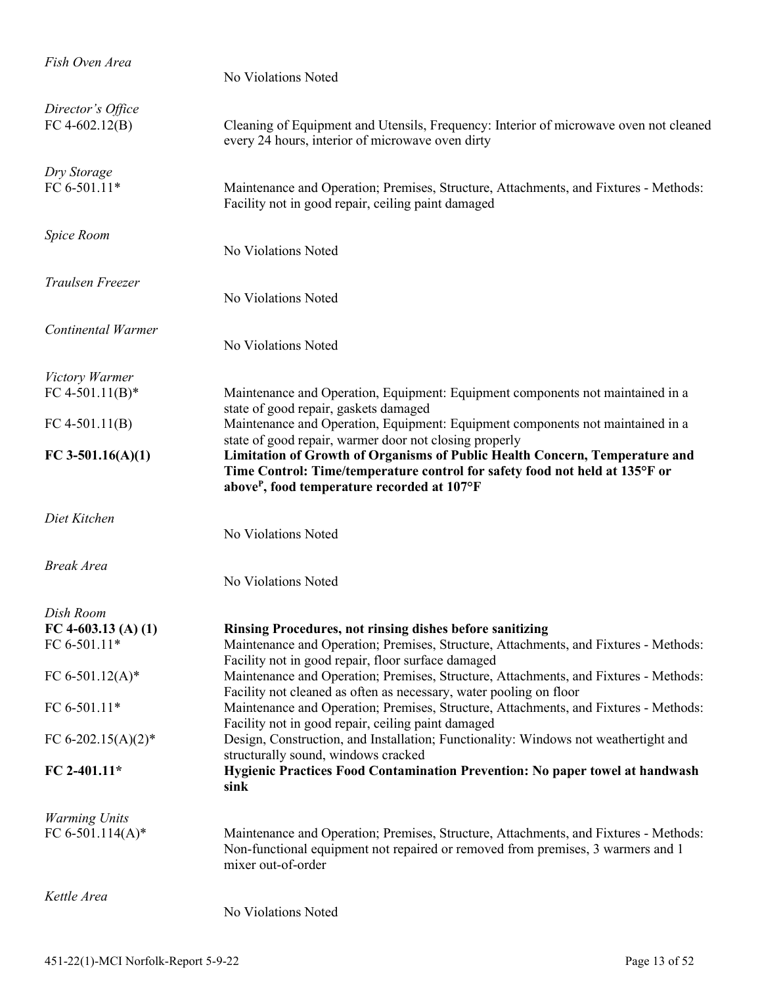| Fish Oven Area                           | No Violations Noted                                                                                                                                                                                                                                                             |
|------------------------------------------|---------------------------------------------------------------------------------------------------------------------------------------------------------------------------------------------------------------------------------------------------------------------------------|
| Director's Office<br>FC 4-602.12(B)      | Cleaning of Equipment and Utensils, Frequency: Interior of microwave oven not cleaned<br>every 24 hours, interior of microwave oven dirty                                                                                                                                       |
| Dry Storage<br>FC 6-501.11*              | Maintenance and Operation; Premises, Structure, Attachments, and Fixtures - Methods:<br>Facility not in good repair, ceiling paint damaged                                                                                                                                      |
| Spice Room                               | No Violations Noted                                                                                                                                                                                                                                                             |
| Traulsen Freezer                         | No Violations Noted                                                                                                                                                                                                                                                             |
| Continental Warmer                       | No Violations Noted                                                                                                                                                                                                                                                             |
| Victory Warmer                           |                                                                                                                                                                                                                                                                                 |
| FC 4-501.11(B)*                          | Maintenance and Operation, Equipment: Equipment components not maintained in a<br>state of good repair, gaskets damaged                                                                                                                                                         |
| FC 4-501.11(B)                           | Maintenance and Operation, Equipment: Equipment components not maintained in a                                                                                                                                                                                                  |
| FC 3-501.16(A)(1)                        | state of good repair, warmer door not closing properly<br>Limitation of Growth of Organisms of Public Health Concern, Temperature and<br>Time Control: Time/temperature control for safety food not held at 135°F or<br>above <sup>P</sup> , food temperature recorded at 107°F |
| Diet Kitchen                             | No Violations Noted                                                                                                                                                                                                                                                             |
| <b>Break Area</b>                        | No Violations Noted                                                                                                                                                                                                                                                             |
| Dish Room                                |                                                                                                                                                                                                                                                                                 |
| FC 4-603.13 (A) (1)                      | Rinsing Procedures, not rinsing dishes before sanitizing                                                                                                                                                                                                                        |
| FC 6-501.11*                             | Maintenance and Operation; Premises, Structure, Attachments, and Fixtures - Methods:<br>Facility not in good repair, floor surface damaged                                                                                                                                      |
| FC 6-501.12(A)*                          | Maintenance and Operation; Premises, Structure, Attachments, and Fixtures - Methods:<br>Facility not cleaned as often as necessary, water pooling on floor                                                                                                                      |
| FC 6-501.11*                             | Maintenance and Operation; Premises, Structure, Attachments, and Fixtures - Methods:                                                                                                                                                                                            |
| FC 6-202.15(A)(2)*                       | Facility not in good repair, ceiling paint damaged<br>Design, Construction, and Installation; Functionality: Windows not weathertight and<br>structurally sound, windows cracked                                                                                                |
| FC 2-401.11*                             | Hygienic Practices Food Contamination Prevention: No paper towel at handwash<br>sink                                                                                                                                                                                            |
| <b>Warming Units</b><br>FC 6-501.114(A)* | Maintenance and Operation; Premises, Structure, Attachments, and Fixtures - Methods:<br>Non-functional equipment not repaired or removed from premises, 3 warmers and 1<br>mixer out-of-order                                                                                   |
| Kettle Area                              | No Violations Noted                                                                                                                                                                                                                                                             |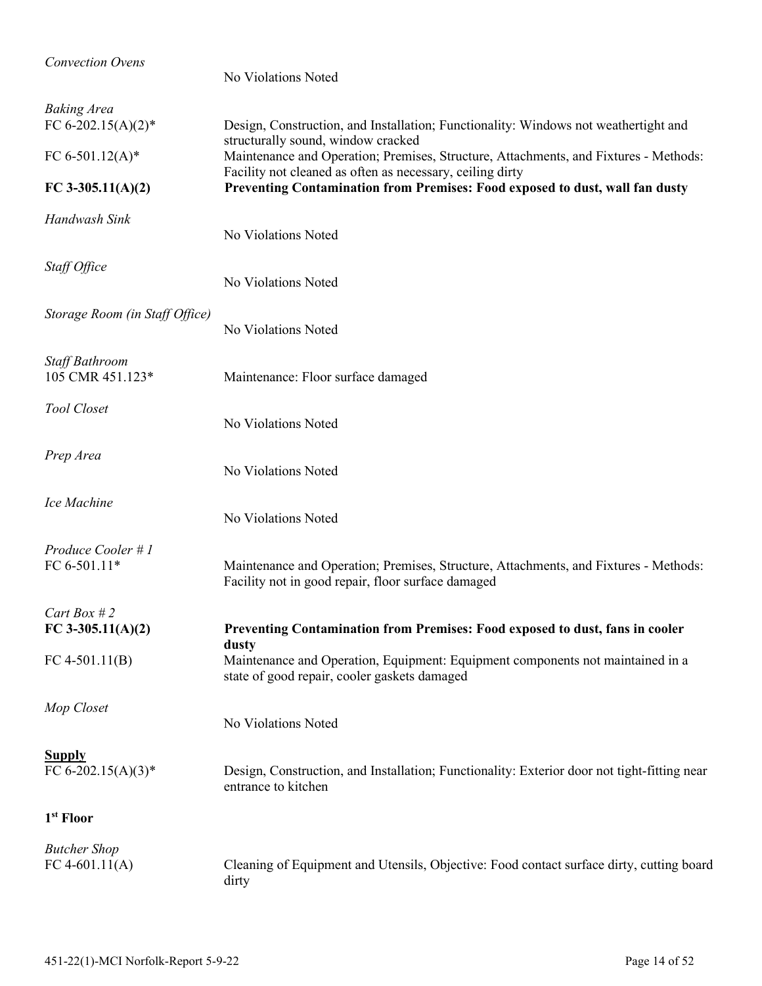| <b>Convection Ovens</b>                  | No Violations Noted                                                                                                                               |
|------------------------------------------|---------------------------------------------------------------------------------------------------------------------------------------------------|
| <b>Baking Area</b><br>FC 6-202.15(A)(2)* | Design, Construction, and Installation; Functionality: Windows not weathertight and<br>structurally sound, window cracked                         |
| FC 6-501.12(A)*                          | Maintenance and Operation; Premises, Structure, Attachments, and Fixtures - Methods:<br>Facility not cleaned as often as necessary, ceiling dirty |
| FC 3-305.11(A)(2)                        | Preventing Contamination from Premises: Food exposed to dust, wall fan dusty                                                                      |
| Handwash Sink                            | No Violations Noted                                                                                                                               |
| Staff Office                             | No Violations Noted                                                                                                                               |
| Storage Room (in Staff Office)           | No Violations Noted                                                                                                                               |
| Staff Bathroom<br>105 CMR 451.123*       | Maintenance: Floor surface damaged                                                                                                                |
| Tool Closet                              | No Violations Noted                                                                                                                               |
| Prep Area                                | No Violations Noted                                                                                                                               |
| Ice Machine                              | No Violations Noted                                                                                                                               |
| Produce Cooler # 1<br>FC 6-501.11*       | Maintenance and Operation; Premises, Structure, Attachments, and Fixtures - Methods:<br>Facility not in good repair, floor surface damaged        |
| Cart Box # 2<br>FC 3-305.11(A)(2)        | Preventing Contamination from Premises: Food exposed to dust, fans in cooler                                                                      |
|                                          | dusty                                                                                                                                             |
| FC 4-501.11(B)                           | Maintenance and Operation, Equipment: Equipment components not maintained in a<br>state of good repair, cooler gaskets damaged                    |
| Mop Closet                               | No Violations Noted                                                                                                                               |
| <b>Supply</b><br>FC 6-202.15(A)(3)*      | Design, Construction, and Installation; Functionality: Exterior door not tight-fitting near<br>entrance to kitchen                                |
| 1 <sup>st</sup> Floor                    |                                                                                                                                                   |
| <b>Butcher Shop</b><br>FC 4-601.11(A)    | Cleaning of Equipment and Utensils, Objective: Food contact surface dirty, cutting board<br>dirty                                                 |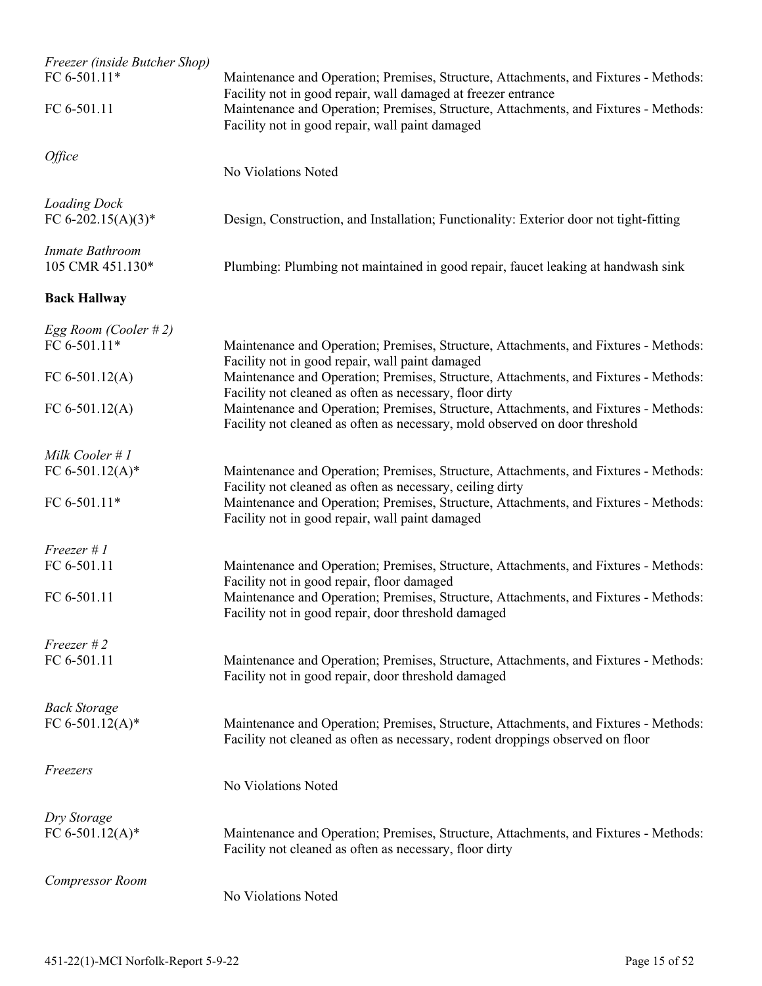| Freezer (inside Butcher Shop)<br>FC 6-501.11* | Maintenance and Operation; Premises, Structure, Attachments, and Fixtures - Methods:                                                                                                                     |
|-----------------------------------------------|----------------------------------------------------------------------------------------------------------------------------------------------------------------------------------------------------------|
| FC 6-501.11                                   | Facility not in good repair, wall damaged at freezer entrance<br>Maintenance and Operation; Premises, Structure, Attachments, and Fixtures - Methods:<br>Facility not in good repair, wall paint damaged |
| Office                                        | No Violations Noted                                                                                                                                                                                      |
| <b>Loading Dock</b><br>FC 6-202.15(A)(3)*     | Design, Construction, and Installation; Functionality: Exterior door not tight-fitting                                                                                                                   |
| Inmate Bathroom<br>105 CMR 451.130*           | Plumbing: Plumbing not maintained in good repair, faucet leaking at handwash sink                                                                                                                        |
| <b>Back Hallway</b>                           |                                                                                                                                                                                                          |
| Egg Room (Cooler #2)                          |                                                                                                                                                                                                          |
| FC 6-501.11*                                  | Maintenance and Operation; Premises, Structure, Attachments, and Fixtures - Methods:<br>Facility not in good repair, wall paint damaged                                                                  |
| FC $6-501.12(A)$                              | Maintenance and Operation; Premises, Structure, Attachments, and Fixtures - Methods:<br>Facility not cleaned as often as necessary, floor dirty                                                          |
| FC $6-501.12(A)$                              | Maintenance and Operation; Premises, Structure, Attachments, and Fixtures - Methods:<br>Facility not cleaned as often as necessary, mold observed on door threshold                                      |
| Milk Cooler # 1                               |                                                                                                                                                                                                          |
| FC 6-501.12(A)*                               | Maintenance and Operation; Premises, Structure, Attachments, and Fixtures - Methods:                                                                                                                     |
| FC 6-501.11*                                  | Facility not cleaned as often as necessary, ceiling dirty<br>Maintenance and Operation; Premises, Structure, Attachments, and Fixtures - Methods:<br>Facility not in good repair, wall paint damaged     |
| $Freezer \# I$                                |                                                                                                                                                                                                          |
| FC 6-501.11                                   | Maintenance and Operation; Premises, Structure, Attachments, and Fixtures - Methods:<br>Facility not in good repair, floor damaged                                                                       |
| FC 6-501.11                                   | Maintenance and Operation; Premises, Structure, Attachments, and Fixtures - Methods:<br>Facility not in good repair, door threshold damaged                                                              |
| $Freezer$ #2                                  |                                                                                                                                                                                                          |
| FC 6-501.11                                   | Maintenance and Operation; Premises, Structure, Attachments, and Fixtures - Methods:<br>Facility not in good repair, door threshold damaged                                                              |
| <b>Back Storage</b>                           |                                                                                                                                                                                                          |
| FC 6-501.12(A)*                               | Maintenance and Operation; Premises, Structure, Attachments, and Fixtures - Methods:<br>Facility not cleaned as often as necessary, rodent droppings observed on floor                                   |
| Freezers                                      | No Violations Noted                                                                                                                                                                                      |
| Dry Storage                                   |                                                                                                                                                                                                          |
| FC 6-501.12(A)*                               | Maintenance and Operation; Premises, Structure, Attachments, and Fixtures - Methods:<br>Facility not cleaned as often as necessary, floor dirty                                                          |
| <b>Compressor Room</b>                        | No Violations Noted                                                                                                                                                                                      |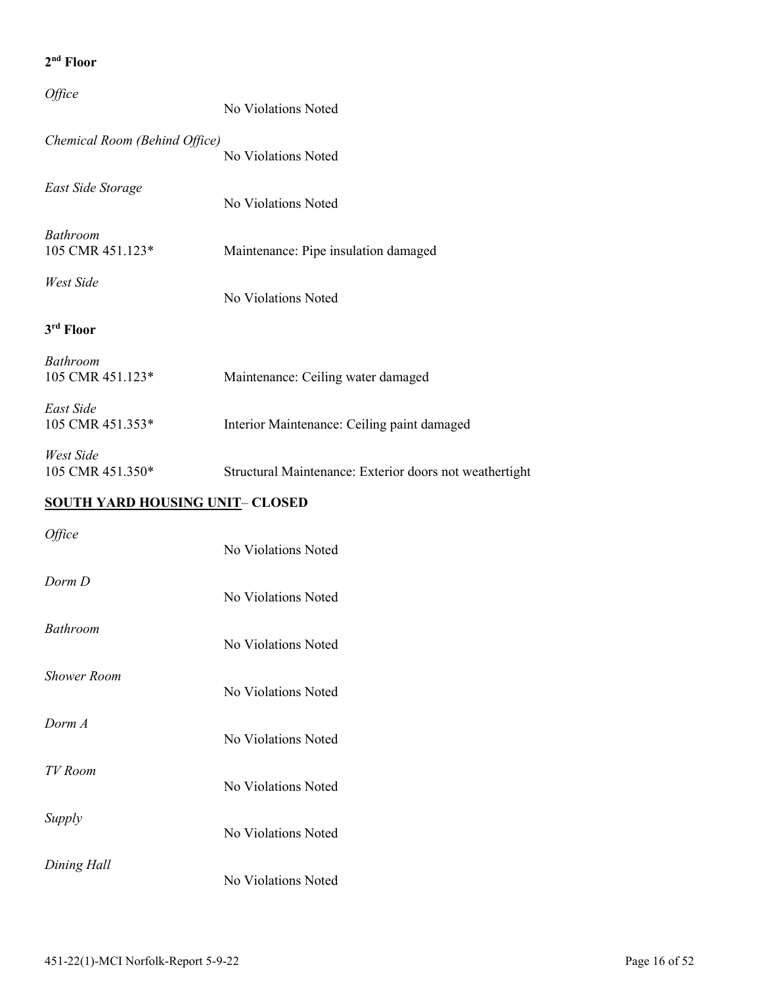| Office                                 | No Violations Noted                                     |
|----------------------------------------|---------------------------------------------------------|
| Chemical Room (Behind Office)          | No Violations Noted                                     |
| East Side Storage                      | No Violations Noted                                     |
| <b>Bathroom</b><br>105 CMR 451.123*    | Maintenance: Pipe insulation damaged                    |
| West Side                              | No Violations Noted                                     |
| 3 <sup>rd</sup> Floor                  |                                                         |
| Bathroom<br>105 CMR 451.123*           | Maintenance: Ceiling water damaged                      |
| East Side<br>105 CMR 451.353*          | Interior Maintenance: Ceiling paint damaged             |
| West Side<br>105 CMR 451.350*          | Structural Maintenance: Exterior doors not weathertight |
| <b>SOUTH YARD HOUSING UNIT- CLOSED</b> |                                                         |
| Office                                 | No Violations Noted                                     |
| Dorm D                                 | No Violations Noted                                     |
| Bathroom                               | No Violations Noted                                     |
| <b>Shower Room</b>                     | No Violations Noted                                     |
| Dorm A                                 | No Violations Noted                                     |
| TV Room                                | No Violations Noted                                     |
| Supply                                 | No Violations Noted                                     |
| Dining Hall                            | No Violations Noted                                     |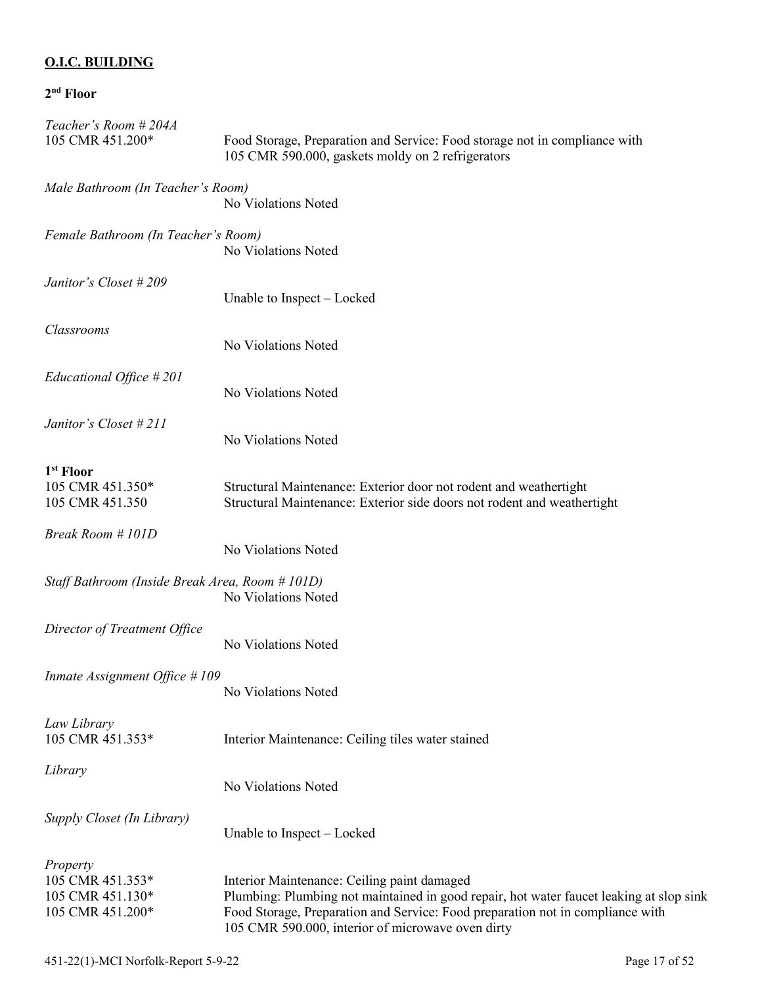### **O.I.C. BUILDING**

| Teacher's Room #204A<br>105 CMR 451.200*                             | Food Storage, Preparation and Service: Food storage not in compliance with<br>105 CMR 590.000, gaskets moldy on 2 refrigerators                                                                                                                                               |
|----------------------------------------------------------------------|-------------------------------------------------------------------------------------------------------------------------------------------------------------------------------------------------------------------------------------------------------------------------------|
| Male Bathroom (In Teacher's Room)                                    | No Violations Noted                                                                                                                                                                                                                                                           |
| Female Bathroom (In Teacher's Room)                                  | No Violations Noted                                                                                                                                                                                                                                                           |
| Janitor's Closet #209                                                | Unable to Inspect – Locked                                                                                                                                                                                                                                                    |
| Classrooms                                                           | No Violations Noted                                                                                                                                                                                                                                                           |
| Educational Office $#201$                                            | No Violations Noted                                                                                                                                                                                                                                                           |
| Janitor's Closet #211                                                | No Violations Noted                                                                                                                                                                                                                                                           |
| 1 <sup>st</sup> Floor<br>105 CMR 451.350*<br>105 CMR 451.350         | Structural Maintenance: Exterior door not rodent and weathertight<br>Structural Maintenance: Exterior side doors not rodent and weathertight                                                                                                                                  |
| Break Room # 101D                                                    | No Violations Noted                                                                                                                                                                                                                                                           |
| Staff Bathroom (Inside Break Area, Room # 101D)                      | No Violations Noted                                                                                                                                                                                                                                                           |
| Director of Treatment Office                                         | No Violations Noted                                                                                                                                                                                                                                                           |
| Inmate Assignment Office # 109                                       | No Violations Noted                                                                                                                                                                                                                                                           |
| Law Library<br>105 CMR 451.353*                                      | Interior Maintenance: Ceiling tiles water stained                                                                                                                                                                                                                             |
| Library                                                              | No Violations Noted                                                                                                                                                                                                                                                           |
| Supply Closet (In Library)                                           | Unable to Inspect – Locked                                                                                                                                                                                                                                                    |
| Property<br>105 CMR 451.353*<br>105 CMR 451.130*<br>105 CMR 451.200* | Interior Maintenance: Ceiling paint damaged<br>Plumbing: Plumbing not maintained in good repair, hot water faucet leaking at slop sink<br>Food Storage, Preparation and Service: Food preparation not in compliance with<br>105 CMR 590.000, interior of microwave oven dirty |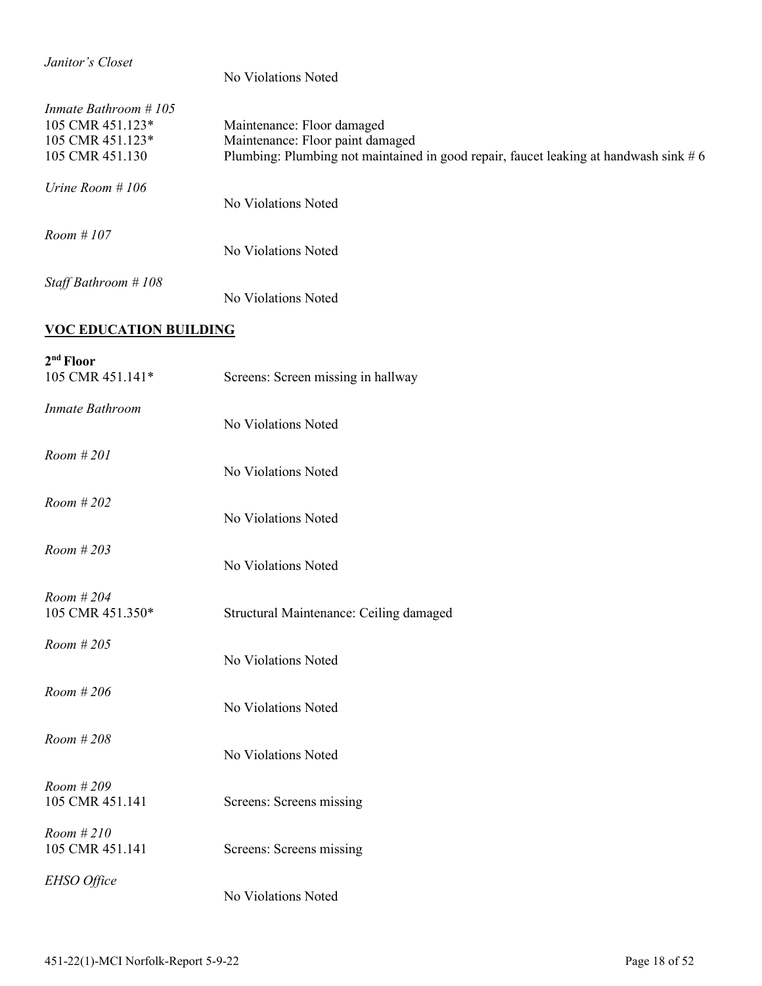| Janitor's Closet                                                                | No Violations Noted                                                                                                                                    |
|---------------------------------------------------------------------------------|--------------------------------------------------------------------------------------------------------------------------------------------------------|
| Inmate Bathroom #105<br>105 CMR 451.123*<br>105 CMR 451.123*<br>105 CMR 451.130 | Maintenance: Floor damaged<br>Maintenance: Floor paint damaged<br>Plumbing: Plumbing not maintained in good repair, faucet leaking at handwash sink #6 |
| Urine Room #106                                                                 | No Violations Noted                                                                                                                                    |
| Room # 107                                                                      | No Violations Noted                                                                                                                                    |
| Staff Bathroom #108                                                             | No Violations Noted                                                                                                                                    |
| <b>VOC EDUCATION BUILDING</b>                                                   |                                                                                                                                                        |
| 2 <sup>nd</sup> Floor<br>105 CMR 451.141*                                       | Screens: Screen missing in hallway                                                                                                                     |
| Inmate Bathroom                                                                 | No Violations Noted                                                                                                                                    |
| Room # 201                                                                      | No Violations Noted                                                                                                                                    |
| Room # 202                                                                      | No Violations Noted                                                                                                                                    |
| Room # 203                                                                      | No Violations Noted                                                                                                                                    |
| Room # 204<br>105 CMR 451.350*                                                  | Structural Maintenance: Ceiling damaged                                                                                                                |
| Room # 205                                                                      | No Violations Noted                                                                                                                                    |
| Room #206                                                                       | No Violations Noted                                                                                                                                    |
| Room # 208                                                                      | No Violations Noted                                                                                                                                    |
| Room #209<br>105 CMR 451.141                                                    | Screens: Screens missing                                                                                                                               |
| Room #210<br>105 CMR 451.141                                                    | Screens: Screens missing                                                                                                                               |
| EHSO Office                                                                     | No Violations Noted                                                                                                                                    |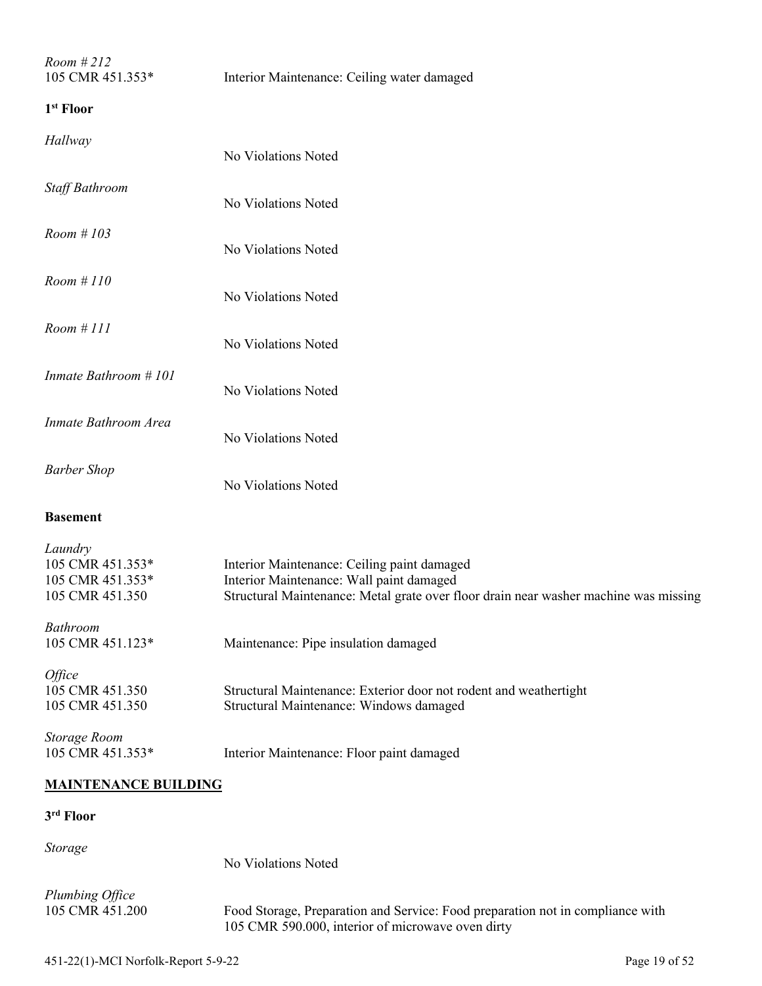| Room #212<br>105 CMR 451.353*                                      | Interior Maintenance: Ceiling water damaged                                                                                                                                     |
|--------------------------------------------------------------------|---------------------------------------------------------------------------------------------------------------------------------------------------------------------------------|
| 1 <sup>st</sup> Floor                                              |                                                                                                                                                                                 |
| Hallway                                                            | No Violations Noted                                                                                                                                                             |
| Staff Bathroom                                                     | No Violations Noted                                                                                                                                                             |
| Room # 103                                                         | No Violations Noted                                                                                                                                                             |
| Room #110                                                          | No Violations Noted                                                                                                                                                             |
| Room #III                                                          | No Violations Noted                                                                                                                                                             |
| Inmate Bathroom #101                                               | No Violations Noted                                                                                                                                                             |
| Inmate Bathroom Area                                               | No Violations Noted                                                                                                                                                             |
| <b>Barber Shop</b>                                                 | No Violations Noted                                                                                                                                                             |
| <b>Basement</b>                                                    |                                                                                                                                                                                 |
| Laundry<br>105 CMR 451.353*<br>105 CMR 451.353*<br>105 CMR 451.350 | Interior Maintenance: Ceiling paint damaged<br>Interior Maintenance: Wall paint damaged<br>Structural Maintenance: Metal grate over floor drain near washer machine was missing |
| <b>Bathroom</b><br>105 CMR 451.123*                                | Maintenance: Pipe insulation damaged                                                                                                                                            |
| Office<br>105 CMR 451.350<br>105 CMR 451.350                       | Structural Maintenance: Exterior door not rodent and weathertight<br>Structural Maintenance: Windows damaged                                                                    |
| <b>Storage Room</b><br>105 CMR 451.353*                            | Interior Maintenance: Floor paint damaged                                                                                                                                       |
| <b>MAINTENANCE BUILDING</b>                                        |                                                                                                                                                                                 |
| 3rd Floor                                                          |                                                                                                                                                                                 |
| Storage                                                            | No Violations Noted                                                                                                                                                             |
| Plumbing Office<br>105 CMR 451.200                                 | Food Storage, Preparation and Service: Food preparation not in compliance with                                                                                                  |

105 CMR 590.000, interior of microwave oven dirty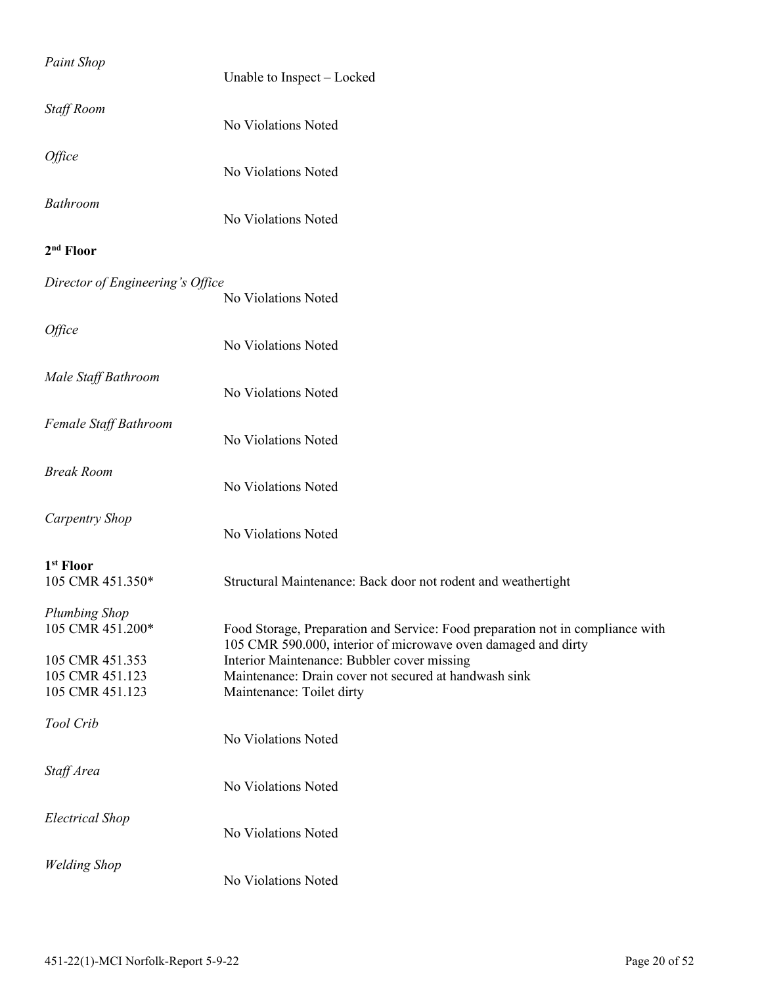| <b>Paint Shop</b>                         | Unable to Inspect - Locked                                                                                                                      |
|-------------------------------------------|-------------------------------------------------------------------------------------------------------------------------------------------------|
| <b>Staff Room</b>                         | No Violations Noted                                                                                                                             |
| Office                                    | No Violations Noted                                                                                                                             |
| Bathroom                                  | No Violations Noted                                                                                                                             |
| 2 <sup>nd</sup> Floor                     |                                                                                                                                                 |
| Director of Engineering's Office          | No Violations Noted                                                                                                                             |
| Office                                    | No Violations Noted                                                                                                                             |
| Male Staff Bathroom                       | No Violations Noted                                                                                                                             |
| Female Staff Bathroom                     | No Violations Noted                                                                                                                             |
| <b>Break Room</b>                         | No Violations Noted                                                                                                                             |
| <b>Carpentry Shop</b>                     | No Violations Noted                                                                                                                             |
| 1 <sup>st</sup> Floor<br>105 CMR 451.350* | Structural Maintenance: Back door not rodent and weathertight                                                                                   |
| <b>Plumbing Shop</b><br>105 CMR 451.200*  | Food Storage, Preparation and Service: Food preparation not in compliance with<br>105 CMR 590.000, interior of microwave oven damaged and dirty |
| 105 CMR 451.353<br>105 CMR 451.123        | Interior Maintenance: Bubbler cover missing<br>Maintenance: Drain cover not secured at handwash sink                                            |
| 105 CMR 451.123                           | Maintenance: Toilet dirty                                                                                                                       |
| Tool Crib                                 | No Violations Noted                                                                                                                             |
| Staff Area                                | No Violations Noted                                                                                                                             |
| <b>Electrical Shop</b>                    | No Violations Noted                                                                                                                             |
| <b>Welding Shop</b>                       | No Violations Noted                                                                                                                             |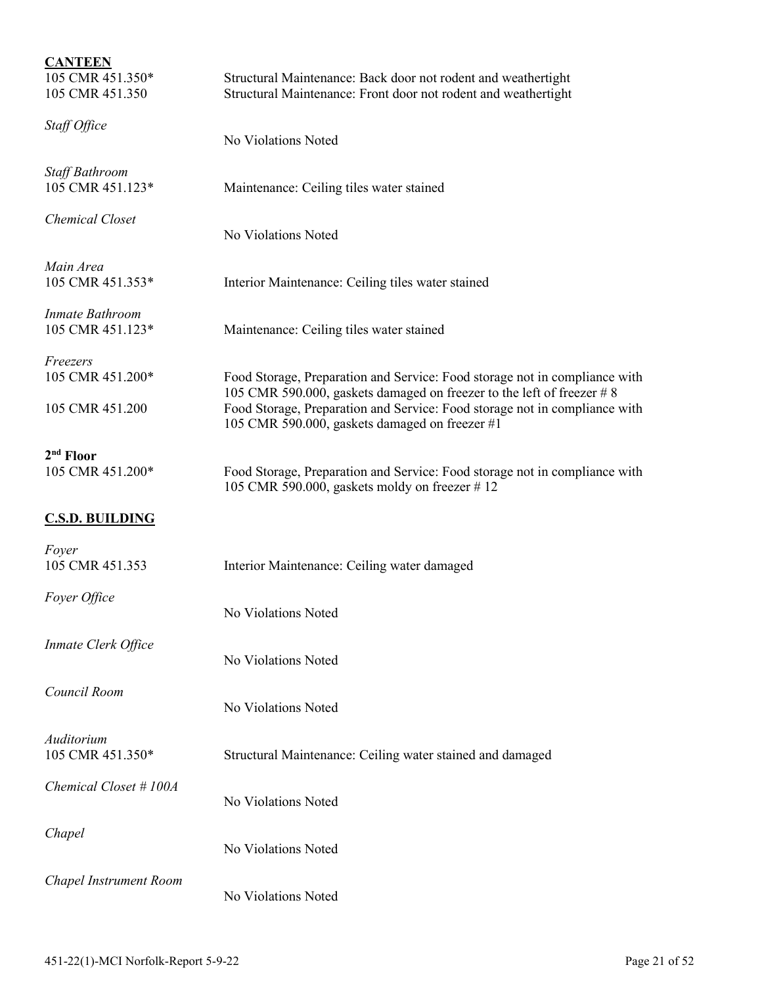| <b>CANTEEN</b><br>105 CMR 451.350*<br>105 CMR 451.350 | Structural Maintenance: Back door not rodent and weathertight<br>Structural Maintenance: Front door not rodent and weathertight                     |
|-------------------------------------------------------|-----------------------------------------------------------------------------------------------------------------------------------------------------|
| Staff Office                                          | No Violations Noted                                                                                                                                 |
| <b>Staff Bathroom</b><br>105 CMR 451.123*             | Maintenance: Ceiling tiles water stained                                                                                                            |
| Chemical Closet                                       | No Violations Noted                                                                                                                                 |
| Main Area<br>105 CMR 451.353*                         | Interior Maintenance: Ceiling tiles water stained                                                                                                   |
| Inmate Bathroom<br>105 CMR 451.123*                   | Maintenance: Ceiling tiles water stained                                                                                                            |
| Freezers<br>105 CMR 451.200*                          | Food Storage, Preparation and Service: Food storage not in compliance with<br>105 CMR 590.000, gaskets damaged on freezer to the left of freezer #8 |
| 105 CMR 451.200                                       | Food Storage, Preparation and Service: Food storage not in compliance with<br>105 CMR 590.000, gaskets damaged on freezer #1                        |
| $2nd$ Floor<br>105 CMR 451.200*                       | Food Storage, Preparation and Service: Food storage not in compliance with<br>105 CMR 590.000, gaskets moldy on freezer #12                         |
| <b>C.S.D. BUILDING</b>                                |                                                                                                                                                     |
| Foyer<br>105 CMR 451.353                              | Interior Maintenance: Ceiling water damaged                                                                                                         |
| Foyer Office                                          | No Violations Noted                                                                                                                                 |
| Inmate Clerk Office                                   | No Violations Noted                                                                                                                                 |
| Council Room                                          | No Violations Noted                                                                                                                                 |
| Auditorium<br>105 CMR 451.350*                        | Structural Maintenance: Ceiling water stained and damaged                                                                                           |
| Chemical Closet #100A                                 | No Violations Noted                                                                                                                                 |
| Chapel                                                | No Violations Noted                                                                                                                                 |
| Chapel Instrument Room                                | No Violations Noted                                                                                                                                 |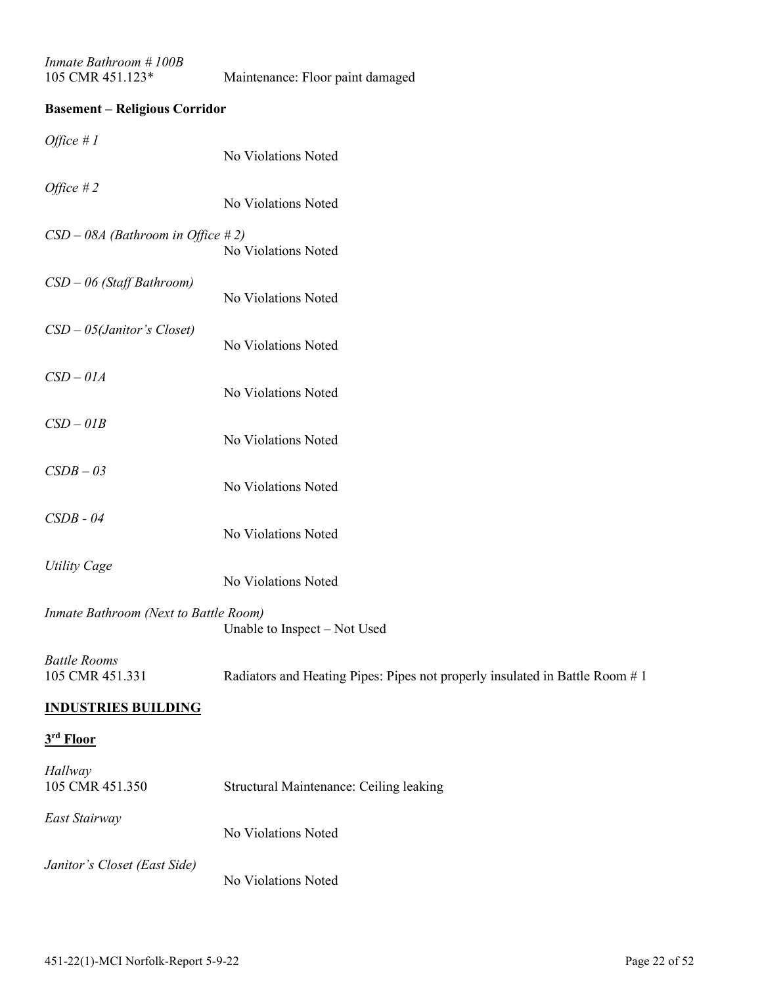| Inmate Bathroom #100B |  |
|-----------------------|--|
| 105 CMR $451.123*$    |  |

### Maintenance: Floor paint damaged

### **Basement – Religious Corridor**

| <i>Office</i> # $1$                    | No Violations Noted                                                          |
|----------------------------------------|------------------------------------------------------------------------------|
| Office $#2$                            | No Violations Noted                                                          |
| $CSD - 08A$ (Bathroom in Office #2)    | No Violations Noted                                                          |
| $CSD - 06$ (Staff Bathroom)            | No Violations Noted                                                          |
| $CSD - 05$ (Janitor's Closet)          | No Violations Noted                                                          |
| $CSD-01A$                              | No Violations Noted                                                          |
| $CSD-01B$                              | No Violations Noted                                                          |
| $CSDB - 03$                            | No Violations Noted                                                          |
| $CSDB - 04$                            | No Violations Noted                                                          |
| <b>Utility Cage</b>                    | No Violations Noted                                                          |
| Inmate Bathroom (Next to Battle Room)  | Unable to Inspect - Not Used                                                 |
| <b>Battle Rooms</b><br>105 CMR 451.331 | Radiators and Heating Pipes: Pipes not properly insulated in Battle Room # 1 |
| <b>INDUSTRIES BUILDING</b>             |                                                                              |
| 3rd Floor                              |                                                                              |
| Hallway<br>105 CMR 451.350             | Structural Maintenance: Ceiling leaking                                      |
| East Stairway                          | No Violations Noted                                                          |
| Janitor's Closet (East Side)           | No Violations Noted                                                          |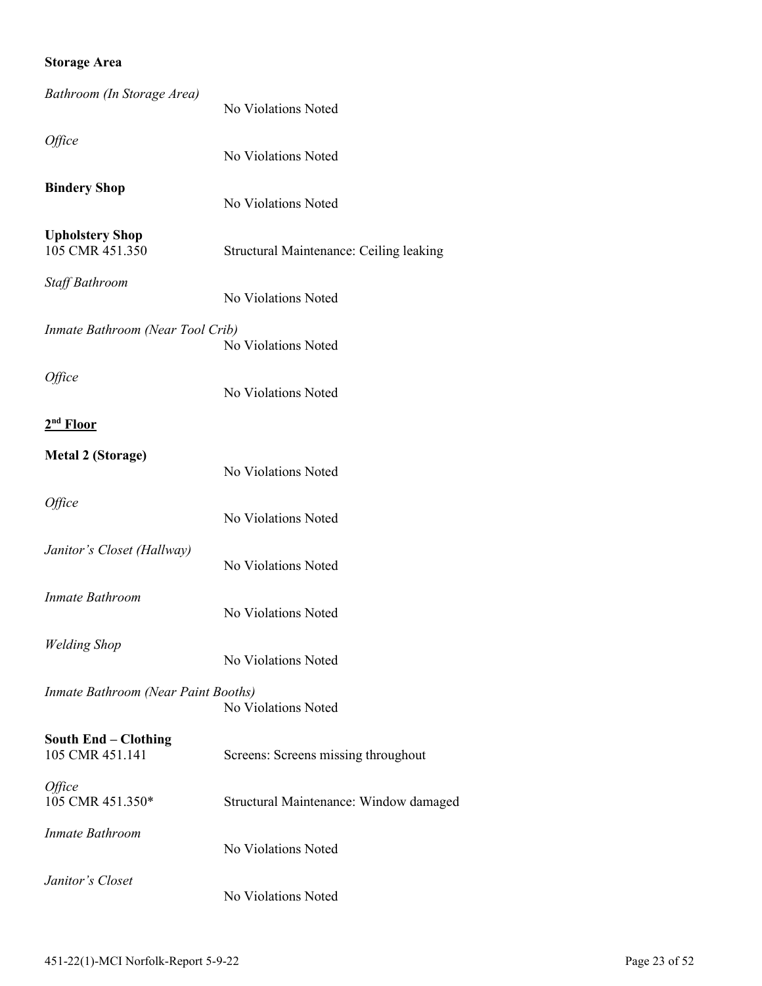### **Storage Area**

| Bathroom (In Storage Area)                     | No Violations Noted                     |
|------------------------------------------------|-----------------------------------------|
| Office                                         | No Violations Noted                     |
| <b>Bindery Shop</b>                            | No Violations Noted                     |
| <b>Upholstery Shop</b><br>105 CMR 451.350      | Structural Maintenance: Ceiling leaking |
| Staff Bathroom                                 | No Violations Noted                     |
| Inmate Bathroom (Near Tool Crib)               | No Violations Noted                     |
| <i><b>Office</b></i>                           | No Violations Noted                     |
| 2 <sup>nd</sup> Floor                          |                                         |
| <b>Metal 2 (Storage)</b>                       | No Violations Noted                     |
| Office                                         | No Violations Noted                     |
| Janitor's Closet (Hallway)                     | No Violations Noted                     |
| <b>Inmate Bathroom</b>                         | No Violations Noted                     |
| <b>Welding Shop</b>                            | No Violations Noted                     |
| Inmate Bathroom (Near Paint Booths)            | No Violations Noted                     |
| <b>South End - Clothing</b><br>105 CMR 451.141 | Screens: Screens missing throughout     |
| Office<br>105 CMR 451.350*                     | Structural Maintenance: Window damaged  |
| Inmate Bathroom                                | No Violations Noted                     |
| Janitor's Closet                               | No Violations Noted                     |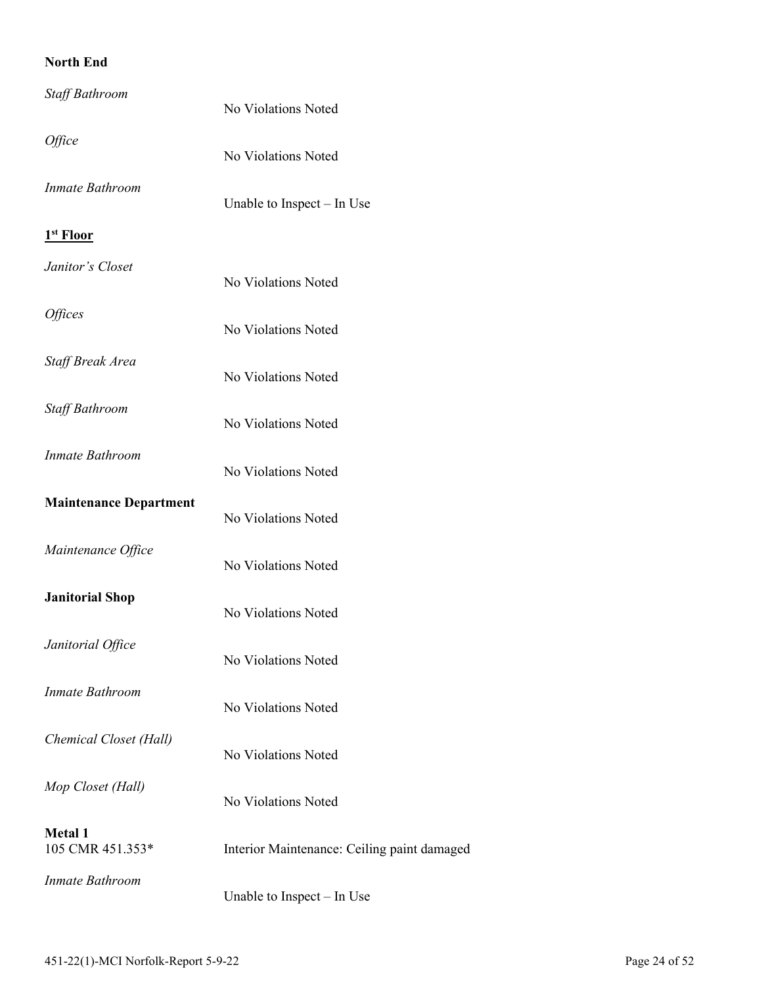### **North End**

| Staff Bathroom                     | No Violations Noted                         |  |  |
|------------------------------------|---------------------------------------------|--|--|
| Office                             | No Violations Noted                         |  |  |
| Inmate Bathroom                    | Unable to Inspect $-$ In Use                |  |  |
| 1 <sup>st</sup> Floor              |                                             |  |  |
| Janitor's Closet                   | No Violations Noted                         |  |  |
| <i><b>Offices</b></i>              | No Violations Noted                         |  |  |
| Staff Break Area                   | No Violations Noted                         |  |  |
| Staff Bathroom                     | No Violations Noted                         |  |  |
| Inmate Bathroom                    | No Violations Noted                         |  |  |
| <b>Maintenance Department</b>      | No Violations Noted                         |  |  |
| Maintenance Office                 | No Violations Noted                         |  |  |
| <b>Janitorial Shop</b>             | No Violations Noted                         |  |  |
| Janitorial Office                  | No Violations Noted                         |  |  |
| Inmate Bathroom                    | No Violations Noted                         |  |  |
| Chemical Closet (Hall)             | No Violations Noted                         |  |  |
| Mop Closet (Hall)                  | No Violations Noted                         |  |  |
| <b>Metal 1</b><br>105 CMR 451.353* | Interior Maintenance: Ceiling paint damaged |  |  |
| <b>Inmate Bathroom</b>             | Unable to Inspect - In Use                  |  |  |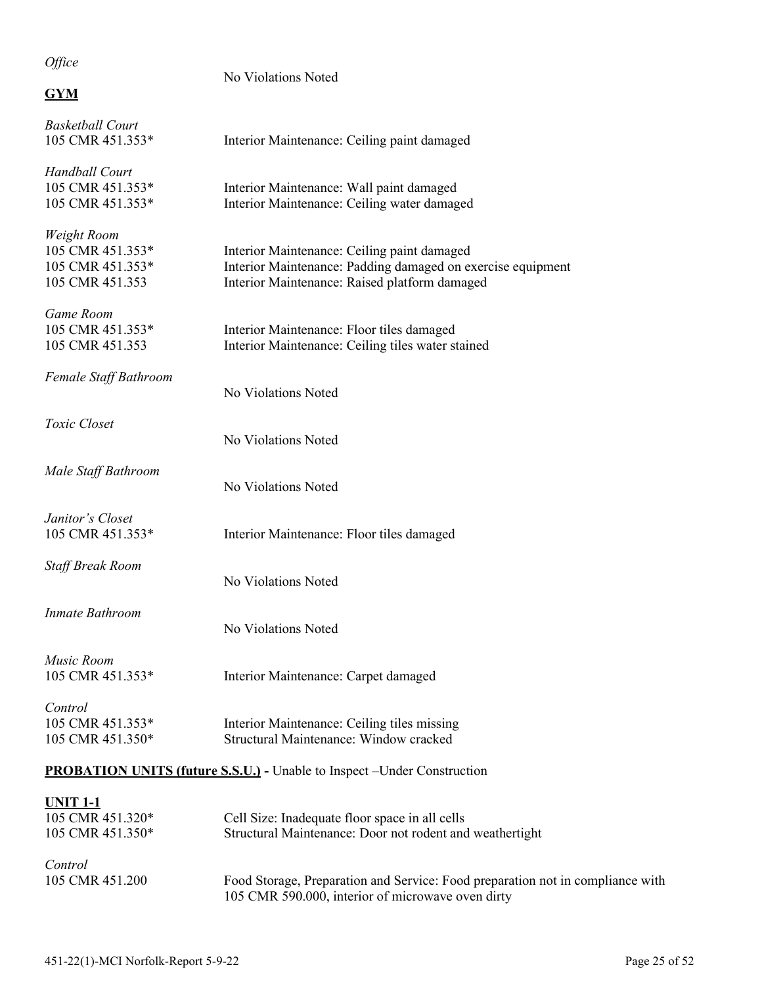### *Office*

| $Q_l$ ice                                                              | No Violations Noted                                                                                                                                         |
|------------------------------------------------------------------------|-------------------------------------------------------------------------------------------------------------------------------------------------------------|
| <b>GYM</b>                                                             |                                                                                                                                                             |
| <b>Basketball Court</b><br>105 CMR 451.353*                            | Interior Maintenance: Ceiling paint damaged                                                                                                                 |
| Handball Court<br>105 CMR 451.353*<br>105 CMR 451.353*                 | Interior Maintenance: Wall paint damaged<br>Interior Maintenance: Ceiling water damaged                                                                     |
| Weight Room<br>105 CMR 451.353*<br>105 CMR 451.353*<br>105 CMR 451.353 | Interior Maintenance: Ceiling paint damaged<br>Interior Maintenance: Padding damaged on exercise equipment<br>Interior Maintenance: Raised platform damaged |
| Game Room<br>105 CMR 451.353*<br>105 CMR 451.353                       | Interior Maintenance: Floor tiles damaged<br>Interior Maintenance: Ceiling tiles water stained                                                              |
| Female Staff Bathroom                                                  | No Violations Noted                                                                                                                                         |
| Toxic Closet                                                           | No Violations Noted                                                                                                                                         |
| Male Staff Bathroom                                                    | No Violations Noted                                                                                                                                         |
| Janitor's Closet<br>105 CMR 451.353*                                   | Interior Maintenance: Floor tiles damaged                                                                                                                   |
| Staff Break Room                                                       | No Violations Noted                                                                                                                                         |
| Inmate Bathroom                                                        | No Violations Noted                                                                                                                                         |
| Music Room<br>105 CMR 451.353*                                         | Interior Maintenance: Carpet damaged                                                                                                                        |
| Control<br>105 CMR 451.353*<br>105 CMR 451.350*                        | Interior Maintenance: Ceiling tiles missing<br>Structural Maintenance: Window cracked                                                                       |
|                                                                        | <b>PROBATION UNITS (future S.S.U.)</b> - Unable to Inspect - Under Construction                                                                             |
| <b>UNIT 1-1</b><br>105 CMR 451.320*<br>105 CMR 451.350*                | Cell Size: Inadequate floor space in all cells<br>Structural Maintenance: Door not rodent and weathertight                                                  |
| Control<br>105 CMR 451.200                                             | Food Storage, Preparation and Service: Food preparation not in compliance with                                                                              |

105 CMR 590.000, interior of microwave oven dirty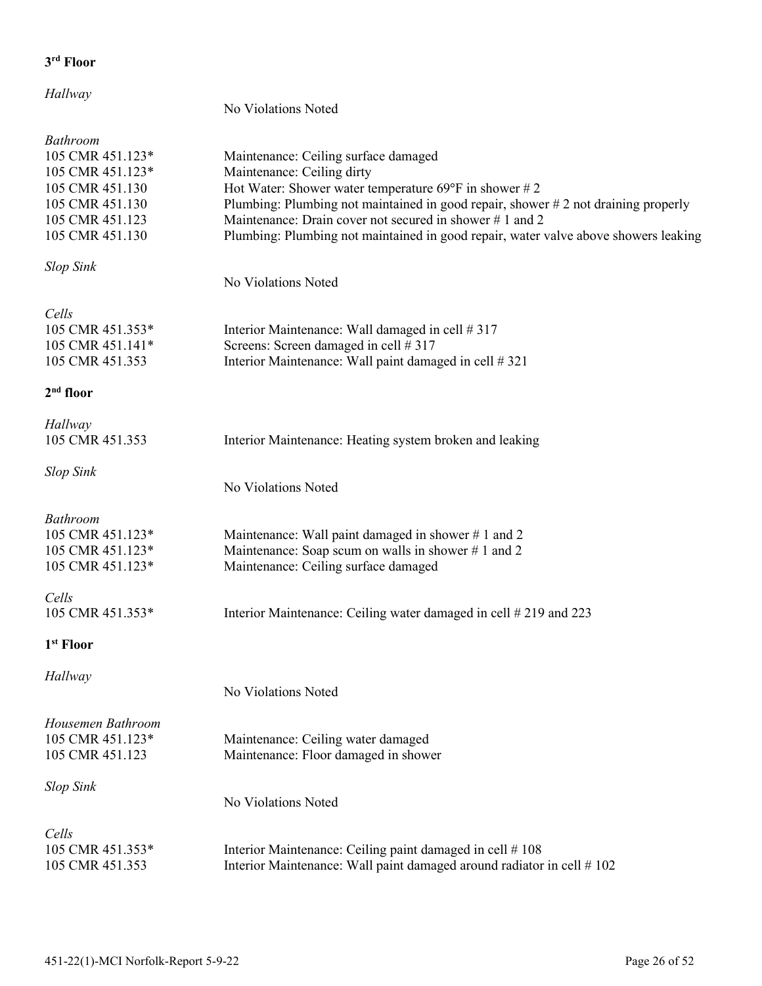# *Hallway*

|                                                                                                                                     | No Violations Noted                                                                                                                                                                                                                                                                                                                                                           |
|-------------------------------------------------------------------------------------------------------------------------------------|-------------------------------------------------------------------------------------------------------------------------------------------------------------------------------------------------------------------------------------------------------------------------------------------------------------------------------------------------------------------------------|
| <b>Bathroom</b><br>105 CMR 451.123*<br>105 CMR 451.123*<br>105 CMR 451.130<br>105 CMR 451.130<br>105 CMR 451.123<br>105 CMR 451.130 | Maintenance: Ceiling surface damaged<br>Maintenance: Ceiling dirty<br>Hot Water: Shower water temperature 69 $\degree$ F in shower # 2<br>Plumbing: Plumbing not maintained in good repair, shower #2 not draining properly<br>Maintenance: Drain cover not secured in shower #1 and 2<br>Plumbing: Plumbing not maintained in good repair, water valve above showers leaking |
| <b>Slop Sink</b>                                                                                                                    |                                                                                                                                                                                                                                                                                                                                                                               |
|                                                                                                                                     | No Violations Noted                                                                                                                                                                                                                                                                                                                                                           |
| Cells<br>105 CMR 451.353*<br>105 CMR 451.141*<br>105 CMR 451.353                                                                    | Interior Maintenance: Wall damaged in cell #317<br>Screens: Screen damaged in cell #317<br>Interior Maintenance: Wall paint damaged in cell # 321                                                                                                                                                                                                                             |
| $2nd$ floor                                                                                                                         |                                                                                                                                                                                                                                                                                                                                                                               |
| Hallway<br>105 CMR 451.353                                                                                                          | Interior Maintenance: Heating system broken and leaking                                                                                                                                                                                                                                                                                                                       |
| <b>Slop Sink</b>                                                                                                                    | No Violations Noted                                                                                                                                                                                                                                                                                                                                                           |
| <b>Bathroom</b><br>105 CMR 451.123*<br>105 CMR 451.123*<br>105 CMR 451.123*                                                         | Maintenance: Wall paint damaged in shower #1 and 2<br>Maintenance: Soap scum on walls in shower #1 and 2<br>Maintenance: Ceiling surface damaged                                                                                                                                                                                                                              |
| Cells<br>105 CMR 451.353*                                                                                                           | Interior Maintenance: Ceiling water damaged in cell #219 and 223                                                                                                                                                                                                                                                                                                              |
| 1 <sup>st</sup> Floor                                                                                                               |                                                                                                                                                                                                                                                                                                                                                                               |
| Hallway                                                                                                                             | No Violations Noted                                                                                                                                                                                                                                                                                                                                                           |
| Housemen Bathroom<br>105 CMR 451.123*<br>105 CMR 451.123                                                                            | Maintenance: Ceiling water damaged<br>Maintenance: Floor damaged in shower                                                                                                                                                                                                                                                                                                    |
| <b>Slop Sink</b>                                                                                                                    | No Violations Noted                                                                                                                                                                                                                                                                                                                                                           |
| Cells<br>105 CMR 451.353*<br>105 CMR 451.353                                                                                        | Interior Maintenance: Ceiling paint damaged in cell #108<br>Interior Maintenance: Wall paint damaged around radiator in cell #102                                                                                                                                                                                                                                             |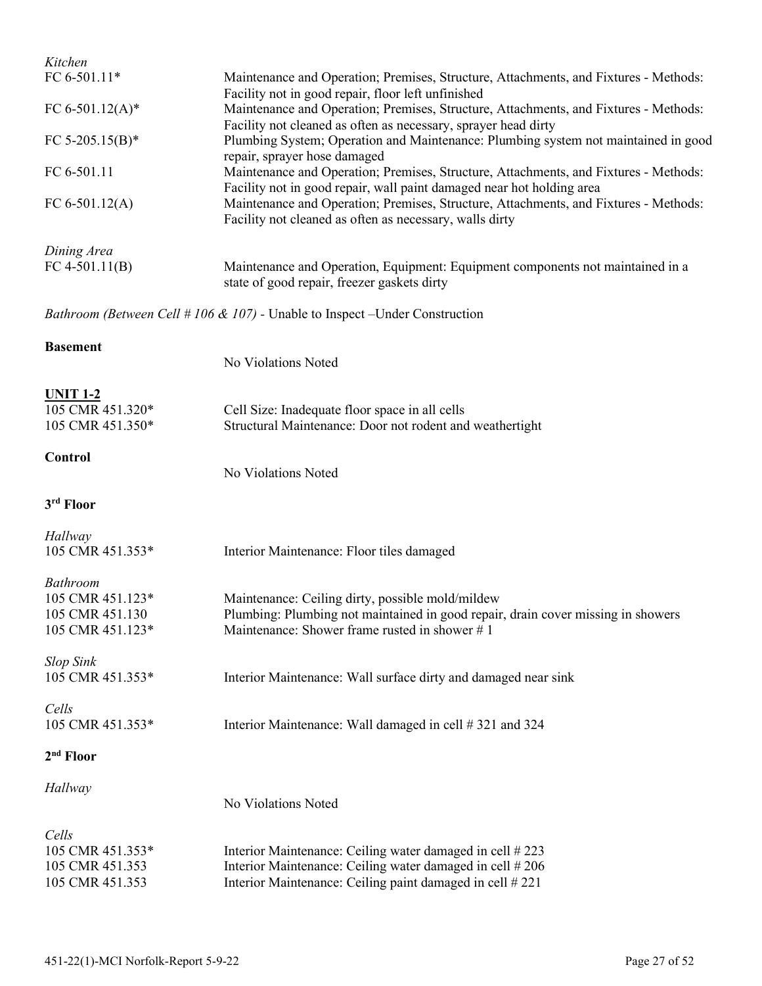| Kitchen                             |                                                                                                                                                                                      |  |  |  |
|-------------------------------------|--------------------------------------------------------------------------------------------------------------------------------------------------------------------------------------|--|--|--|
| FC 6-501.11*                        | Maintenance and Operation; Premises, Structure, Attachments, and Fixtures - Methods:                                                                                                 |  |  |  |
| FC 6-501.12(A)*                     | Facility not in good repair, floor left unfinished<br>Maintenance and Operation; Premises, Structure, Attachments, and Fixtures - Methods:                                           |  |  |  |
|                                     | Facility not cleaned as often as necessary, sprayer head dirty<br>Plumbing System; Operation and Maintenance: Plumbing system not maintained in good<br>repair, sprayer hose damaged |  |  |  |
| FC 5-205.15(B)*                     |                                                                                                                                                                                      |  |  |  |
| FC 6-501.11                         | Maintenance and Operation; Premises, Structure, Attachments, and Fixtures - Methods:<br>Facility not in good repair, wall paint damaged near hot holding area                        |  |  |  |
| FC 6-501.12(A)                      | Maintenance and Operation; Premises, Structure, Attachments, and Fixtures - Methods:<br>Facility not cleaned as often as necessary, walls dirty                                      |  |  |  |
| Dining Area                         |                                                                                                                                                                                      |  |  |  |
| $FC 4-501.11(B)$                    | Maintenance and Operation, Equipment: Equipment components not maintained in a<br>state of good repair, freezer gaskets dirty                                                        |  |  |  |
|                                     | <i>Bathroom (Between Cell #106 &amp; 107)</i> - Unable to Inspect – Under Construction                                                                                               |  |  |  |
| <b>Basement</b>                     |                                                                                                                                                                                      |  |  |  |
|                                     | No Violations Noted                                                                                                                                                                  |  |  |  |
| <b>UNIT 1-2</b>                     |                                                                                                                                                                                      |  |  |  |
| 105 CMR 451.320*                    | Cell Size: Inadequate floor space in all cells                                                                                                                                       |  |  |  |
| 105 CMR 451.350*                    | Structural Maintenance: Door not rodent and weathertight                                                                                                                             |  |  |  |
| Control                             | No Violations Noted                                                                                                                                                                  |  |  |  |
| 3rd Floor                           |                                                                                                                                                                                      |  |  |  |
| Hallway                             |                                                                                                                                                                                      |  |  |  |
| 105 CMR 451.353*                    | Interior Maintenance: Floor tiles damaged                                                                                                                                            |  |  |  |
|                                     |                                                                                                                                                                                      |  |  |  |
| <b>Bathroom</b><br>105 CMR 451.123* | Maintenance: Ceiling dirty, possible mold/mildew                                                                                                                                     |  |  |  |
| 105 CMR 451.130                     | Plumbing: Plumbing not maintained in good repair, drain cover missing in showers                                                                                                     |  |  |  |
| 105 CMR 451.123*                    | Maintenance: Shower frame rusted in shower #1                                                                                                                                        |  |  |  |
| <b>Slop Sink</b>                    |                                                                                                                                                                                      |  |  |  |
| 105 CMR 451.353*                    | Interior Maintenance: Wall surface dirty and damaged near sink                                                                                                                       |  |  |  |
| Cells                               |                                                                                                                                                                                      |  |  |  |
| 105 CMR 451.353*                    | Interior Maintenance: Wall damaged in cell #321 and 324                                                                                                                              |  |  |  |
| $2nd$ Floor                         |                                                                                                                                                                                      |  |  |  |
| Hallway                             |                                                                                                                                                                                      |  |  |  |
|                                     | No Violations Noted                                                                                                                                                                  |  |  |  |
| Cells                               |                                                                                                                                                                                      |  |  |  |
| 105 CMR 451.353*                    | Interior Maintenance: Ceiling water damaged in cell #223                                                                                                                             |  |  |  |
| 105 CMR 451.353                     | Interior Maintenance: Ceiling water damaged in cell #206                                                                                                                             |  |  |  |
| 105 CMR 451.353                     | Interior Maintenance: Ceiling paint damaged in cell #221                                                                                                                             |  |  |  |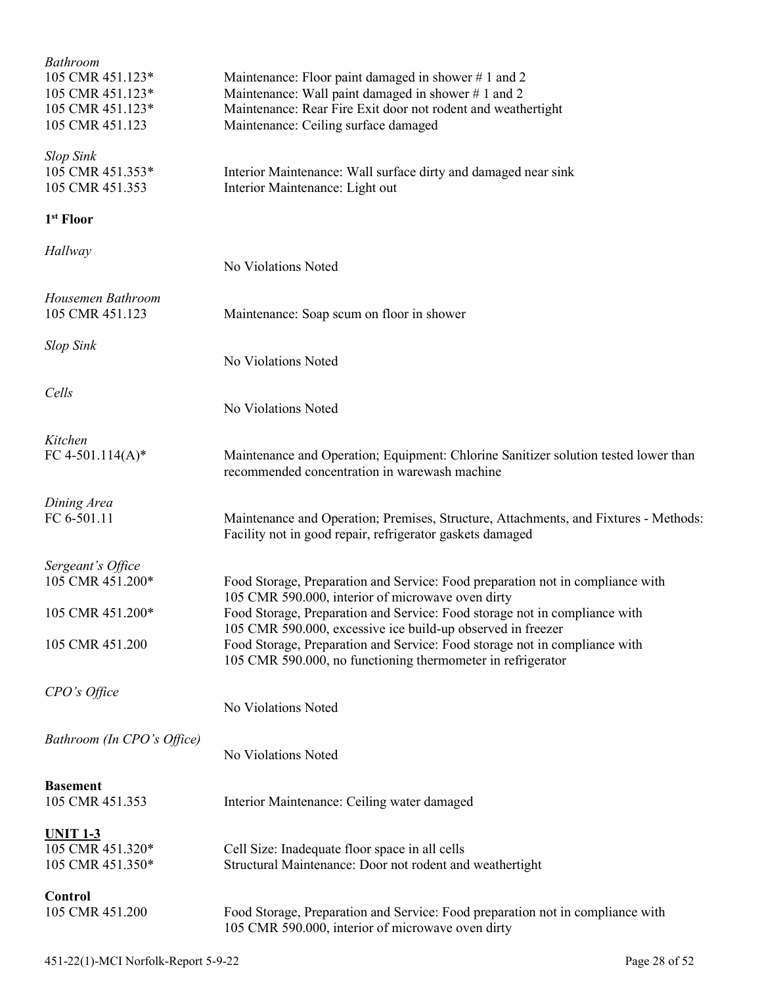| <b>Bathroom</b><br>105 CMR 451.123*<br>105 CMR 451.123*<br>105 CMR 451.123*<br>105 CMR 451.123 | Maintenance: Floor paint damaged in shower $# 1$ and 2<br>Maintenance: Wall paint damaged in shower #1 and 2<br>Maintenance: Rear Fire Exit door not rodent and weathertight<br>Maintenance: Ceiling surface damaged |  |  |
|------------------------------------------------------------------------------------------------|----------------------------------------------------------------------------------------------------------------------------------------------------------------------------------------------------------------------|--|--|
| <b>Slop Sink</b><br>105 CMR 451.353*<br>105 CMR 451.353                                        | Interior Maintenance: Wall surface dirty and damaged near sink<br>Interior Maintenance: Light out                                                                                                                    |  |  |
| 1 <sup>st</sup> Floor                                                                          |                                                                                                                                                                                                                      |  |  |
| Hallway                                                                                        | No Violations Noted                                                                                                                                                                                                  |  |  |
| Housemen Bathroom<br>105 CMR 451.123                                                           | Maintenance: Soap scum on floor in shower                                                                                                                                                                            |  |  |
| <b>Slop Sink</b>                                                                               | No Violations Noted                                                                                                                                                                                                  |  |  |
| Cells                                                                                          | No Violations Noted                                                                                                                                                                                                  |  |  |
| Kitchen<br>FC 4-501.114(A)*                                                                    | Maintenance and Operation; Equipment: Chlorine Sanitizer solution tested lower than<br>recommended concentration in warewash machine                                                                                 |  |  |
| Dining Area<br>FC 6-501.11                                                                     | Maintenance and Operation; Premises, Structure, Attachments, and Fixtures - Methods:<br>Facility not in good repair, refrigerator gaskets damaged                                                                    |  |  |
| Sergeant's Office<br>105 CMR 451.200*                                                          | Food Storage, Preparation and Service: Food preparation not in compliance with<br>105 CMR 590.000, interior of microwave oven dirty                                                                                  |  |  |
| 105 CMR 451.200*                                                                               | Food Storage, Preparation and Service: Food storage not in compliance with<br>105 CMR 590.000, excessive ice build-up observed in freezer                                                                            |  |  |
| 105 CMR 451.200                                                                                | Food Storage, Preparation and Service: Food storage not in compliance with<br>105 CMR 590.000, no functioning thermometer in refrigerator                                                                            |  |  |
| CPO's Office                                                                                   | No Violations Noted                                                                                                                                                                                                  |  |  |
| Bathroom (In CPO's Office)                                                                     | No Violations Noted                                                                                                                                                                                                  |  |  |
| <b>Basement</b><br>105 CMR 451.353                                                             | Interior Maintenance: Ceiling water damaged                                                                                                                                                                          |  |  |
| <u><b>UNIT 1-3</b></u><br>105 CMR 451.320*<br>105 CMR 451.350*                                 | Cell Size: Inadequate floor space in all cells<br>Structural Maintenance: Door not rodent and weathertight                                                                                                           |  |  |
| Control<br>105 CMR 451.200                                                                     | Food Storage, Preparation and Service: Food preparation not in compliance with<br>105 CMR 590.000, interior of microwave oven dirty                                                                                  |  |  |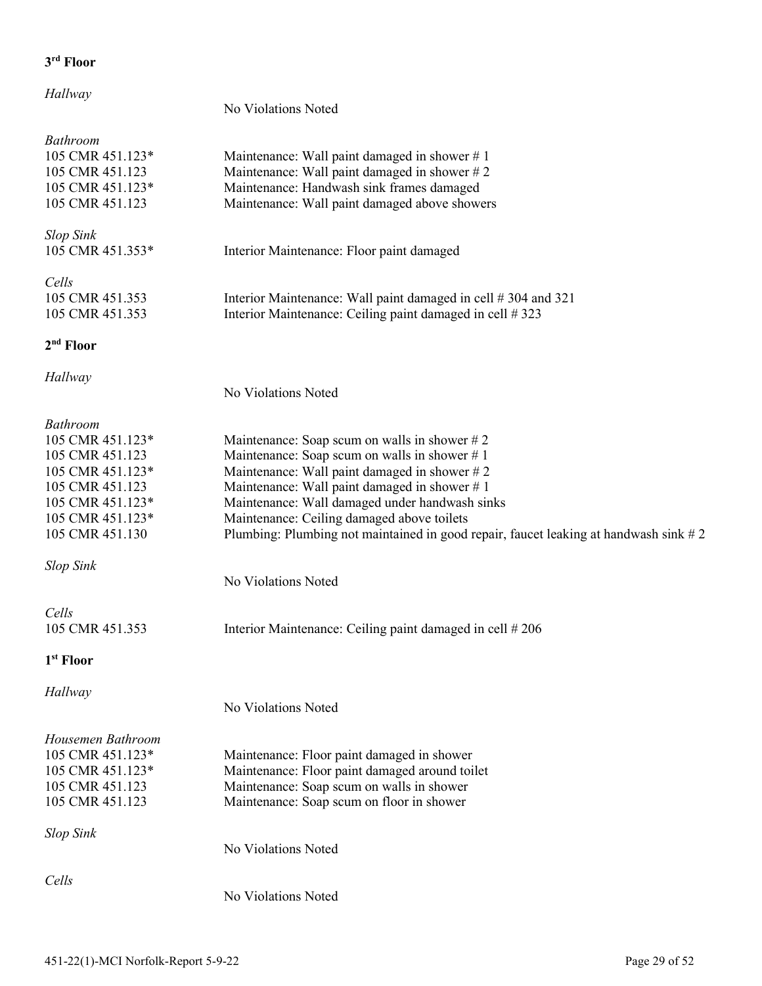### *Hallway*

### No Violations Noted

| <b>Bathroom</b>       |                                                                                      |  |  |  |
|-----------------------|--------------------------------------------------------------------------------------|--|--|--|
| 105 CMR 451.123*      | Maintenance: Wall paint damaged in shower $# 1$                                      |  |  |  |
| 105 CMR 451.123       | Maintenance: Wall paint damaged in shower #2                                         |  |  |  |
| 105 CMR 451.123*      | Maintenance: Handwash sink frames damaged                                            |  |  |  |
| 105 CMR 451.123       | Maintenance: Wall paint damaged above showers                                        |  |  |  |
|                       |                                                                                      |  |  |  |
| <b>Slop Sink</b>      |                                                                                      |  |  |  |
| 105 CMR 451.353*      | Interior Maintenance: Floor paint damaged                                            |  |  |  |
|                       |                                                                                      |  |  |  |
| Cells                 |                                                                                      |  |  |  |
| 105 CMR 451.353       | Interior Maintenance: Wall paint damaged in cell #304 and 321                        |  |  |  |
| 105 CMR 451.353       | Interior Maintenance: Ceiling paint damaged in cell #323                             |  |  |  |
|                       |                                                                                      |  |  |  |
| 2 <sup>nd</sup> Floor |                                                                                      |  |  |  |
| Hallway               |                                                                                      |  |  |  |
|                       | No Violations Noted                                                                  |  |  |  |
|                       |                                                                                      |  |  |  |
| <b>Bathroom</b>       |                                                                                      |  |  |  |
| 105 CMR 451.123*      | Maintenance: Soap scum on walls in shower $# 2$                                      |  |  |  |
| 105 CMR 451.123       | Maintenance: Soap scum on walls in shower $# 1$                                      |  |  |  |
| 105 CMR 451.123*      | Maintenance: Wall paint damaged in shower #2                                         |  |  |  |
| 105 CMR 451.123       | Maintenance: Wall paint damaged in shower #1                                         |  |  |  |
| 105 CMR 451.123*      | Maintenance: Wall damaged under handwash sinks                                       |  |  |  |
| 105 CMR 451.123*      | Maintenance: Ceiling damaged above toilets                                           |  |  |  |
| 105 CMR 451.130       | Plumbing: Plumbing not maintained in good repair, faucet leaking at handwash sink #2 |  |  |  |
|                       |                                                                                      |  |  |  |
| <b>Slop Sink</b>      |                                                                                      |  |  |  |
|                       | No Violations Noted                                                                  |  |  |  |
|                       |                                                                                      |  |  |  |
| Cells                 |                                                                                      |  |  |  |
| 105 CMR 451.353       | Interior Maintenance: Ceiling paint damaged in cell #206                             |  |  |  |
|                       |                                                                                      |  |  |  |
| 1 <sup>st</sup> Floor |                                                                                      |  |  |  |
|                       |                                                                                      |  |  |  |
| <b>Hallway</b>        |                                                                                      |  |  |  |
|                       | No Violations Noted                                                                  |  |  |  |
|                       |                                                                                      |  |  |  |
| Housemen Bathroom     |                                                                                      |  |  |  |
| 105 CMR 451.123*      | Maintenance: Floor paint damaged in shower                                           |  |  |  |
| 105 CMR 451.123*      | Maintenance: Floor paint damaged around toilet                                       |  |  |  |
| 105 CMR 451.123       | Maintenance: Soap scum on walls in shower                                            |  |  |  |
| 105 CMR 451.123       | Maintenance: Soap scum on floor in shower                                            |  |  |  |
|                       |                                                                                      |  |  |  |
| <b>Slop Sink</b>      |                                                                                      |  |  |  |
|                       | No Violations Noted                                                                  |  |  |  |
|                       |                                                                                      |  |  |  |
| Cells                 |                                                                                      |  |  |  |
|                       | No Violations Noted                                                                  |  |  |  |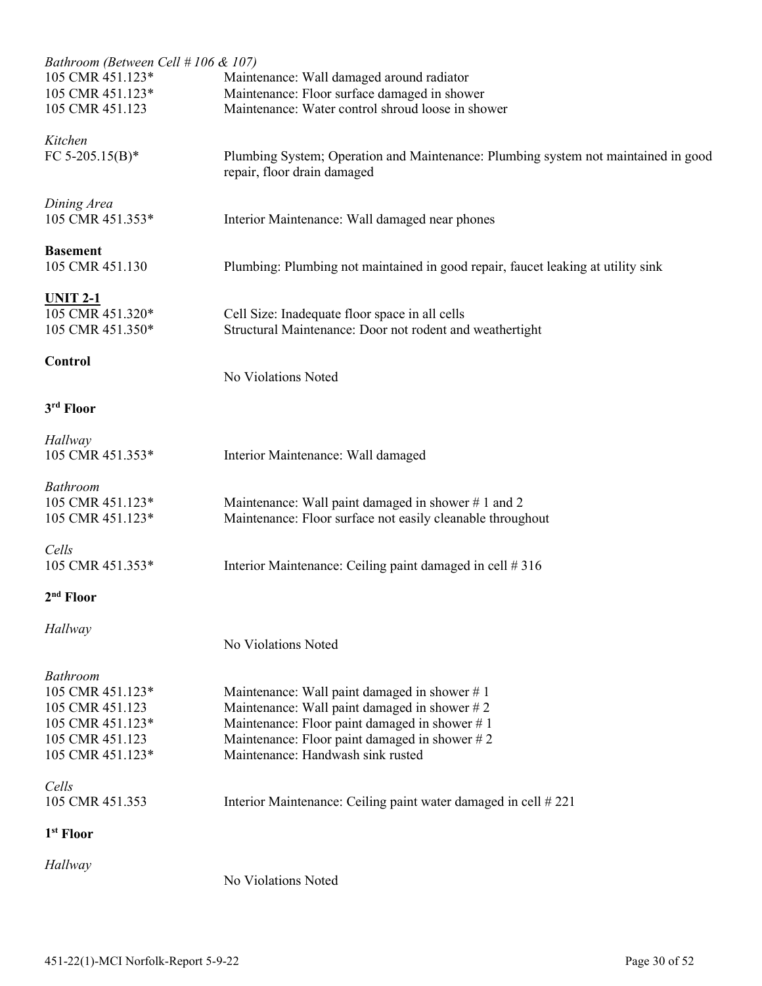| Bathroom (Between Cell # 106 & 107)  |                                                                                                                  |  |  |  |
|--------------------------------------|------------------------------------------------------------------------------------------------------------------|--|--|--|
| 105 CMR 451.123*                     | Maintenance: Wall damaged around radiator                                                                        |  |  |  |
| 105 CMR 451.123*<br>105 CMR 451.123  | Maintenance: Floor surface damaged in shower<br>Maintenance: Water control shroud loose in shower                |  |  |  |
|                                      |                                                                                                                  |  |  |  |
| Kitchen                              |                                                                                                                  |  |  |  |
| FC 5-205.15(B)*                      | Plumbing System; Operation and Maintenance: Plumbing system not maintained in good                               |  |  |  |
|                                      | repair, floor drain damaged                                                                                      |  |  |  |
| Dining Area                          |                                                                                                                  |  |  |  |
| 105 CMR 451.353*                     | Interior Maintenance: Wall damaged near phones                                                                   |  |  |  |
| <b>Basement</b>                      |                                                                                                                  |  |  |  |
| 105 CMR 451.130                      | Plumbing: Plumbing not maintained in good repair, faucet leaking at utility sink                                 |  |  |  |
|                                      |                                                                                                                  |  |  |  |
| <b>UNIT 2-1</b>                      |                                                                                                                  |  |  |  |
| 105 CMR 451.320*<br>105 CMR 451.350* | Cell Size: Inadequate floor space in all cells<br>Structural Maintenance: Door not rodent and weathertight       |  |  |  |
|                                      |                                                                                                                  |  |  |  |
| Control                              |                                                                                                                  |  |  |  |
|                                      | No Violations Noted                                                                                              |  |  |  |
| 3rd Floor                            |                                                                                                                  |  |  |  |
| Hallway                              |                                                                                                                  |  |  |  |
| 105 CMR 451.353*                     | Interior Maintenance: Wall damaged                                                                               |  |  |  |
|                                      |                                                                                                                  |  |  |  |
| <b>Bathroom</b>                      |                                                                                                                  |  |  |  |
| 105 CMR 451.123*<br>105 CMR 451.123* | Maintenance: Wall paint damaged in shower #1 and 2<br>Maintenance: Floor surface not easily cleanable throughout |  |  |  |
|                                      |                                                                                                                  |  |  |  |
| Cells                                |                                                                                                                  |  |  |  |
| 105 CMR 451.353*                     | Interior Maintenance: Ceiling paint damaged in cell #316                                                         |  |  |  |
| 2 <sup>nd</sup> Floor                |                                                                                                                  |  |  |  |
| Hallway                              |                                                                                                                  |  |  |  |
| No Violations Noted                  |                                                                                                                  |  |  |  |
|                                      |                                                                                                                  |  |  |  |
| <b>Bathroom</b>                      |                                                                                                                  |  |  |  |
| 105 CMR 451.123*<br>105 CMR 451.123  | Maintenance: Wall paint damaged in shower $# 1$<br>Maintenance: Wall paint damaged in shower #2                  |  |  |  |
| 105 CMR 451.123*                     | Maintenance: Floor paint damaged in shower #1                                                                    |  |  |  |
| 105 CMR 451.123                      | Maintenance: Floor paint damaged in shower $# 2$                                                                 |  |  |  |
| 105 CMR 451.123*                     | Maintenance: Handwash sink rusted                                                                                |  |  |  |
|                                      |                                                                                                                  |  |  |  |
| Cells                                |                                                                                                                  |  |  |  |
| 105 CMR 451.353                      | Interior Maintenance: Ceiling paint water damaged in cell #221                                                   |  |  |  |
| 1 <sup>st</sup> Floor                |                                                                                                                  |  |  |  |
| Hallway                              |                                                                                                                  |  |  |  |
|                                      | No Violations Noted                                                                                              |  |  |  |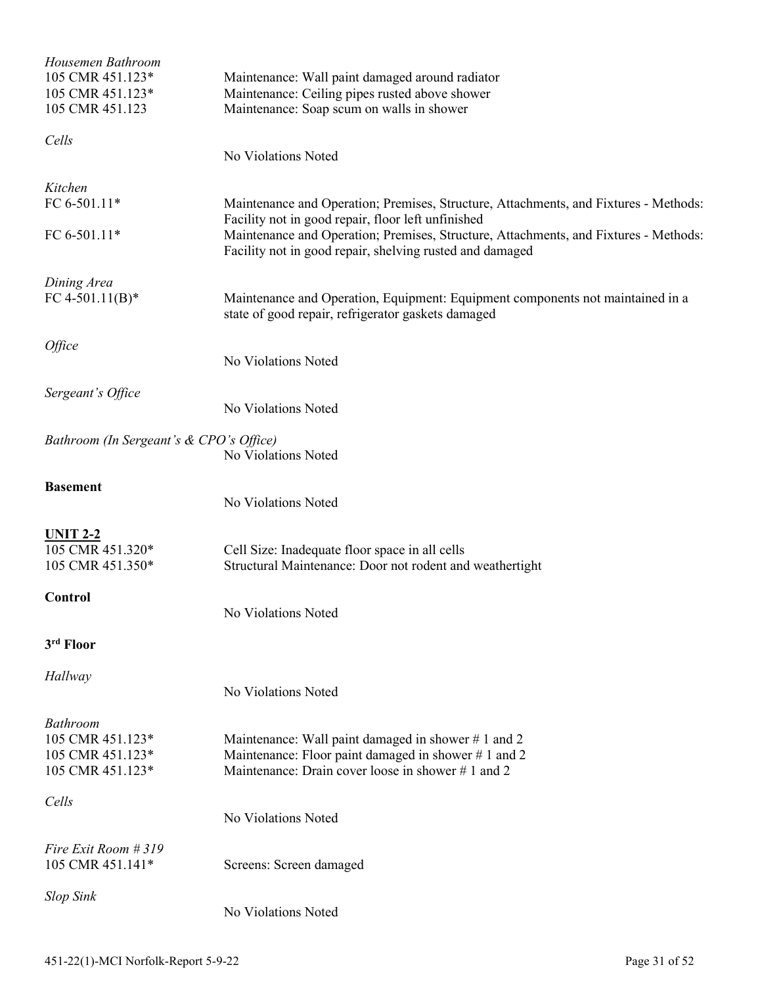| Housemen Bathroom<br>105 CMR 451.123*<br>105 CMR 451.123*<br>105 CMR 451.123 | Maintenance: Wall paint damaged around radiator<br>Maintenance: Ceiling pipes rusted above shower<br>Maintenance: Soap scum on walls in shower                                                                                                                                                 |  |  |  |
|------------------------------------------------------------------------------|------------------------------------------------------------------------------------------------------------------------------------------------------------------------------------------------------------------------------------------------------------------------------------------------|--|--|--|
| Cells                                                                        | No Violations Noted                                                                                                                                                                                                                                                                            |  |  |  |
| Kitchen<br>FC 6-501.11*<br>FC 6-501.11*                                      | Maintenance and Operation; Premises, Structure, Attachments, and Fixtures - Methods:<br>Facility not in good repair, floor left unfinished<br>Maintenance and Operation; Premises, Structure, Attachments, and Fixtures - Methods:<br>Facility not in good repair, shelving rusted and damaged |  |  |  |
| Dining Area<br>FC 4-501.11(B)*                                               | Maintenance and Operation, Equipment: Equipment components not maintained in a<br>state of good repair, refrigerator gaskets damaged                                                                                                                                                           |  |  |  |
| Office                                                                       | No Violations Noted                                                                                                                                                                                                                                                                            |  |  |  |
| Sergeant's Office                                                            | No Violations Noted                                                                                                                                                                                                                                                                            |  |  |  |
| Bathroom (In Sergeant's & CPO's Office)                                      | No Violations Noted                                                                                                                                                                                                                                                                            |  |  |  |
| <b>Basement</b>                                                              | No Violations Noted                                                                                                                                                                                                                                                                            |  |  |  |
| <b>UNIT 2-2</b><br>105 CMR 451.320*<br>105 CMR 451.350*                      | Cell Size: Inadequate floor space in all cells<br>Structural Maintenance: Door not rodent and weathertight                                                                                                                                                                                     |  |  |  |
| <b>Control</b>                                                               | No Violations Noted                                                                                                                                                                                                                                                                            |  |  |  |
| 3rd Floor                                                                    |                                                                                                                                                                                                                                                                                                |  |  |  |
| Hallway                                                                      | No Violations Noted                                                                                                                                                                                                                                                                            |  |  |  |
| Bathroom<br>105 CMR 451.123*<br>105 CMR 451.123*<br>105 CMR 451.123*         | Maintenance: Wall paint damaged in shower #1 and 2<br>Maintenance: Floor paint damaged in shower #1 and 2<br>Maintenance: Drain cover loose in shower #1 and 2                                                                                                                                 |  |  |  |
| Cells                                                                        | No Violations Noted                                                                                                                                                                                                                                                                            |  |  |  |
| Fire Exit Room # 319<br>105 CMR 451.141*                                     | Screens: Screen damaged                                                                                                                                                                                                                                                                        |  |  |  |
| <b>Slop Sink</b>                                                             | No Violations Noted                                                                                                                                                                                                                                                                            |  |  |  |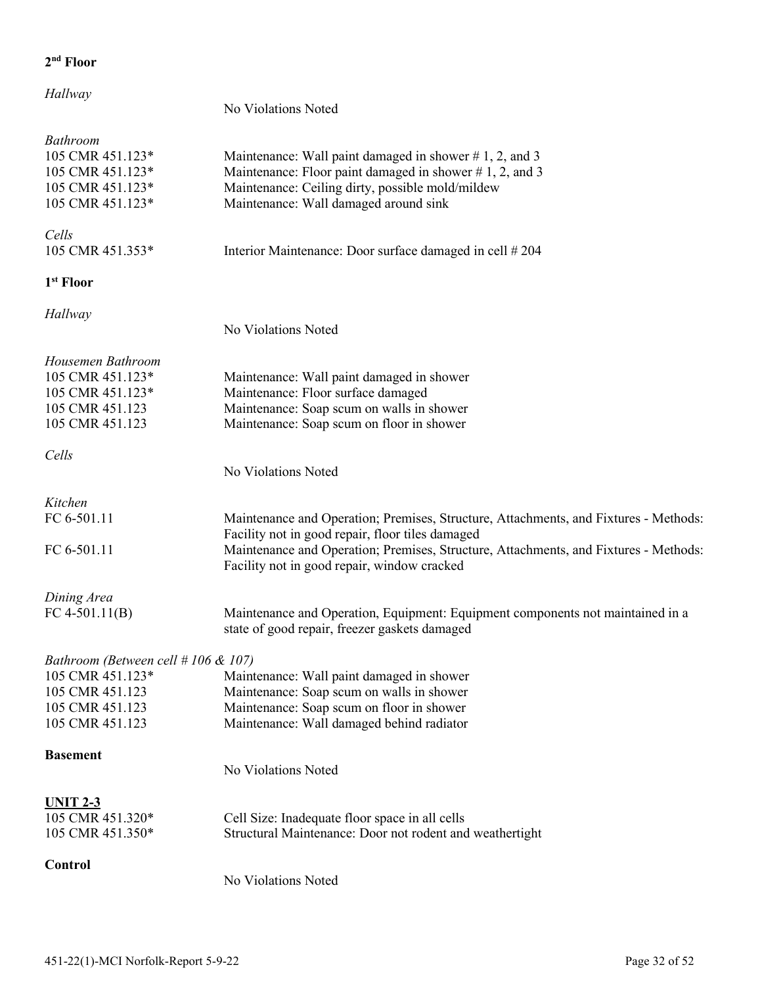### *Hallway*

### No Violations Noted

| <b>Bathroom</b><br>105 CMR 451.123*<br>105 CMR 451.123*<br>105 CMR 451.123*<br>105 CMR 451.123*                     | Maintenance: Wall paint damaged in shower $# 1, 2$ , and 3<br>Maintenance: Floor paint damaged in shower $# 1, 2$ , and 3<br>Maintenance: Ceiling dirty, possible mold/mildew<br>Maintenance: Wall damaged around sink                                                          |
|---------------------------------------------------------------------------------------------------------------------|---------------------------------------------------------------------------------------------------------------------------------------------------------------------------------------------------------------------------------------------------------------------------------|
| Cells<br>105 CMR 451.353*                                                                                           | Interior Maintenance: Door surface damaged in cell #204                                                                                                                                                                                                                         |
| 1 <sup>st</sup> Floor                                                                                               |                                                                                                                                                                                                                                                                                 |
| Hallway                                                                                                             | No Violations Noted                                                                                                                                                                                                                                                             |
| Housemen Bathroom<br>105 CMR 451.123*<br>105 CMR 451.123*<br>105 CMR 451.123<br>105 CMR 451.123                     | Maintenance: Wall paint damaged in shower<br>Maintenance: Floor surface damaged<br>Maintenance: Soap scum on walls in shower<br>Maintenance: Soap scum on floor in shower                                                                                                       |
| Cells                                                                                                               | No Violations Noted                                                                                                                                                                                                                                                             |
| Kitchen<br>FC 6-501.11<br>FC 6-501.11                                                                               | Maintenance and Operation; Premises, Structure, Attachments, and Fixtures - Methods:<br>Facility not in good repair, floor tiles damaged<br>Maintenance and Operation; Premises, Structure, Attachments, and Fixtures - Methods:<br>Facility not in good repair, window cracked |
| Dining Area<br>FC 4-501.11(B)                                                                                       | Maintenance and Operation, Equipment: Equipment components not maintained in a<br>state of good repair, freezer gaskets damaged                                                                                                                                                 |
| Bathroom (Between cell $#106 \& 107$ )<br>105 CMR 451.123*<br>105 CMR 451.123<br>105 CMR 451.123<br>105 CMR 451.123 | Maintenance: Wall paint damaged in shower<br>Maintenance: Soap scum on walls in shower<br>Maintenance: Soap scum on floor in shower<br>Maintenance: Wall damaged behind radiator                                                                                                |
| <b>Basement</b>                                                                                                     | No Violations Noted                                                                                                                                                                                                                                                             |
| <b>UNIT 2-3</b><br>105 CMR 451.320*<br>105 CMR 451.350*                                                             | Cell Size: Inadequate floor space in all cells<br>Structural Maintenance: Door not rodent and weathertight                                                                                                                                                                      |
| Control                                                                                                             | No Violations Noted                                                                                                                                                                                                                                                             |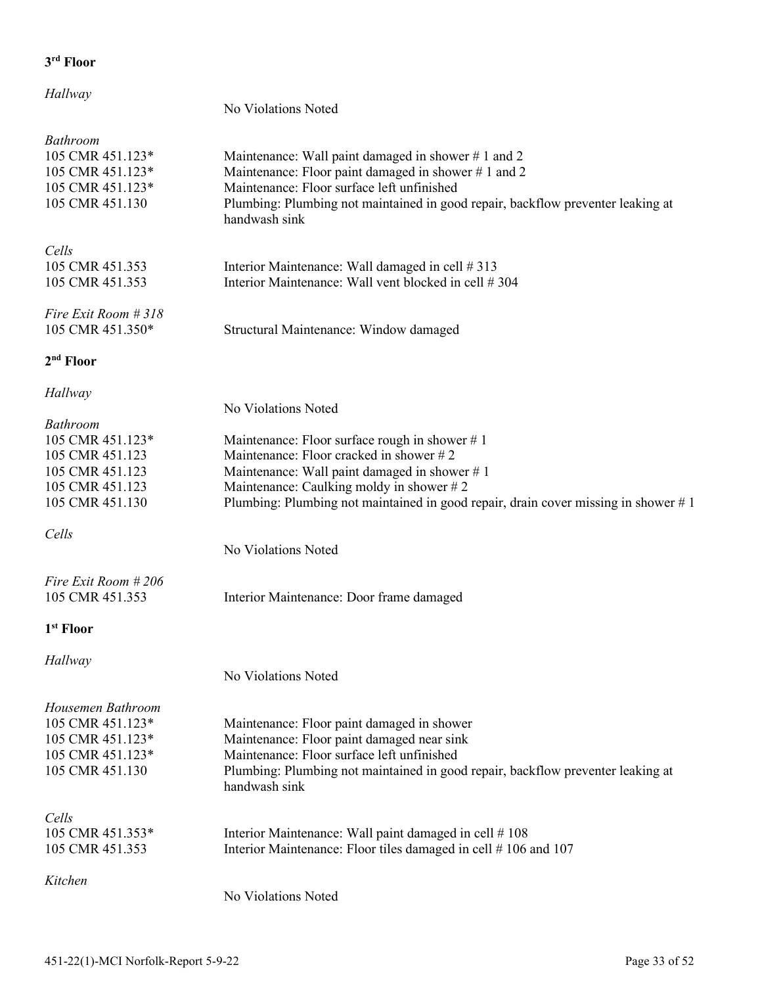| Hallway                                                                                                         | No Violations Noted                                                                                                                                                                                                                                                              |
|-----------------------------------------------------------------------------------------------------------------|----------------------------------------------------------------------------------------------------------------------------------------------------------------------------------------------------------------------------------------------------------------------------------|
|                                                                                                                 |                                                                                                                                                                                                                                                                                  |
| <b>Bathroom</b><br>105 CMR 451.123*<br>105 CMR 451.123*<br>105 CMR 451.123*<br>105 CMR 451.130                  | Maintenance: Wall paint damaged in shower #1 and 2<br>Maintenance: Floor paint damaged in shower #1 and 2<br>Maintenance: Floor surface left unfinished<br>Plumbing: Plumbing not maintained in good repair, backflow preventer leaking at<br>handwash sink                      |
| Cells<br>105 CMR 451.353<br>105 CMR 451.353                                                                     | Interior Maintenance: Wall damaged in cell #313<br>Interior Maintenance: Wall vent blocked in cell #304                                                                                                                                                                          |
| Fire Exit Room # 318<br>105 CMR 451.350*                                                                        | Structural Maintenance: Window damaged                                                                                                                                                                                                                                           |
| 2 <sup>nd</sup> Floor                                                                                           |                                                                                                                                                                                                                                                                                  |
| Hallway                                                                                                         | No Violations Noted                                                                                                                                                                                                                                                              |
| <b>Bathroom</b><br>105 CMR 451.123*<br>105 CMR 451.123<br>105 CMR 451.123<br>105 CMR 451.123<br>105 CMR 451.130 | Maintenance: Floor surface rough in shower $# 1$<br>Maintenance: Floor cracked in shower #2<br>Maintenance: Wall paint damaged in shower #1<br>Maintenance: Caulking moldy in shower #2<br>Plumbing: Plumbing not maintained in good repair, drain cover missing in shower $# 1$ |
| Cells                                                                                                           | No Violations Noted                                                                                                                                                                                                                                                              |
| Fire Exit Room #206<br>105 CMR 451.353                                                                          | Interior Maintenance: Door frame damaged                                                                                                                                                                                                                                         |
| 1 <sup>st</sup> Floor                                                                                           |                                                                                                                                                                                                                                                                                  |
| Hallway                                                                                                         | No Violations Noted                                                                                                                                                                                                                                                              |
| Housemen Bathroom<br>105 CMR 451.123*<br>105 CMR 451.123*<br>105 CMR 451.123*<br>105 CMR 451.130                | Maintenance: Floor paint damaged in shower<br>Maintenance: Floor paint damaged near sink<br>Maintenance: Floor surface left unfinished<br>Plumbing: Plumbing not maintained in good repair, backflow preventer leaking at<br>handwash sink                                       |
| Cells<br>105 CMR 451.353*<br>105 CMR 451.353                                                                    | Interior Maintenance: Wall paint damaged in cell #108<br>Interior Maintenance: Floor tiles damaged in cell #106 and 107                                                                                                                                                          |
| Kitchen                                                                                                         | No Violations Noted                                                                                                                                                                                                                                                              |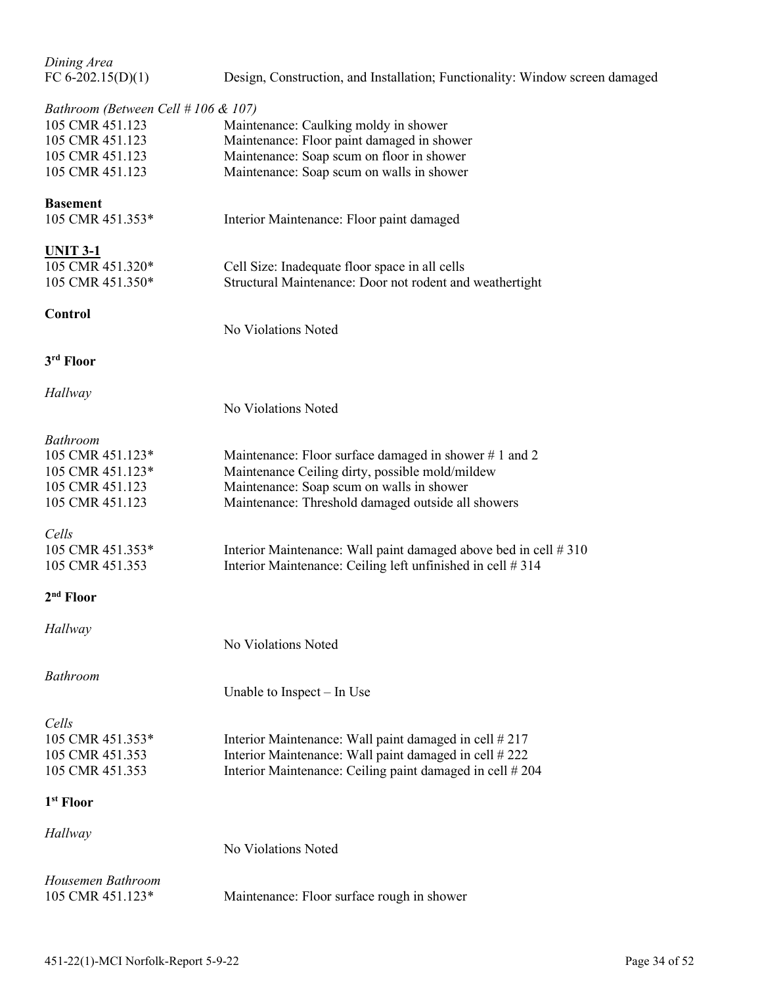*Dining Area* 

| FC 6-202.15(D)(1) |  | Design, Construction, and Installation; Functionality: Window screen damaged |
|-------------------|--|------------------------------------------------------------------------------|
|                   |  |                                                                              |

# *Bathroom (Between Cell # 106 & 107)*

| Bathroom (Between Cell # 106 & 107) |                                                                  |
|-------------------------------------|------------------------------------------------------------------|
| 105 CMR 451.123                     | Maintenance: Caulking moldy in shower                            |
| 105 CMR 451.123                     | Maintenance: Floor paint damaged in shower                       |
| 105 CMR 451.123                     | Maintenance: Soap scum on floor in shower                        |
| 105 CMR 451.123                     | Maintenance: Soap scum on walls in shower                        |
| <b>Basement</b>                     |                                                                  |
| 105 CMR 451.353*                    | Interior Maintenance: Floor paint damaged                        |
| <u>UNIT 3-1</u>                     |                                                                  |
| 105 CMR 451.320*                    | Cell Size: Inadequate floor space in all cells                   |
| 105 CMR 451.350*                    | Structural Maintenance: Door not rodent and weathertight         |
| <b>Control</b>                      |                                                                  |
|                                     | No Violations Noted                                              |
| 3rd Floor                           |                                                                  |
| Hallway                             |                                                                  |
|                                     | No Violations Noted                                              |
| <b>Bathroom</b>                     |                                                                  |
| 105 CMR 451.123*                    | Maintenance: Floor surface damaged in shower #1 and 2            |
| 105 CMR 451.123*                    | Maintenance Ceiling dirty, possible mold/mildew                  |
| 105 CMR 451.123                     | Maintenance: Soap scum on walls in shower                        |
| 105 CMR 451.123                     | Maintenance: Threshold damaged outside all showers               |
|                                     |                                                                  |
| Cells                               |                                                                  |
| 105 CMR 451.353*                    | Interior Maintenance: Wall paint damaged above bed in cell # 310 |
| 105 CMR 451.353                     | Interior Maintenance: Ceiling left unfinished in cell #314       |
| 2 <sup>nd</sup> Floor               |                                                                  |
| Hallway                             |                                                                  |
|                                     | No Violations Noted                                              |
| <b>Bathroom</b>                     |                                                                  |
|                                     | Unable to Inspect $-$ In Use                                     |
| Cells                               |                                                                  |
| 105 CMR 451.353*                    | Interior Maintenance: Wall paint damaged in cell #217            |
| 105 CMR 451.353                     | Interior Maintenance: Wall paint damaged in cell # 222           |
| 105 CMR 451.353                     | Interior Maintenance: Ceiling paint damaged in cell #204         |
| 1 <sup>st</sup> Floor               |                                                                  |
| Hallway                             |                                                                  |
|                                     | No Violations Noted                                              |
| Housemen Bathroom                   |                                                                  |
| 105 CMR 451.123*                    | Maintenance: Floor surface rough in shower                       |
|                                     |                                                                  |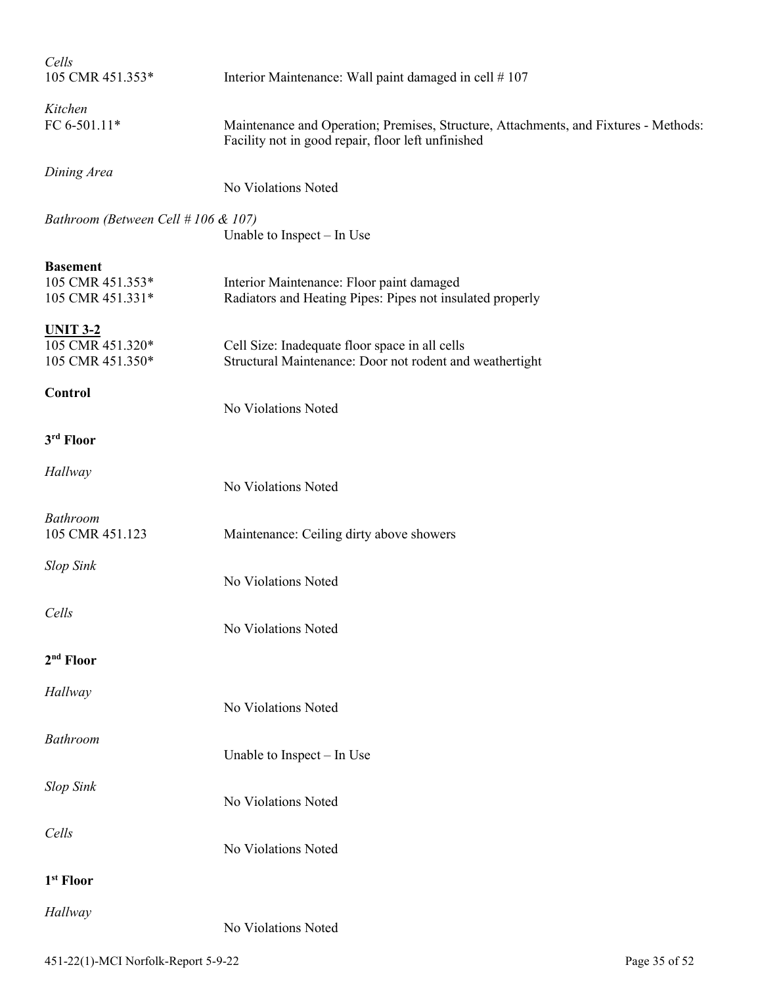| Cells<br>105 CMR 451.353*                               | Interior Maintenance: Wall paint damaged in cell #107                                                                                      |  |
|---------------------------------------------------------|--------------------------------------------------------------------------------------------------------------------------------------------|--|
| Kitchen<br>FC 6-501.11*                                 | Maintenance and Operation; Premises, Structure, Attachments, and Fixtures - Methods:<br>Facility not in good repair, floor left unfinished |  |
| Dining Area                                             | No Violations Noted                                                                                                                        |  |
| Bathroom (Between Cell # 106 & 107)                     | Unable to Inspect – In Use                                                                                                                 |  |
| <b>Basement</b><br>105 CMR 451.353*<br>105 CMR 451.331* | Interior Maintenance: Floor paint damaged<br>Radiators and Heating Pipes: Pipes not insulated properly                                     |  |
| <b>UNIT 3-2</b><br>105 CMR 451.320*<br>105 CMR 451.350* | Cell Size: Inadequate floor space in all cells<br>Structural Maintenance: Door not rodent and weathertight                                 |  |
| Control                                                 | No Violations Noted                                                                                                                        |  |
| 3rd Floor                                               |                                                                                                                                            |  |
| Hallway                                                 | No Violations Noted                                                                                                                        |  |
| <b>Bathroom</b><br>105 CMR 451.123                      | Maintenance: Ceiling dirty above showers                                                                                                   |  |
| <b>Slop Sink</b>                                        | No Violations Noted                                                                                                                        |  |
| Cells                                                   | No Violations Noted                                                                                                                        |  |
| $2nd$ Floor                                             |                                                                                                                                            |  |
| Hallway                                                 | No Violations Noted                                                                                                                        |  |
| <b>Bathroom</b>                                         | Unable to Inspect - In Use                                                                                                                 |  |
| <b>Slop Sink</b>                                        | No Violations Noted                                                                                                                        |  |
| Cells                                                   | No Violations Noted                                                                                                                        |  |
| 1 <sup>st</sup> Floor                                   |                                                                                                                                            |  |
| Hallway                                                 | No Violations Noted                                                                                                                        |  |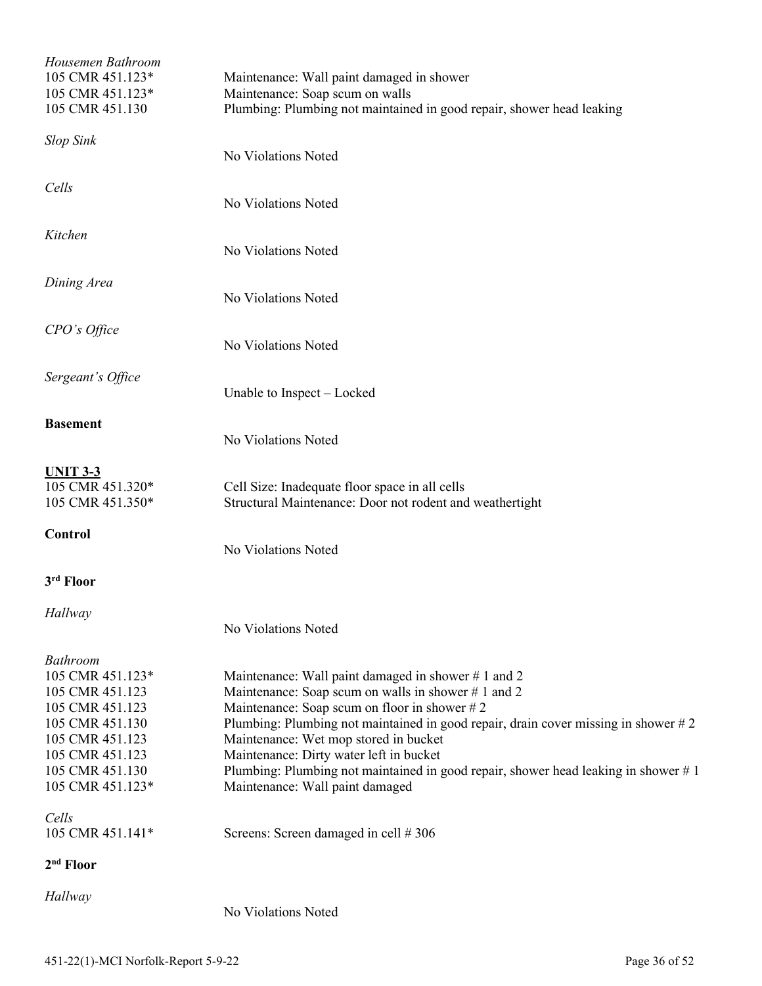| Housemen Bathroom<br>105 CMR 451.123*<br>105 CMR 451.123*<br>105 CMR 451.130                                                                                              | Maintenance: Wall paint damaged in shower<br>Maintenance: Soap scum on walls<br>Plumbing: Plumbing not maintained in good repair, shower head leaking                                                                                                                                                                                                                                                                                                              |
|---------------------------------------------------------------------------------------------------------------------------------------------------------------------------|--------------------------------------------------------------------------------------------------------------------------------------------------------------------------------------------------------------------------------------------------------------------------------------------------------------------------------------------------------------------------------------------------------------------------------------------------------------------|
| <b>Slop Sink</b>                                                                                                                                                          | No Violations Noted                                                                                                                                                                                                                                                                                                                                                                                                                                                |
| Cells                                                                                                                                                                     | No Violations Noted                                                                                                                                                                                                                                                                                                                                                                                                                                                |
| Kitchen                                                                                                                                                                   | No Violations Noted                                                                                                                                                                                                                                                                                                                                                                                                                                                |
| Dining Area                                                                                                                                                               | No Violations Noted                                                                                                                                                                                                                                                                                                                                                                                                                                                |
| CPO's Office                                                                                                                                                              | No Violations Noted                                                                                                                                                                                                                                                                                                                                                                                                                                                |
| Sergeant's Office                                                                                                                                                         | Unable to Inspect - Locked                                                                                                                                                                                                                                                                                                                                                                                                                                         |
| <b>Basement</b>                                                                                                                                                           | No Violations Noted                                                                                                                                                                                                                                                                                                                                                                                                                                                |
| <b>UNIT 3-3</b><br>105 CMR 451.320*<br>105 CMR 451.350*                                                                                                                   | Cell Size: Inadequate floor space in all cells<br>Structural Maintenance: Door not rodent and weathertight                                                                                                                                                                                                                                                                                                                                                         |
| <b>Control</b>                                                                                                                                                            | No Violations Noted                                                                                                                                                                                                                                                                                                                                                                                                                                                |
| 3rd Floor                                                                                                                                                                 |                                                                                                                                                                                                                                                                                                                                                                                                                                                                    |
| Hallway                                                                                                                                                                   | No Violations Noted                                                                                                                                                                                                                                                                                                                                                                                                                                                |
| <b>Bathroom</b><br>105 CMR 451.123*<br>105 CMR 451.123<br>105 CMR 451.123<br>105 CMR 451.130<br>105 CMR 451.123<br>105 CMR 451.123<br>105 CMR 451.130<br>105 CMR 451.123* | Maintenance: Wall paint damaged in shower #1 and 2<br>Maintenance: Soap scum on walls in shower #1 and 2<br>Maintenance: Soap scum on floor in shower $#2$<br>Plumbing: Plumbing not maintained in good repair, drain cover missing in shower $#2$<br>Maintenance: Wet mop stored in bucket<br>Maintenance: Dirty water left in bucket<br>Plumbing: Plumbing not maintained in good repair, shower head leaking in shower $# 1$<br>Maintenance: Wall paint damaged |
| Cells<br>105 CMR 451.141*                                                                                                                                                 | Screens: Screen damaged in cell #306                                                                                                                                                                                                                                                                                                                                                                                                                               |
| 2 <sup>nd</sup> Floor                                                                                                                                                     |                                                                                                                                                                                                                                                                                                                                                                                                                                                                    |
| Hallway                                                                                                                                                                   | No Violations Noted                                                                                                                                                                                                                                                                                                                                                                                                                                                |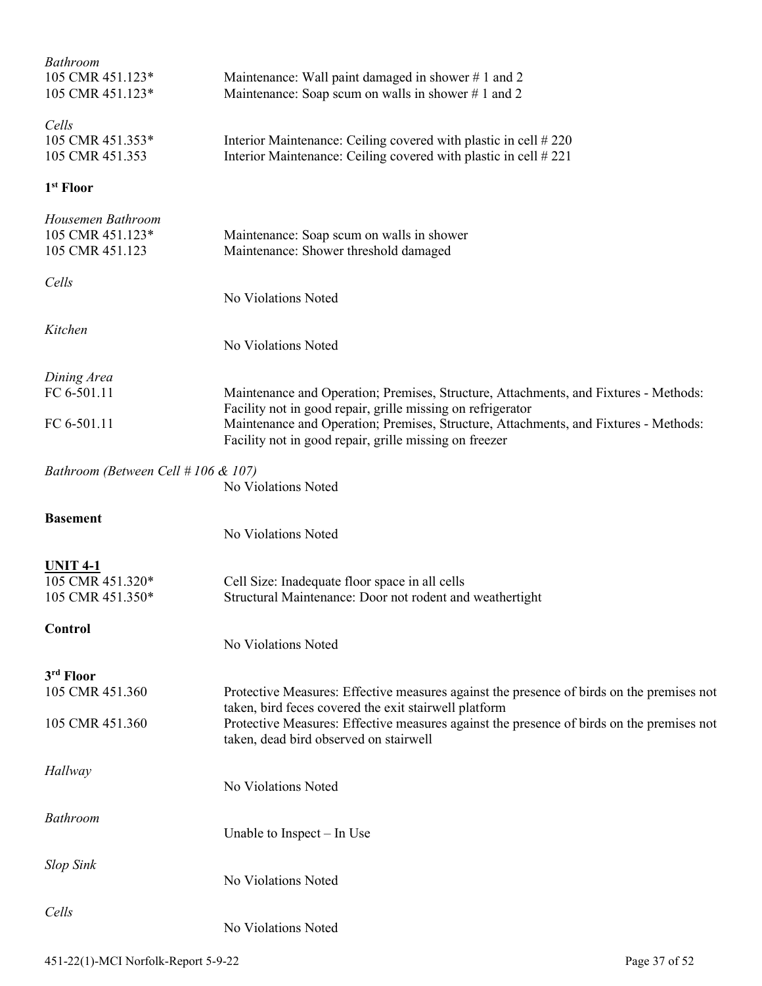| <b>Bathroom</b><br>105 CMR 451.123*<br>105 CMR 451.123*  | Maintenance: Wall paint damaged in shower #1 and 2<br>Maintenance: Soap scum on walls in shower #1 and 2                                                                                                                                                                                              |
|----------------------------------------------------------|-------------------------------------------------------------------------------------------------------------------------------------------------------------------------------------------------------------------------------------------------------------------------------------------------------|
| Cells<br>105 CMR 451.353*<br>105 CMR 451.353             | Interior Maintenance: Ceiling covered with plastic in cell #220<br>Interior Maintenance: Ceiling covered with plastic in cell #221                                                                                                                                                                    |
| 1 <sup>st</sup> Floor                                    |                                                                                                                                                                                                                                                                                                       |
| Housemen Bathroom<br>105 CMR 451.123*<br>105 CMR 451.123 | Maintenance: Soap scum on walls in shower<br>Maintenance: Shower threshold damaged                                                                                                                                                                                                                    |
| Cells                                                    | No Violations Noted                                                                                                                                                                                                                                                                                   |
| Kitchen                                                  | No Violations Noted                                                                                                                                                                                                                                                                                   |
| Dining Area                                              |                                                                                                                                                                                                                                                                                                       |
| FC 6-501.11<br>FC 6-501.11                               | Maintenance and Operation; Premises, Structure, Attachments, and Fixtures - Methods:<br>Facility not in good repair, grille missing on refrigerator<br>Maintenance and Operation; Premises, Structure, Attachments, and Fixtures - Methods:<br>Facility not in good repair, grille missing on freezer |
| Bathroom (Between Cell # 106 & 107)                      | No Violations Noted                                                                                                                                                                                                                                                                                   |
| <b>Basement</b>                                          | No Violations Noted                                                                                                                                                                                                                                                                                   |
| <b>UNIT 4-1</b><br>105 CMR 451.320*<br>105 CMR 451.350*  | Cell Size: Inadequate floor space in all cells<br>Structural Maintenance: Door not rodent and weathertight                                                                                                                                                                                            |
| Control                                                  | No Violations Noted                                                                                                                                                                                                                                                                                   |
| 3rd Floor                                                |                                                                                                                                                                                                                                                                                                       |
| 105 CMR 451.360<br>105 CMR 451.360                       | Protective Measures: Effective measures against the presence of birds on the premises not<br>taken, bird feces covered the exit stairwell platform<br>Protective Measures: Effective measures against the presence of birds on the premises not<br>taken, dead bird observed on stairwell             |
| Hallway                                                  | No Violations Noted                                                                                                                                                                                                                                                                                   |
| <b>Bathroom</b>                                          |                                                                                                                                                                                                                                                                                                       |
|                                                          | Unable to Inspect – In Use                                                                                                                                                                                                                                                                            |
| <b>Slop Sink</b>                                         | No Violations Noted                                                                                                                                                                                                                                                                                   |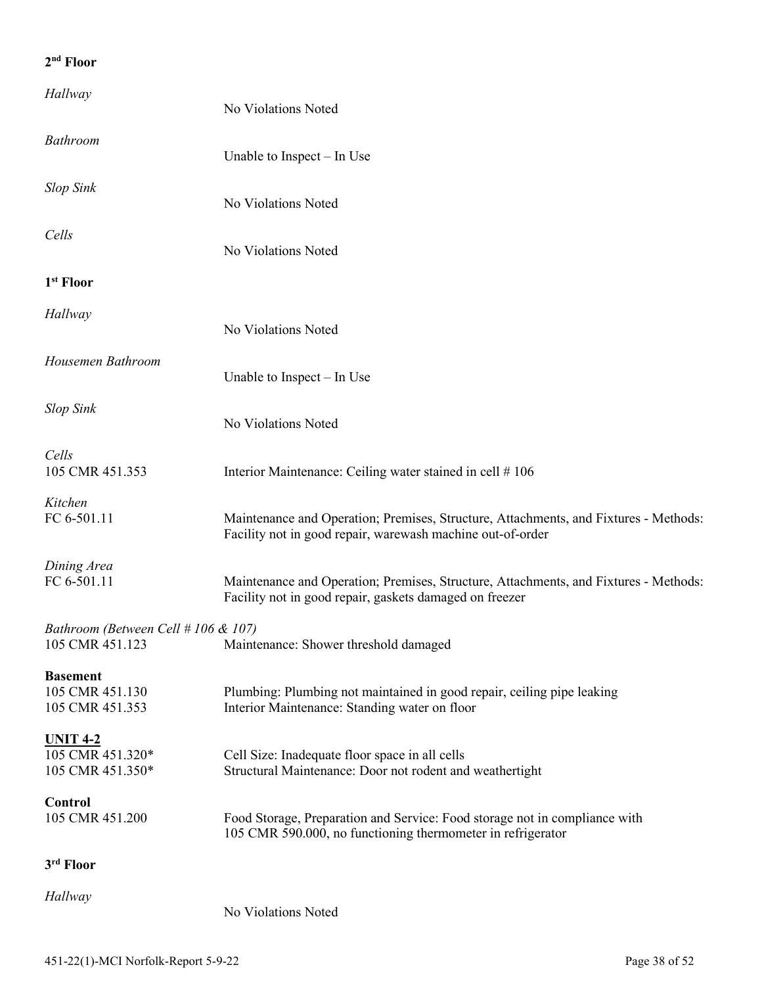| Hallway                                                 | No Violations Noted                                                                                                                                |
|---------------------------------------------------------|----------------------------------------------------------------------------------------------------------------------------------------------------|
| <b>Bathroom</b>                                         | Unable to Inspect $-$ In Use                                                                                                                       |
| <b>Slop Sink</b>                                        | No Violations Noted                                                                                                                                |
| Cells                                                   | No Violations Noted                                                                                                                                |
| 1 <sup>st</sup> Floor                                   |                                                                                                                                                    |
| Hallway                                                 | No Violations Noted                                                                                                                                |
| Housemen Bathroom                                       | Unable to Inspect $-$ In Use                                                                                                                       |
| <b>Slop Sink</b>                                        | No Violations Noted                                                                                                                                |
| Cells<br>105 CMR 451.353                                | Interior Maintenance: Ceiling water stained in cell #106                                                                                           |
| Kitchen<br>FC 6-501.11                                  | Maintenance and Operation; Premises, Structure, Attachments, and Fixtures - Methods:<br>Facility not in good repair, warewash machine out-of-order |
| Dining Area<br>FC 6-501.11                              | Maintenance and Operation; Premises, Structure, Attachments, and Fixtures - Methods:<br>Facility not in good repair, gaskets damaged on freezer    |
| Bathroom (Between Cell # 106 & 107)<br>105 CMR 451.123  | Maintenance: Shower threshold damaged                                                                                                              |
| <b>Basement</b><br>105 CMR 451.130<br>105 CMR 451.353   | Plumbing: Plumbing not maintained in good repair, ceiling pipe leaking<br>Interior Maintenance: Standing water on floor                            |
| <b>UNIT 4-2</b><br>105 CMR 451.320*<br>105 CMR 451.350* | Cell Size: Inadequate floor space in all cells<br>Structural Maintenance: Door not rodent and weathertight                                         |
| Control<br>105 CMR 451.200                              | Food Storage, Preparation and Service: Food storage not in compliance with<br>105 CMR 590.000, no functioning thermometer in refrigerator          |
| 3rd Floor                                               |                                                                                                                                                    |
| Hallway                                                 | No Violations Noted                                                                                                                                |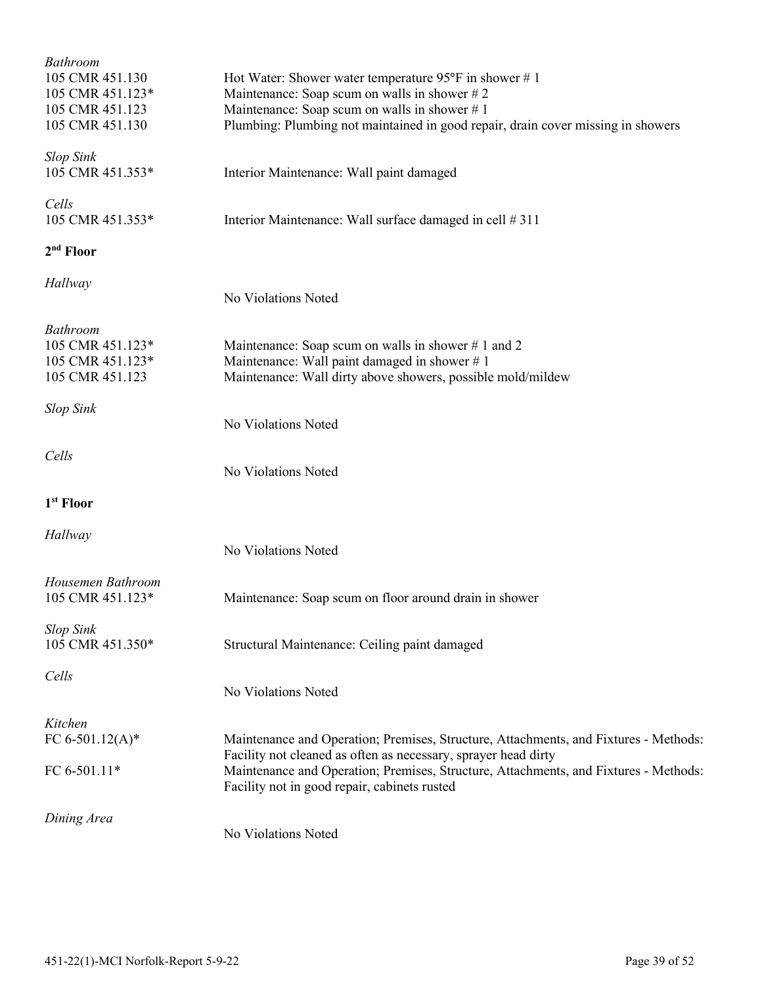| <b>Bathroom</b><br>105 CMR 451.130<br>105 CMR 451.123*<br>105 CMR 451.123<br>105 CMR 451.130 | Hot Water: Shower water temperature $95^{\circ}$ F in shower # 1<br>Maintenance: Soap scum on walls in shower $# 2$<br>Maintenance: Soap scum on walls in shower $# 1$<br>Plumbing: Plumbing not maintained in good repair, drain cover missing in showers                                     |
|----------------------------------------------------------------------------------------------|------------------------------------------------------------------------------------------------------------------------------------------------------------------------------------------------------------------------------------------------------------------------------------------------|
| <b>Slop Sink</b><br>105 CMR 451.353*                                                         | Interior Maintenance: Wall paint damaged                                                                                                                                                                                                                                                       |
| Cells<br>105 CMR 451.353*                                                                    | Interior Maintenance: Wall surface damaged in cell # 311                                                                                                                                                                                                                                       |
| 2 <sup>nd</sup> Floor                                                                        |                                                                                                                                                                                                                                                                                                |
| Hallway                                                                                      | No Violations Noted                                                                                                                                                                                                                                                                            |
| <b>Bathroom</b><br>105 CMR 451.123*<br>105 CMR 451.123*<br>105 CMR 451.123                   | Maintenance: Soap scum on walls in shower #1 and 2<br>Maintenance: Wall paint damaged in shower #1<br>Maintenance: Wall dirty above showers, possible mold/mildew                                                                                                                              |
| <b>Slop Sink</b>                                                                             | No Violations Noted                                                                                                                                                                                                                                                                            |
| Cells                                                                                        | No Violations Noted                                                                                                                                                                                                                                                                            |
| 1 <sup>st</sup> Floor                                                                        |                                                                                                                                                                                                                                                                                                |
| Hallway                                                                                      | No Violations Noted                                                                                                                                                                                                                                                                            |
| Housemen Bathroom<br>105 CMR 451.123*                                                        | Maintenance: Soap scum on floor around drain in shower                                                                                                                                                                                                                                         |
| <b>Slop Sink</b><br>105 CMR 451.350*                                                         | Structural Maintenance: Ceiling paint damaged                                                                                                                                                                                                                                                  |
| Cells                                                                                        | No Violations Noted                                                                                                                                                                                                                                                                            |
| Kitchen<br>FC 6-501.12(A)*<br>FC 6-501.11*                                                   | Maintenance and Operation; Premises, Structure, Attachments, and Fixtures - Methods:<br>Facility not cleaned as often as necessary, sprayer head dirty<br>Maintenance and Operation; Premises, Structure, Attachments, and Fixtures - Methods:<br>Facility not in good repair, cabinets rusted |
| Dining Area                                                                                  | No Violations Noted                                                                                                                                                                                                                                                                            |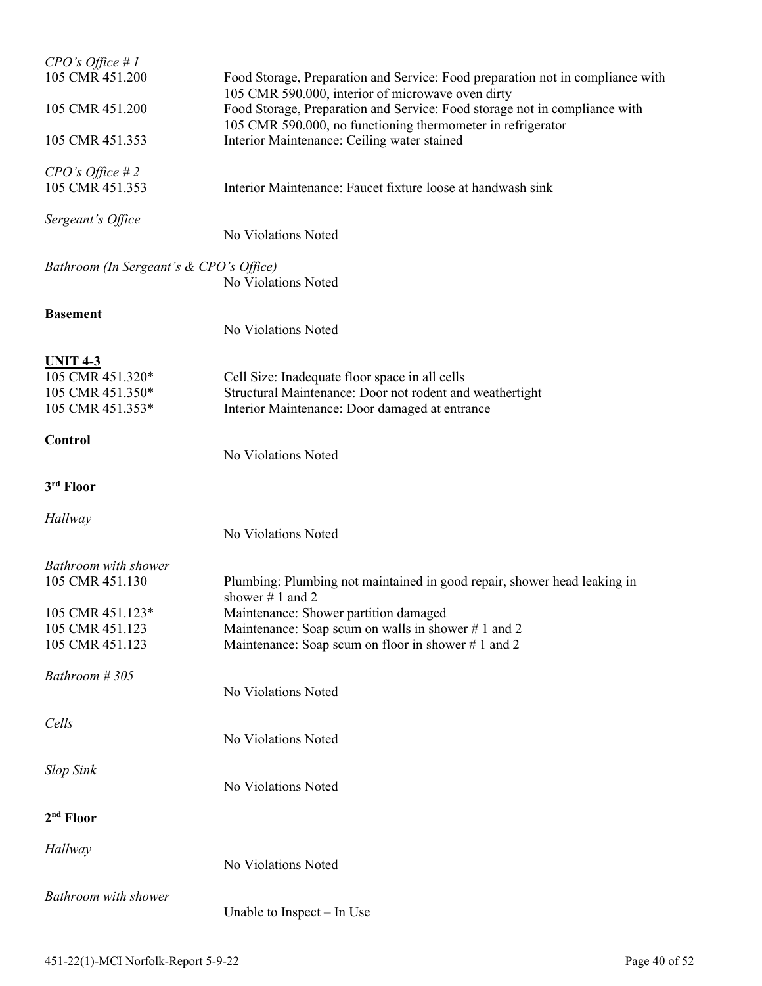| $CPO's$ Office #1<br>105 CMR 451.200                                        | Food Storage, Preparation and Service: Food preparation not in compliance with                                                                                                                 |  |
|-----------------------------------------------------------------------------|------------------------------------------------------------------------------------------------------------------------------------------------------------------------------------------------|--|
| 105 CMR 451.200                                                             | 105 CMR 590.000, interior of microwave oven dirty<br>Food Storage, Preparation and Service: Food storage not in compliance with<br>105 CMR 590.000, no functioning thermometer in refrigerator |  |
| 105 CMR 451.353                                                             | Interior Maintenance: Ceiling water stained                                                                                                                                                    |  |
| CPO's Office #2<br>105 CMR 451.353                                          | Interior Maintenance: Faucet fixture loose at handwash sink                                                                                                                                    |  |
| Sergeant's Office                                                           | No Violations Noted                                                                                                                                                                            |  |
| Bathroom (In Sergeant's & CPO's Office)<br>No Violations Noted              |                                                                                                                                                                                                |  |
| <b>Basement</b>                                                             | No Violations Noted                                                                                                                                                                            |  |
| <u>UNIT 4-3</u><br>105 CMR 451.320*<br>105 CMR 451.350*<br>105 CMR 451.353* | Cell Size: Inadequate floor space in all cells<br>Structural Maintenance: Door not rodent and weathertight<br>Interior Maintenance: Door damaged at entrance                                   |  |
| Control                                                                     | No Violations Noted                                                                                                                                                                            |  |
| 3rd Floor                                                                   |                                                                                                                                                                                                |  |
| Hallway                                                                     | No Violations Noted                                                                                                                                                                            |  |
| Bathroom with shower<br>105 CMR 451.130                                     | Plumbing: Plumbing not maintained in good repair, shower head leaking in<br>shower $# 1$ and 2                                                                                                 |  |
| 105 CMR 451.123*<br>105 CMR 451.123<br>105 CMR 451.123                      | Maintenance: Shower partition damaged<br>Maintenance: Soap scum on walls in shower #1 and 2<br>Maintenance: Soap scum on floor in shower #1 and 2                                              |  |
| Bathroom #305                                                               | No Violations Noted                                                                                                                                                                            |  |
| Cells                                                                       | No Violations Noted                                                                                                                                                                            |  |
| <b>Slop Sink</b>                                                            | No Violations Noted                                                                                                                                                                            |  |
| $2nd$ Floor                                                                 |                                                                                                                                                                                                |  |
| Hallway                                                                     | No Violations Noted                                                                                                                                                                            |  |
| Bathroom with shower                                                        | Unable to Inspect – In Use                                                                                                                                                                     |  |
|                                                                             |                                                                                                                                                                                                |  |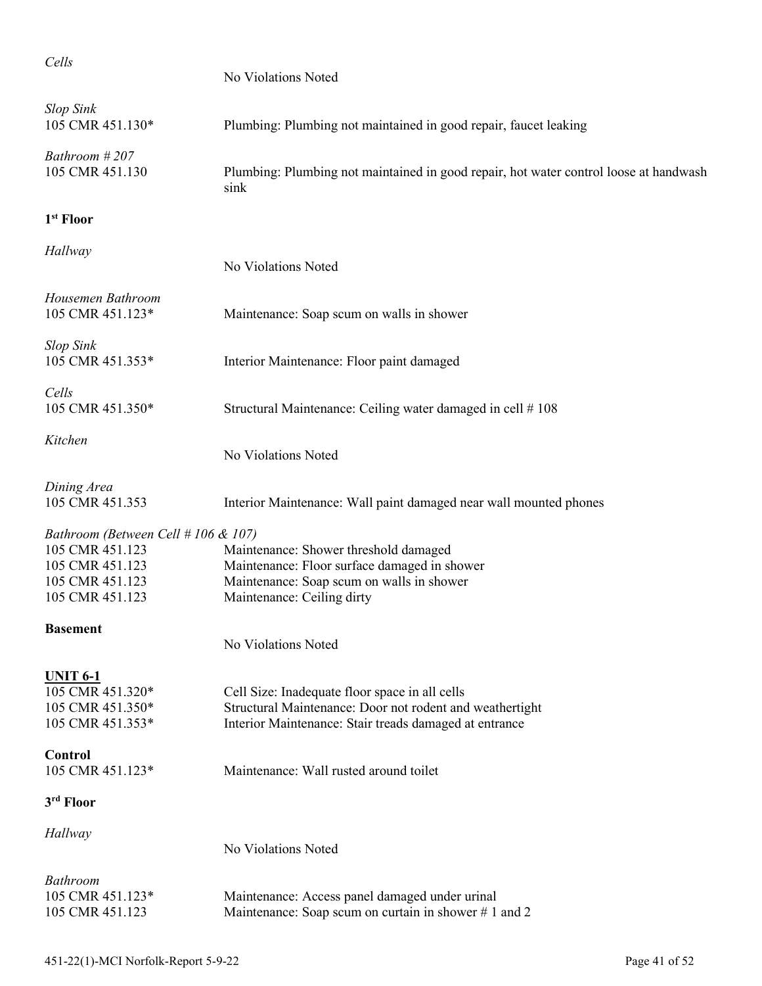| Cells                                                                                                           | No Violations Noted                                                                                                                                                  |
|-----------------------------------------------------------------------------------------------------------------|----------------------------------------------------------------------------------------------------------------------------------------------------------------------|
| <b>Slop Sink</b><br>105 CMR 451.130*                                                                            | Plumbing: Plumbing not maintained in good repair, faucet leaking                                                                                                     |
| Bathroom #207<br>105 CMR 451.130                                                                                | Plumbing: Plumbing not maintained in good repair, hot water control loose at handwash<br>sink                                                                        |
| 1 <sup>st</sup> Floor                                                                                           |                                                                                                                                                                      |
| Hallway                                                                                                         | No Violations Noted                                                                                                                                                  |
| Housemen Bathroom<br>105 CMR 451.123*                                                                           | Maintenance: Soap scum on walls in shower                                                                                                                            |
| <b>Slop Sink</b><br>105 CMR 451.353*                                                                            | Interior Maintenance: Floor paint damaged                                                                                                                            |
| Cells<br>105 CMR 451.350*                                                                                       | Structural Maintenance: Ceiling water damaged in cell #108                                                                                                           |
| Kitchen                                                                                                         | No Violations Noted                                                                                                                                                  |
| Dining Area<br>105 CMR 451.353                                                                                  | Interior Maintenance: Wall paint damaged near wall mounted phones                                                                                                    |
| Bathroom (Between Cell # 106 & 107)<br>105 CMR 451.123<br>105 CMR 451.123<br>105 CMR 451.123<br>105 CMR 451.123 | Maintenance: Shower threshold damaged<br>Maintenance: Floor surface damaged in shower<br>Maintenance: Soap scum on walls in shower<br>Maintenance: Ceiling dirty     |
| <b>Basement</b>                                                                                                 | No Violations Noted                                                                                                                                                  |
| <b>UNIT 6-1</b><br>105 CMR 451.320*<br>105 CMR 451.350*<br>105 CMR 451.353*                                     | Cell Size: Inadequate floor space in all cells<br>Structural Maintenance: Door not rodent and weathertight<br>Interior Maintenance: Stair treads damaged at entrance |
| Control<br>105 CMR 451.123*                                                                                     | Maintenance: Wall rusted around toilet                                                                                                                               |
| 3rd Floor                                                                                                       |                                                                                                                                                                      |
| Hallway                                                                                                         | No Violations Noted                                                                                                                                                  |
| <b>Bathroom</b><br>105 CMR 451.123*<br>105 CMR 451.123                                                          | Maintenance: Access panel damaged under urinal<br>Maintenance: Soap scum on curtain in shower #1 and 2                                                               |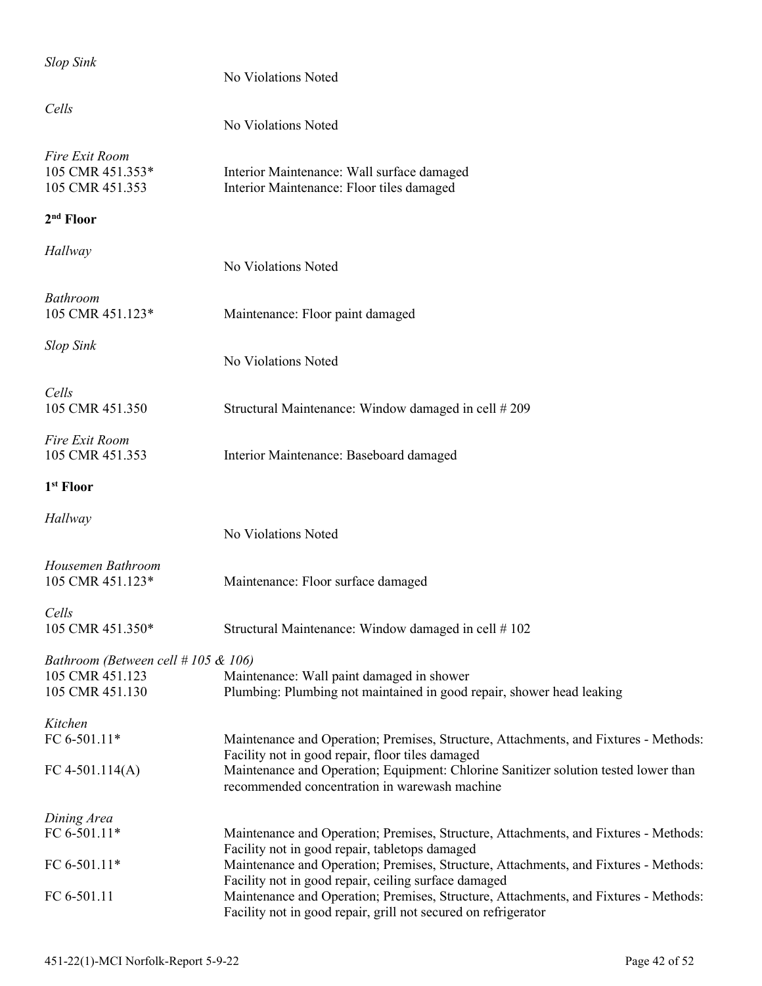| <b>Slop Sink</b>                                                              | No Violations Noted                                                                                                                                    |
|-------------------------------------------------------------------------------|--------------------------------------------------------------------------------------------------------------------------------------------------------|
| Cells                                                                         | No Violations Noted                                                                                                                                    |
| Fire Exit Room<br>105 CMR 451.353*<br>105 CMR 451.353                         | Interior Maintenance: Wall surface damaged<br>Interior Maintenance: Floor tiles damaged                                                                |
| 2 <sup>nd</sup> Floor                                                         |                                                                                                                                                        |
| Hallway                                                                       | No Violations Noted                                                                                                                                    |
| <b>Bathroom</b><br>105 CMR 451.123*                                           | Maintenance: Floor paint damaged                                                                                                                       |
| <b>Slop Sink</b>                                                              | No Violations Noted                                                                                                                                    |
| Cells<br>105 CMR 451.350                                                      | Structural Maintenance: Window damaged in cell #209                                                                                                    |
| Fire Exit Room<br>105 CMR 451.353                                             | Interior Maintenance: Baseboard damaged                                                                                                                |
| 1 <sup>st</sup> Floor                                                         |                                                                                                                                                        |
| Hallway                                                                       | No Violations Noted                                                                                                                                    |
| Housemen Bathroom<br>105 CMR 451.123*                                         | Maintenance: Floor surface damaged                                                                                                                     |
| Cells<br>105 CMR 451.350*                                                     | Structural Maintenance: Window damaged in cell #102                                                                                                    |
| Bathroom (Between cell $# 105 \& 106$ )<br>105 CMR 451.123<br>105 CMR 451.130 | Maintenance: Wall paint damaged in shower<br>Plumbing: Plumbing not maintained in good repair, shower head leaking                                     |
| Kitchen<br>FC 6-501.11*                                                       | Maintenance and Operation; Premises, Structure, Attachments, and Fixtures - Methods:<br>Facility not in good repair, floor tiles damaged               |
| FC 4-501.114(A)                                                               | Maintenance and Operation; Equipment: Chlorine Sanitizer solution tested lower than<br>recommended concentration in warewash machine                   |
| Dining Area                                                                   |                                                                                                                                                        |
| FC 6-501.11*                                                                  | Maintenance and Operation; Premises, Structure, Attachments, and Fixtures - Methods:<br>Facility not in good repair, tabletops damaged                 |
| FC 6-501.11*                                                                  | Maintenance and Operation; Premises, Structure, Attachments, and Fixtures - Methods:<br>Facility not in good repair, ceiling surface damaged           |
| FC 6-501.11                                                                   | Maintenance and Operation; Premises, Structure, Attachments, and Fixtures - Methods:<br>Facility not in good repair, grill not secured on refrigerator |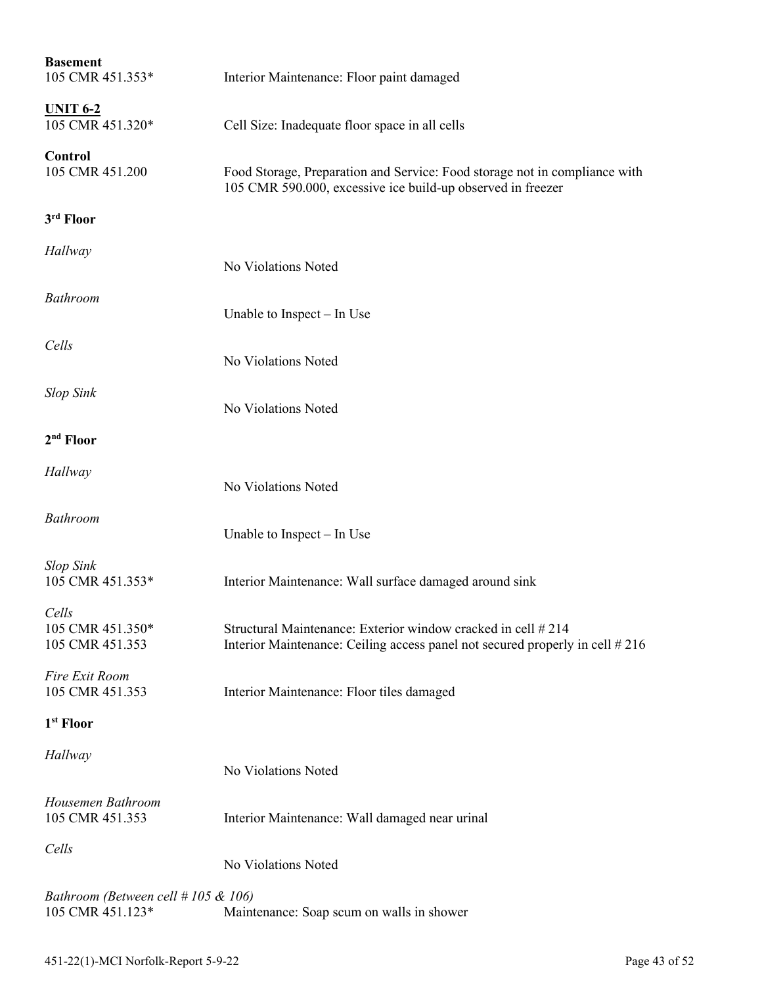| <b>Basement</b><br>105 CMR 451.353*                          | Interior Maintenance: Floor paint damaged                                                                                                    |
|--------------------------------------------------------------|----------------------------------------------------------------------------------------------------------------------------------------------|
| <b>UNIT 6-2</b><br>105 CMR 451.320*                          | Cell Size: Inadequate floor space in all cells                                                                                               |
| Control<br>105 CMR 451.200                                   | Food Storage, Preparation and Service: Food storage not in compliance with<br>105 CMR 590.000, excessive ice build-up observed in freezer    |
| 3rd Floor                                                    |                                                                                                                                              |
| Hallway                                                      | No Violations Noted                                                                                                                          |
| Bathroom                                                     | Unable to Inspect – In Use                                                                                                                   |
| Cells                                                        | No Violations Noted                                                                                                                          |
| <b>Slop Sink</b>                                             | No Violations Noted                                                                                                                          |
| $2nd$ Floor                                                  |                                                                                                                                              |
| Hallway                                                      | No Violations Noted                                                                                                                          |
| <b>Bathroom</b>                                              | Unable to Inspect – In Use                                                                                                                   |
| <b>Slop Sink</b><br>105 CMR 451.353*                         | Interior Maintenance: Wall surface damaged around sink                                                                                       |
| Cells<br>105 CMR 451.350*<br>105 CMR 451.353                 | Structural Maintenance: Exterior window cracked in cell #214<br>Interior Maintenance: Ceiling access panel not secured properly in cell #216 |
| Fire Exit Room<br>105 CMR 451.353                            | Interior Maintenance: Floor tiles damaged                                                                                                    |
| 1 <sup>st</sup> Floor                                        |                                                                                                                                              |
| Hallway                                                      | No Violations Noted                                                                                                                          |
| Housemen Bathroom<br>105 CMR 451.353                         | Interior Maintenance: Wall damaged near urinal                                                                                               |
| Cells                                                        | No Violations Noted                                                                                                                          |
| Bathroom (Between cell $\# 105 \& 106$ )<br>105 CMR 451.123* | Maintenance: Soap scum on walls in shower                                                                                                    |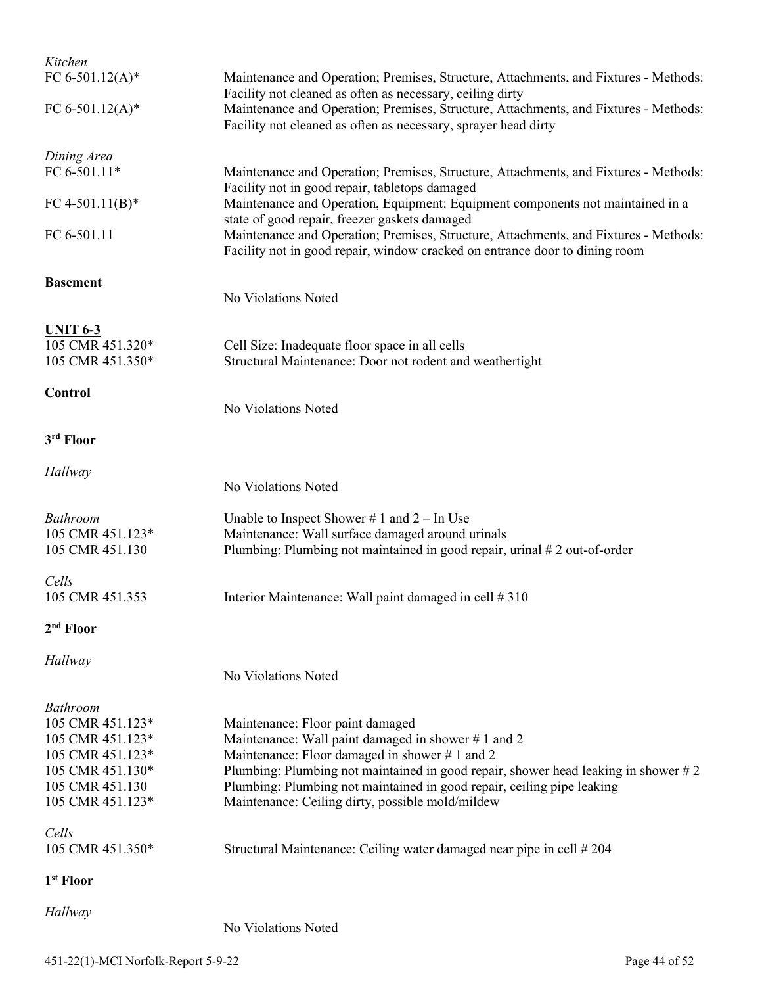| Kitchen                              |                                                                                                                                                                     |
|--------------------------------------|---------------------------------------------------------------------------------------------------------------------------------------------------------------------|
| FC 6-501.12(A)*                      | Maintenance and Operation; Premises, Structure, Attachments, and Fixtures - Methods:<br>Facility not cleaned as often as necessary, ceiling dirty                   |
| FC 6-501.12(A)*                      | Maintenance and Operation; Premises, Structure, Attachments, and Fixtures - Methods:<br>Facility not cleaned as often as necessary, sprayer head dirty              |
| Dining Area                          |                                                                                                                                                                     |
| FC 6-501.11*                         | Maintenance and Operation; Premises, Structure, Attachments, and Fixtures - Methods:<br>Facility not in good repair, tabletops damaged                              |
| FC 4-501.11(B)*                      | Maintenance and Operation, Equipment: Equipment components not maintained in a<br>state of good repair, freezer gaskets damaged                                     |
| FC 6-501.11                          | Maintenance and Operation; Premises, Structure, Attachments, and Fixtures - Methods:<br>Facility not in good repair, window cracked on entrance door to dining room |
| <b>Basement</b>                      |                                                                                                                                                                     |
|                                      | No Violations Noted                                                                                                                                                 |
| <b>UNIT 6-3</b>                      |                                                                                                                                                                     |
| 105 CMR 451.320*<br>105 CMR 451.350* | Cell Size: Inadequate floor space in all cells                                                                                                                      |
|                                      | Structural Maintenance: Door not rodent and weathertight                                                                                                            |
| <b>Control</b>                       | No Violations Noted                                                                                                                                                 |
|                                      |                                                                                                                                                                     |
| 3rd Floor                            |                                                                                                                                                                     |
| Hallway                              |                                                                                                                                                                     |
|                                      | No Violations Noted                                                                                                                                                 |
| Bathroom                             | Unable to Inspect Shower # 1 and $2 - \text{In Use}$                                                                                                                |
| 105 CMR 451.123*                     | Maintenance: Wall surface damaged around urinals                                                                                                                    |
| 105 CMR 451.130                      | Plumbing: Plumbing not maintained in good repair, urinal #2 out-of-order                                                                                            |
| Cells                                |                                                                                                                                                                     |
| 105 CMR 451.353                      | Interior Maintenance: Wall paint damaged in cell # 310                                                                                                              |
| $2nd$ Floor                          |                                                                                                                                                                     |
| Hallway                              |                                                                                                                                                                     |
|                                      | No Violations Noted                                                                                                                                                 |
| <b>Bathroom</b>                      |                                                                                                                                                                     |
| 105 CMR 451.123*                     | Maintenance: Floor paint damaged                                                                                                                                    |
| 105 CMR 451.123*                     | Maintenance: Wall paint damaged in shower #1 and 2                                                                                                                  |
| 105 CMR 451.123*                     | Maintenance: Floor damaged in shower #1 and 2                                                                                                                       |
| 105 CMR 451.130*<br>105 CMR 451.130  | Plumbing: Plumbing not maintained in good repair, shower head leaking in shower $#2$                                                                                |
| 105 CMR 451.123*                     | Plumbing: Plumbing not maintained in good repair, ceiling pipe leaking<br>Maintenance: Ceiling dirty, possible mold/mildew                                          |
| Cells                                |                                                                                                                                                                     |
| 105 CMR 451.350*                     | Structural Maintenance: Ceiling water damaged near pipe in cell # 204                                                                                               |
| 1 <sup>st</sup> Floor                |                                                                                                                                                                     |
| Hallway                              |                                                                                                                                                                     |
|                                      |                                                                                                                                                                     |

No Violations Noted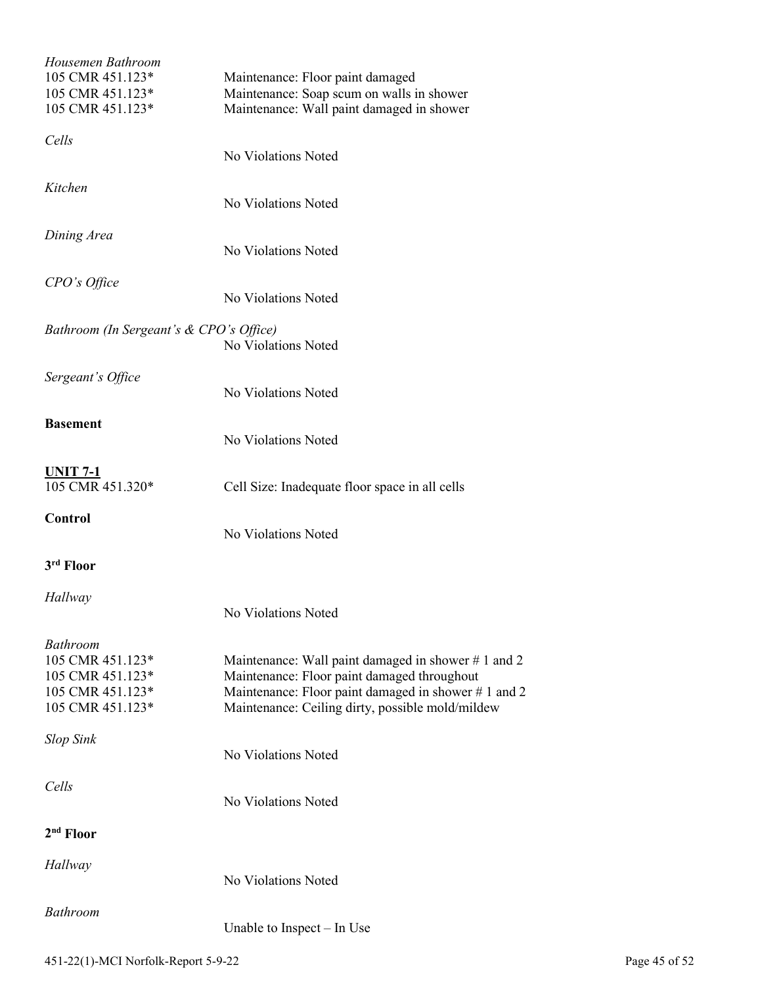| Housemen Bathroom<br>105 CMR 451.123*<br>105 CMR 451.123*<br>105 CMR 451.123*                   | Maintenance: Floor paint damaged<br>Maintenance: Soap scum on walls in shower<br>Maintenance: Wall paint damaged in shower                                                                                   |
|-------------------------------------------------------------------------------------------------|--------------------------------------------------------------------------------------------------------------------------------------------------------------------------------------------------------------|
| Cells                                                                                           | No Violations Noted                                                                                                                                                                                          |
| Kitchen                                                                                         | No Violations Noted                                                                                                                                                                                          |
| Dining Area                                                                                     | No Violations Noted                                                                                                                                                                                          |
| CPO's Office                                                                                    | No Violations Noted                                                                                                                                                                                          |
| Bathroom (In Sergeant's & CPO's Office)                                                         | No Violations Noted                                                                                                                                                                                          |
| Sergeant's Office                                                                               | No Violations Noted                                                                                                                                                                                          |
| <b>Basement</b>                                                                                 | No Violations Noted                                                                                                                                                                                          |
| <u>UNIT 7-1</u><br>105 CMR 451.320*                                                             | Cell Size: Inadequate floor space in all cells                                                                                                                                                               |
| Control                                                                                         | No Violations Noted                                                                                                                                                                                          |
| 3 <sup>rd</sup> Floor                                                                           |                                                                                                                                                                                                              |
| Hallway                                                                                         | No Violations Noted                                                                                                                                                                                          |
| <b>Bathroom</b><br>105 CMR 451.123*<br>105 CMR 451.123*<br>105 CMR 451.123*<br>105 CMR 451.123* | Maintenance: Wall paint damaged in shower #1 and 2<br>Maintenance: Floor paint damaged throughout<br>Maintenance: Floor paint damaged in shower #1 and 2<br>Maintenance: Ceiling dirty, possible mold/mildew |
| <b>Slop Sink</b>                                                                                | No Violations Noted                                                                                                                                                                                          |
| Cells                                                                                           | No Violations Noted                                                                                                                                                                                          |
| 2 <sup>nd</sup> Floor                                                                           |                                                                                                                                                                                                              |
| Hallway                                                                                         | No Violations Noted                                                                                                                                                                                          |
| <b>Bathroom</b>                                                                                 | Unable to Inspect $-$ In Use                                                                                                                                                                                 |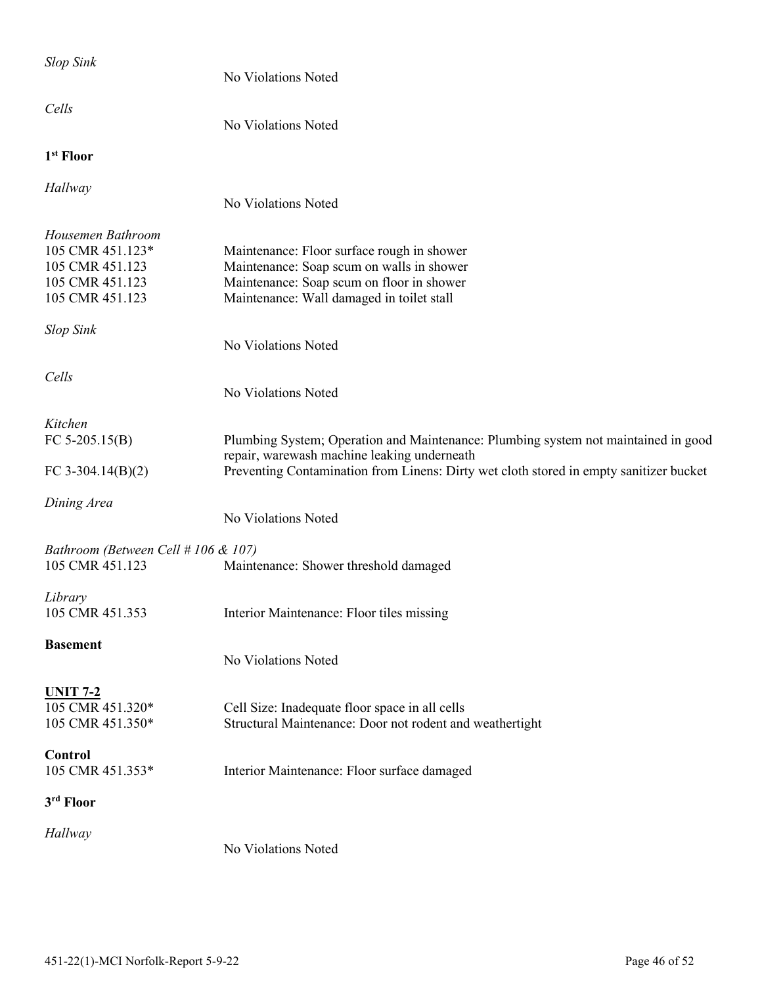| <b>Slop Sink</b>                                                                               | No Violations Noted                                                                                                                                                                                                         |
|------------------------------------------------------------------------------------------------|-----------------------------------------------------------------------------------------------------------------------------------------------------------------------------------------------------------------------------|
| Cells                                                                                          | No Violations Noted                                                                                                                                                                                                         |
| 1 <sup>st</sup> Floor                                                                          |                                                                                                                                                                                                                             |
| Hallway                                                                                        | No Violations Noted                                                                                                                                                                                                         |
| Housemen Bathroom<br>105 CMR 451.123*<br>105 CMR 451.123<br>105 CMR 451.123<br>105 CMR 451.123 | Maintenance: Floor surface rough in shower<br>Maintenance: Soap scum on walls in shower<br>Maintenance: Soap scum on floor in shower<br>Maintenance: Wall damaged in toilet stall                                           |
| <b>Slop Sink</b>                                                                               | No Violations Noted                                                                                                                                                                                                         |
| Cells                                                                                          | No Violations Noted                                                                                                                                                                                                         |
| Kitchen<br>FC $5-205.15(B)$<br>FC 3-304.14 $(B)(2)$                                            | Plumbing System; Operation and Maintenance: Plumbing system not maintained in good<br>repair, warewash machine leaking underneath<br>Preventing Contamination from Linens: Dirty wet cloth stored in empty sanitizer bucket |
| Dining Area                                                                                    | No Violations Noted                                                                                                                                                                                                         |
| Bathroom (Between Cell # 106 & 107)<br>105 CMR 451.123                                         | Maintenance: Shower threshold damaged                                                                                                                                                                                       |
| Library<br>105 CMR 451.353                                                                     | Interior Maintenance: Floor tiles missing                                                                                                                                                                                   |
| <b>Basement</b>                                                                                | No Violations Noted                                                                                                                                                                                                         |
| <b>UNIT 7-2</b><br>105 CMR 451.320*<br>105 CMR 451.350*                                        | Cell Size: Inadequate floor space in all cells<br>Structural Maintenance: Door not rodent and weathertight                                                                                                                  |
| Control<br>105 CMR 451.353*                                                                    | Interior Maintenance: Floor surface damaged                                                                                                                                                                                 |
| 3rd Floor                                                                                      |                                                                                                                                                                                                                             |
| Hallway                                                                                        | No Violations Noted                                                                                                                                                                                                         |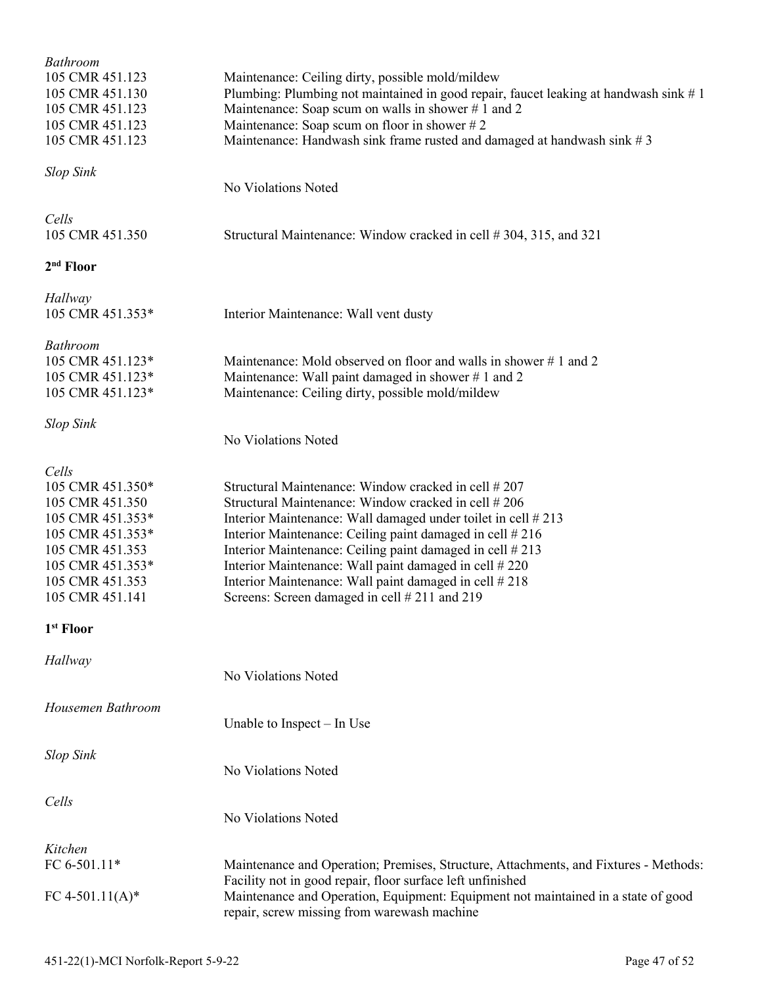| <b>Bathroom</b><br>105 CMR 451.123<br>105 CMR 451.130<br>105 CMR 451.123<br>105 CMR 451.123<br>105 CMR 451.123                                                    | Maintenance: Ceiling dirty, possible mold/mildew<br>Plumbing: Plumbing not maintained in good repair, faucet leaking at handwash sink #1<br>Maintenance: Soap scum on walls in shower $# 1$ and 2<br>Maintenance: Soap scum on floor in shower #2<br>Maintenance: Handwash sink frame rusted and damaged at handwash sink $# 3$                                                                                                                                       |
|-------------------------------------------------------------------------------------------------------------------------------------------------------------------|-----------------------------------------------------------------------------------------------------------------------------------------------------------------------------------------------------------------------------------------------------------------------------------------------------------------------------------------------------------------------------------------------------------------------------------------------------------------------|
| <b>Slop Sink</b>                                                                                                                                                  | No Violations Noted                                                                                                                                                                                                                                                                                                                                                                                                                                                   |
| Cells<br>105 CMR 451.350                                                                                                                                          | Structural Maintenance: Window cracked in cell #304, 315, and 321                                                                                                                                                                                                                                                                                                                                                                                                     |
| 2 <sup>nd</sup> Floor                                                                                                                                             |                                                                                                                                                                                                                                                                                                                                                                                                                                                                       |
| Hallway<br>105 CMR 451.353*                                                                                                                                       | Interior Maintenance: Wall vent dusty                                                                                                                                                                                                                                                                                                                                                                                                                                 |
| <b>Bathroom</b><br>105 CMR 451.123*<br>105 CMR 451.123*<br>105 CMR 451.123*                                                                                       | Maintenance: Mold observed on floor and walls in shower #1 and 2<br>Maintenance: Wall paint damaged in shower #1 and 2<br>Maintenance: Ceiling dirty, possible mold/mildew                                                                                                                                                                                                                                                                                            |
| <b>Slop Sink</b>                                                                                                                                                  | No Violations Noted                                                                                                                                                                                                                                                                                                                                                                                                                                                   |
| Cells<br>105 CMR 451.350*<br>105 CMR 451.350<br>105 CMR 451.353*<br>105 CMR 451.353*<br>105 CMR 451.353<br>105 CMR 451.353*<br>105 CMR 451.353<br>105 CMR 451.141 | Structural Maintenance: Window cracked in cell #207<br>Structural Maintenance: Window cracked in cell #206<br>Interior Maintenance: Wall damaged under toilet in cell #213<br>Interior Maintenance: Ceiling paint damaged in cell #216<br>Interior Maintenance: Ceiling paint damaged in cell #213<br>Interior Maintenance: Wall paint damaged in cell #220<br>Interior Maintenance: Wall paint damaged in cell #218<br>Screens: Screen damaged in cell # 211 and 219 |
| 1 <sup>st</sup> Floor                                                                                                                                             |                                                                                                                                                                                                                                                                                                                                                                                                                                                                       |
| Hallway                                                                                                                                                           | No Violations Noted                                                                                                                                                                                                                                                                                                                                                                                                                                                   |
| Housemen Bathroom                                                                                                                                                 | Unable to Inspect – In Use                                                                                                                                                                                                                                                                                                                                                                                                                                            |
| <b>Slop Sink</b>                                                                                                                                                  | No Violations Noted                                                                                                                                                                                                                                                                                                                                                                                                                                                   |
| Cells                                                                                                                                                             | No Violations Noted                                                                                                                                                                                                                                                                                                                                                                                                                                                   |
| Kitchen                                                                                                                                                           |                                                                                                                                                                                                                                                                                                                                                                                                                                                                       |
| FC 6-501.11*<br>FC 4-501.11(A)*                                                                                                                                   | Maintenance and Operation; Premises, Structure, Attachments, and Fixtures - Methods:<br>Facility not in good repair, floor surface left unfinished<br>Maintenance and Operation, Equipment: Equipment not maintained in a state of good<br>repair, screw missing from warewash machine                                                                                                                                                                                |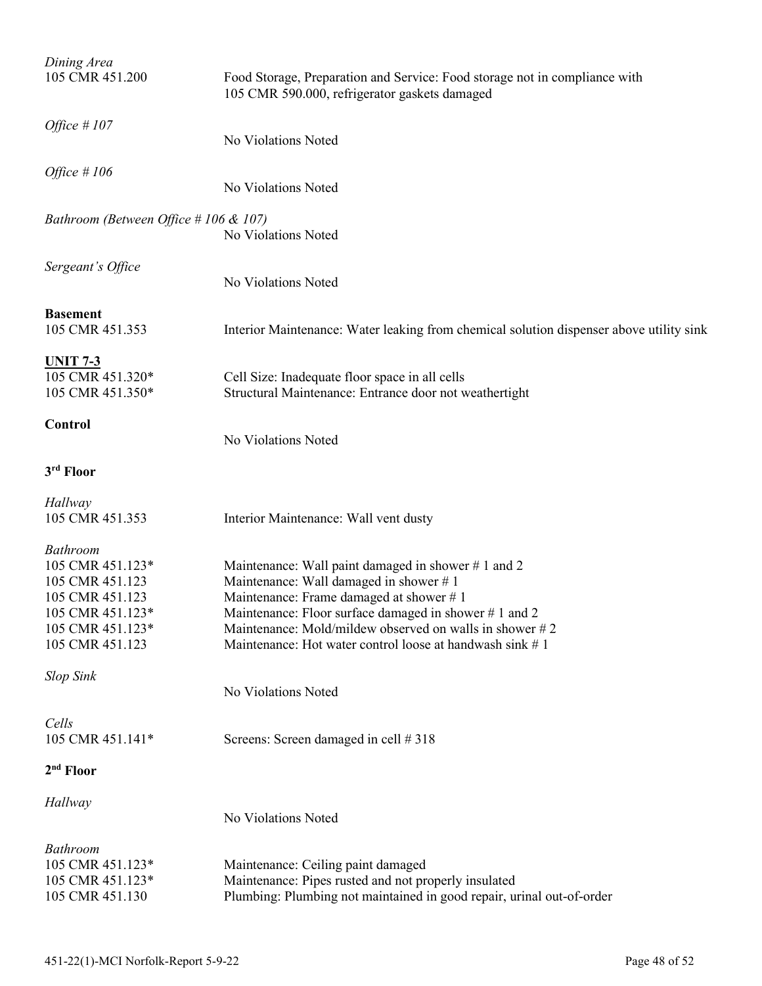| Dining Area<br>105 CMR 451.200                                                                                                       | Food Storage, Preparation and Service: Food storage not in compliance with<br>105 CMR 590.000, refrigerator gaskets damaged                                                                                                                                                                                                 |
|--------------------------------------------------------------------------------------------------------------------------------------|-----------------------------------------------------------------------------------------------------------------------------------------------------------------------------------------------------------------------------------------------------------------------------------------------------------------------------|
| Office $#107$                                                                                                                        | No Violations Noted                                                                                                                                                                                                                                                                                                         |
| Office $#106$                                                                                                                        | No Violations Noted                                                                                                                                                                                                                                                                                                         |
| Bathroom (Between Office # 106 & 107)                                                                                                | No Violations Noted                                                                                                                                                                                                                                                                                                         |
| Sergeant's Office                                                                                                                    | No Violations Noted                                                                                                                                                                                                                                                                                                         |
| <b>Basement</b><br>105 CMR 451.353                                                                                                   | Interior Maintenance: Water leaking from chemical solution dispenser above utility sink                                                                                                                                                                                                                                     |
| <u>UNIT 7-3</u><br>105 CMR 451.320*<br>105 CMR 451.350*                                                                              | Cell Size: Inadequate floor space in all cells<br>Structural Maintenance: Entrance door not weathertight                                                                                                                                                                                                                    |
| <b>Control</b>                                                                                                                       | No Violations Noted                                                                                                                                                                                                                                                                                                         |
| 3rd Floor                                                                                                                            |                                                                                                                                                                                                                                                                                                                             |
| Hallway<br>105 CMR 451.353                                                                                                           | Interior Maintenance: Wall vent dusty                                                                                                                                                                                                                                                                                       |
| <b>Bathroom</b><br>105 CMR 451.123*<br>105 CMR 451.123<br>105 CMR 451.123<br>105 CMR 451.123*<br>105 CMR 451.123*<br>105 CMR 451.123 | Maintenance: Wall paint damaged in shower #1 and 2<br>Maintenance: Wall damaged in shower #1<br>Maintenance: Frame damaged at shower #1<br>Maintenance: Floor surface damaged in shower #1 and 2<br>Maintenance: Mold/mildew observed on walls in shower $\# 2$<br>Maintenance: Hot water control loose at handwash sink #1 |
| <b>Slop Sink</b>                                                                                                                     | No Violations Noted                                                                                                                                                                                                                                                                                                         |
| Cells<br>105 CMR 451.141*                                                                                                            | Screens: Screen damaged in cell #318                                                                                                                                                                                                                                                                                        |
| 2 <sup>nd</sup> Floor                                                                                                                |                                                                                                                                                                                                                                                                                                                             |
| Hallway                                                                                                                              | No Violations Noted                                                                                                                                                                                                                                                                                                         |
| <b>Bathroom</b><br>105 CMR 451.123*<br>105 CMR 451.123*<br>105 CMR 451.130                                                           | Maintenance: Ceiling paint damaged<br>Maintenance: Pipes rusted and not properly insulated<br>Plumbing: Plumbing not maintained in good repair, urinal out-of-order                                                                                                                                                         |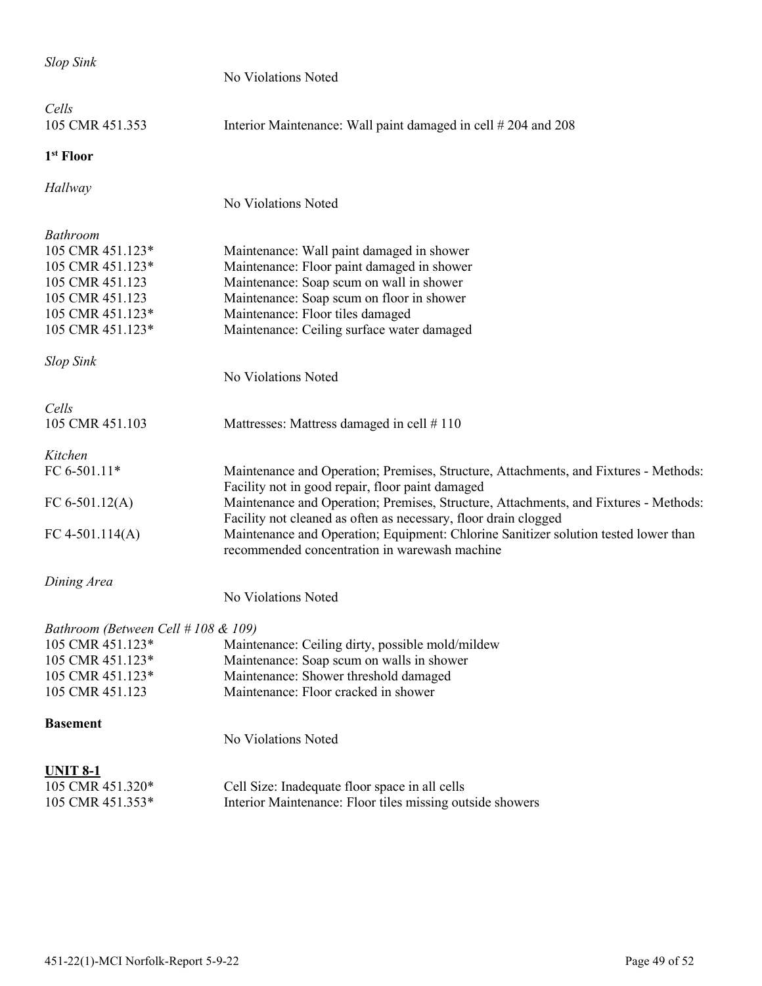| <b>Slop Sink</b>                    |                                                                                                                                                         |
|-------------------------------------|---------------------------------------------------------------------------------------------------------------------------------------------------------|
|                                     | No Violations Noted                                                                                                                                     |
| Cells                               |                                                                                                                                                         |
| 105 CMR 451.353                     | Interior Maintenance: Wall paint damaged in cell # 204 and 208                                                                                          |
| 1 <sup>st</sup> Floor               |                                                                                                                                                         |
| Hallway                             |                                                                                                                                                         |
|                                     | No Violations Noted                                                                                                                                     |
| <b>Bathroom</b>                     |                                                                                                                                                         |
| 105 CMR 451.123*                    | Maintenance: Wall paint damaged in shower                                                                                                               |
| 105 CMR 451.123*                    | Maintenance: Floor paint damaged in shower                                                                                                              |
| 105 CMR 451.123                     | Maintenance: Soap scum on wall in shower                                                                                                                |
| 105 CMR 451.123                     | Maintenance: Soap scum on floor in shower                                                                                                               |
| 105 CMR 451.123*                    | Maintenance: Floor tiles damaged                                                                                                                        |
| 105 CMR 451.123*                    | Maintenance: Ceiling surface water damaged                                                                                                              |
| <b>Slop Sink</b>                    |                                                                                                                                                         |
|                                     | No Violations Noted                                                                                                                                     |
| Cells                               |                                                                                                                                                         |
| 105 CMR 451.103                     | Mattresses: Mattress damaged in cell #110                                                                                                               |
| Kitchen                             |                                                                                                                                                         |
| FC 6-501.11*                        | Maintenance and Operation; Premises, Structure, Attachments, and Fixtures - Methods:                                                                    |
| FC $6-501.12(A)$                    | Facility not in good repair, floor paint damaged                                                                                                        |
|                                     | Maintenance and Operation; Premises, Structure, Attachments, and Fixtures - Methods:<br>Facility not cleaned as often as necessary, floor drain clogged |
| FC 4-501.114(A)                     | Maintenance and Operation; Equipment: Chlorine Sanitizer solution tested lower than                                                                     |
|                                     | recommended concentration in warewash machine                                                                                                           |
| Dining Area                         |                                                                                                                                                         |
|                                     | No Violations Noted                                                                                                                                     |
| Bathroom (Between Cell # 108 & 109) |                                                                                                                                                         |
| 105 CMR 451.123*                    | Maintenance: Ceiling dirty, possible mold/mildew                                                                                                        |
| 105 CMR 451.123*                    | Maintenance: Soap scum on walls in shower                                                                                                               |
| 105 CMR 451.123*                    | Maintenance: Shower threshold damaged                                                                                                                   |
| 105 CMR 451.123                     | Maintenance: Floor cracked in shower                                                                                                                    |
| <b>Basement</b>                     |                                                                                                                                                         |
|                                     | No Violations Noted                                                                                                                                     |
| <b>UNIT 8-1</b>                     |                                                                                                                                                         |
| 105 CMR 451.320*                    | Cell Size: Inadequate floor space in all cells                                                                                                          |
| 105 CMR 451.353*                    | Interior Maintenance: Floor tiles missing outside showers                                                                                               |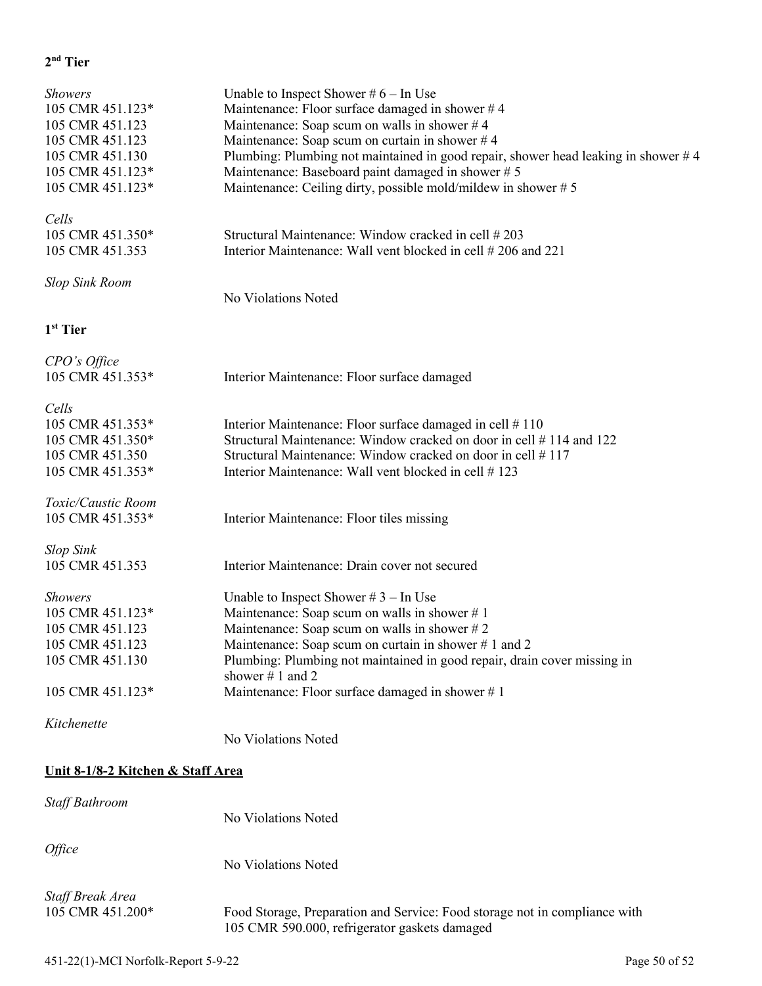### **2nd Tier**

| <b>Showers</b><br>105 CMR 451.123*<br>105 CMR 451.123<br>105 CMR 451.123<br>105 CMR 451.130<br>105 CMR 451.123*<br>105 CMR 451.123* | Unable to Inspect Shower $#6 - In$ Use<br>Maintenance: Floor surface damaged in shower $#4$<br>Maintenance: Soap scum on walls in shower $#4$<br>Maintenance: Soap scum on curtain in shower $#4$<br>Plumbing: Plumbing not maintained in good repair, shower head leaking in shower #4<br>Maintenance: Baseboard paint damaged in shower #5<br>Maintenance: Ceiling dirty, possible mold/mildew in shower #5 |
|-------------------------------------------------------------------------------------------------------------------------------------|---------------------------------------------------------------------------------------------------------------------------------------------------------------------------------------------------------------------------------------------------------------------------------------------------------------------------------------------------------------------------------------------------------------|
| Cells<br>105 CMR 451.350*<br>105 CMR 451.353                                                                                        | Structural Maintenance: Window cracked in cell #203<br>Interior Maintenance: Wall vent blocked in cell #206 and 221                                                                                                                                                                                                                                                                                           |
| <b>Slop Sink Room</b>                                                                                                               | No Violations Noted                                                                                                                                                                                                                                                                                                                                                                                           |
| 1 <sup>st</sup> Tier                                                                                                                |                                                                                                                                                                                                                                                                                                                                                                                                               |
| CPO's Office<br>105 CMR 451.353*                                                                                                    | Interior Maintenance: Floor surface damaged                                                                                                                                                                                                                                                                                                                                                                   |
| Cells<br>105 CMR 451.353*<br>105 CMR 451.350*<br>105 CMR 451.350<br>105 CMR 451.353*                                                | Interior Maintenance: Floor surface damaged in cell #110<br>Structural Maintenance: Window cracked on door in cell #114 and 122<br>Structural Maintenance: Window cracked on door in cell #117<br>Interior Maintenance: Wall vent blocked in cell #123                                                                                                                                                        |
| Toxic/Caustic Room<br>105 CMR 451.353*                                                                                              | Interior Maintenance: Floor tiles missing                                                                                                                                                                                                                                                                                                                                                                     |
| <b>Slop Sink</b><br>105 CMR 451.353                                                                                                 | Interior Maintenance: Drain cover not secured                                                                                                                                                                                                                                                                                                                                                                 |
| <b>Showers</b><br>105 CMR 451.123*<br>105 CMR 451.123<br>105 CMR 451.123<br>105 CMR 451.130<br>105 CMR 451.123*                     | Unable to Inspect Shower $#3$ – In Use<br>Maintenance: Soap scum on walls in shower #1<br>Maintenance: Soap scum on walls in shower $# 2$<br>Maintenance: Soap scum on curtain in shower #1 and 2<br>Plumbing: Plumbing not maintained in good repair, drain cover missing in<br>shower $# 1$ and 2<br>Maintenance: Floor surface damaged in shower $# 1$                                                     |
| Kitchenette                                                                                                                         | No Violations Noted                                                                                                                                                                                                                                                                                                                                                                                           |
| Unit 8-1/8-2 Kitchen & Staff Area                                                                                                   |                                                                                                                                                                                                                                                                                                                                                                                                               |
| Staff Bathroom                                                                                                                      | No Violations Noted                                                                                                                                                                                                                                                                                                                                                                                           |
| Office                                                                                                                              | No Violations Noted                                                                                                                                                                                                                                                                                                                                                                                           |

*Staff Break Area*  105 CMR 451.200\* Food Storage, Preparation and Service: Food storage not in compliance with 105 CMR 590.000, refrigerator gaskets damaged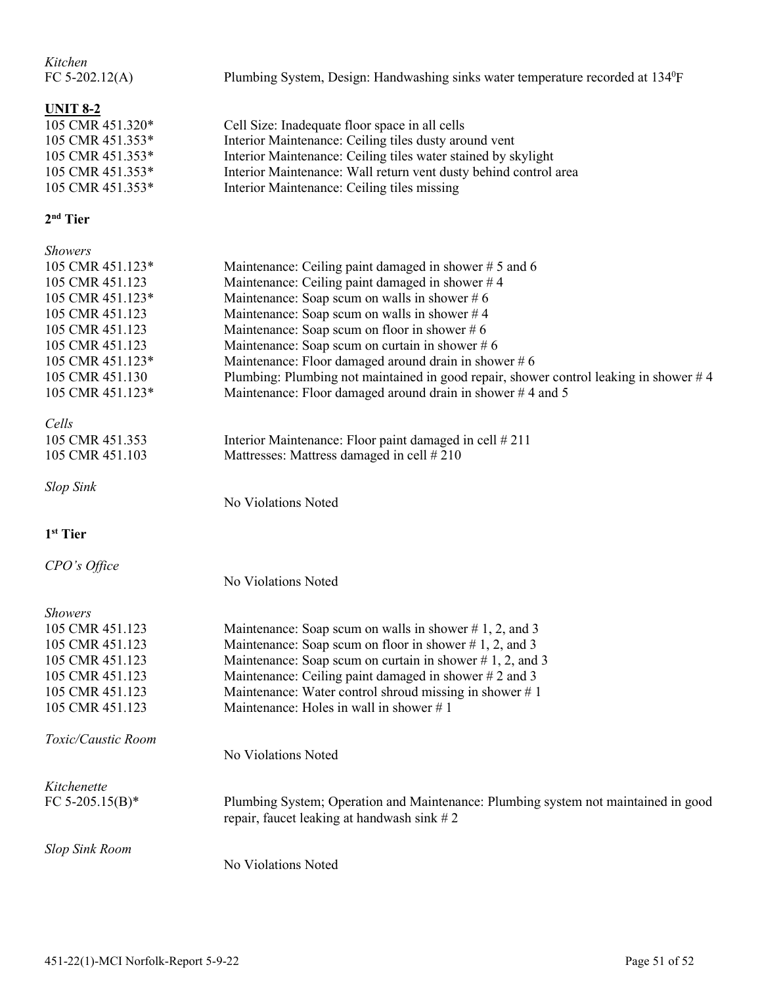| Kitchen<br>FC $5-202.12(A)$                                                                                         | Plumbing System, Design: Handwashing sinks water temperature recorded at 134 <sup>0</sup> F                                                                                                                                                                                                 |
|---------------------------------------------------------------------------------------------------------------------|---------------------------------------------------------------------------------------------------------------------------------------------------------------------------------------------------------------------------------------------------------------------------------------------|
| <b>UNIT 8-2</b><br>105 CMR 451.320*<br>105 CMR 451.353*<br>105 CMR 451.353*<br>105 CMR 451.353*<br>105 CMR 451.353* | Cell Size: Inadequate floor space in all cells<br>Interior Maintenance: Ceiling tiles dusty around vent<br>Interior Maintenance: Ceiling tiles water stained by skylight<br>Interior Maintenance: Wall return vent dusty behind control area<br>Interior Maintenance: Ceiling tiles missing |
| $2nd$ Tier                                                                                                          |                                                                                                                                                                                                                                                                                             |
| <b>Showers</b>                                                                                                      |                                                                                                                                                                                                                                                                                             |
| 105 CMR 451.123*                                                                                                    | Maintenance: Ceiling paint damaged in shower $# 5$ and 6                                                                                                                                                                                                                                    |
| 105 CMR 451.123                                                                                                     | Maintenance: Ceiling paint damaged in shower #4                                                                                                                                                                                                                                             |
| 105 CMR 451.123*                                                                                                    | Maintenance: Soap scum on walls in shower $#6$                                                                                                                                                                                                                                              |
| 105 CMR 451.123                                                                                                     | Maintenance: Soap scum on walls in shower $#4$                                                                                                                                                                                                                                              |
| 105 CMR 451.123                                                                                                     | Maintenance: Soap scum on floor in shower $#6$                                                                                                                                                                                                                                              |
| 105 CMR 451.123                                                                                                     | Maintenance: Soap scum on curtain in shower $#6$                                                                                                                                                                                                                                            |
| 105 CMR 451.123*                                                                                                    | Maintenance: Floor damaged around drain in shower #6                                                                                                                                                                                                                                        |
| 105 CMR 451.130                                                                                                     | Plumbing: Plumbing not maintained in good repair, shower control leaking in shower #4                                                                                                                                                                                                       |
| 105 CMR 451.123*                                                                                                    | Maintenance: Floor damaged around drain in shower #4 and 5                                                                                                                                                                                                                                  |
| Cells                                                                                                               |                                                                                                                                                                                                                                                                                             |
| 105 CMR 451.353                                                                                                     | Interior Maintenance: Floor paint damaged in cell #211                                                                                                                                                                                                                                      |
| 105 CMR 451.103                                                                                                     | Mattresses: Mattress damaged in cell #210                                                                                                                                                                                                                                                   |
| <b>Slop Sink</b>                                                                                                    |                                                                                                                                                                                                                                                                                             |
|                                                                                                                     | No Violations Noted                                                                                                                                                                                                                                                                         |
| 1 <sup>st</sup> Tier                                                                                                |                                                                                                                                                                                                                                                                                             |
| CPO's Office                                                                                                        |                                                                                                                                                                                                                                                                                             |
|                                                                                                                     | No Violations Noted                                                                                                                                                                                                                                                                         |
| Showers                                                                                                             |                                                                                                                                                                                                                                                                                             |
| 105 CMR 451.123                                                                                                     | Maintenance: Soap scum on walls in shower $# 1, 2$ , and 3                                                                                                                                                                                                                                  |
| 105 CMR 451.123                                                                                                     | Maintenance: Soap scum on floor in shower $# 1, 2$ , and 3                                                                                                                                                                                                                                  |
| 105 CMR 451.123                                                                                                     | Maintenance: Soap scum on curtain in shower $# 1, 2,$ and 3                                                                                                                                                                                                                                 |
| 105 CMR 451.123                                                                                                     | Maintenance: Ceiling paint damaged in shower # 2 and 3                                                                                                                                                                                                                                      |
| 105 CMR 451.123                                                                                                     | Maintenance: Water control shroud missing in shower #1                                                                                                                                                                                                                                      |
| 105 CMR 451.123                                                                                                     | Maintenance: Holes in wall in shower $# 1$                                                                                                                                                                                                                                                  |
| Toxic/Caustic Room                                                                                                  |                                                                                                                                                                                                                                                                                             |
|                                                                                                                     | No Violations Noted                                                                                                                                                                                                                                                                         |
| Kitchenette                                                                                                         |                                                                                                                                                                                                                                                                                             |
| FC 5-205.15(B)*                                                                                                     | Plumbing System; Operation and Maintenance: Plumbing system not maintained in good<br>repair, faucet leaking at handwash sink $# 2$                                                                                                                                                         |
| <b>Slop Sink Room</b>                                                                                               |                                                                                                                                                                                                                                                                                             |
|                                                                                                                     | No Violations Noted                                                                                                                                                                                                                                                                         |